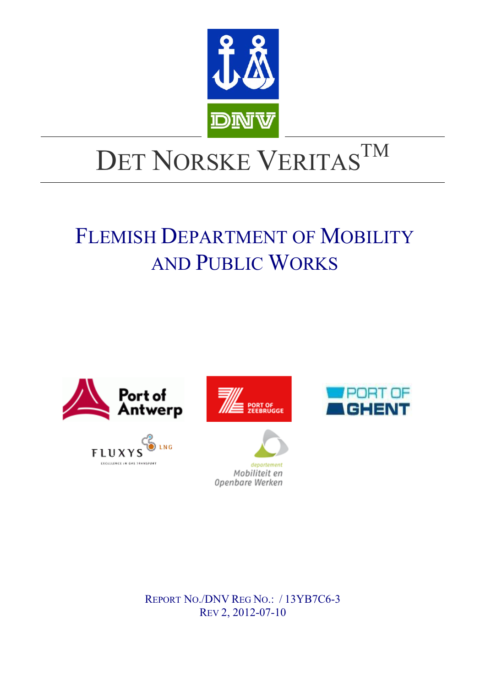

# DET NORSKE VERITASTM

## FLEMISH DEPARTMENT OF MOBILITY AND PUBLIC WORKS







 $\overline{\phantom{a}}$ 



REPORT NO./DNV REG NO.: / 13YB7C6-3 REV 2, 2012-07-10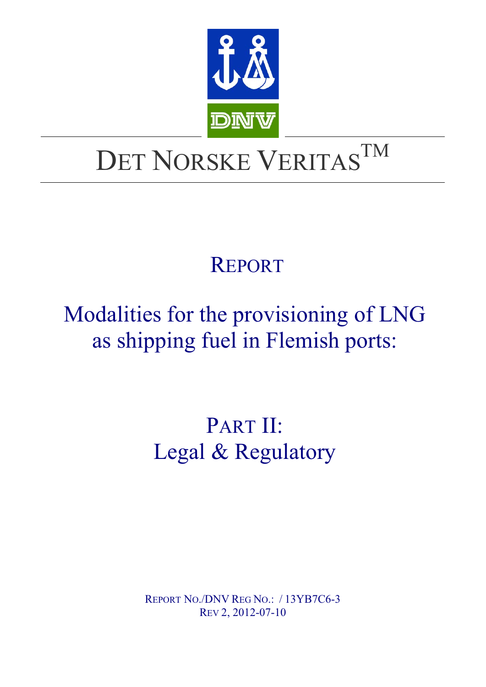

# DET NORSKE VERITASTM

## REPORT

# Modalities for the provisioning of LNG as shipping fuel in Flemish ports:

# PART II: Legal & Regulatory

REPORT NO./DNV REG NO.: / 13YB7C6-3 REV 2, 2012-07-10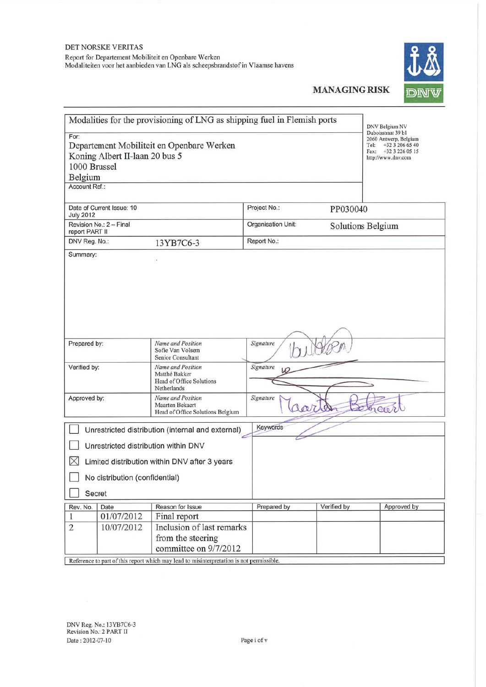

|                                                                                                                    |                           | Modalities for the provisioning of LNG as shipping fuel in Flemish ports |                    |                                                                                                                      | DNV Belgium NV    |
|--------------------------------------------------------------------------------------------------------------------|---------------------------|--------------------------------------------------------------------------|--------------------|----------------------------------------------------------------------------------------------------------------------|-------------------|
| For:<br>Departement Mobiliteit en Openbare Werken<br>Koning Albert II-laan 20 bus 5<br>1000 Brussel<br>Belgium     |                           |                                                                          |                    | Duboisstraat 39 b1<br>2060 Antwerp, Belgium<br>+32 3 206 65 40<br>Tel:<br>Fax: +32 3 226 05 15<br>http://www.dnv.com |                   |
| Account Ref.:                                                                                                      |                           |                                                                          |                    |                                                                                                                      |                   |
| <b>July 2012</b>                                                                                                   | Date of Current Issue: 10 |                                                                          | Project No.:       | PP030040                                                                                                             |                   |
| report PART II                                                                                                     | Revision No.: 2 - Final   |                                                                          | Organisation Unit: |                                                                                                                      | Solutions Belgium |
| DNV Reg. No.:                                                                                                      |                           | 13YB7C6-3                                                                | Report No.:        |                                                                                                                      |                   |
| Signature<br>Prepared by:<br>Name and Position<br>Sofie Van Volsem                                                 |                           |                                                                          |                    |                                                                                                                      |                   |
| Senior Consultant<br>Verified by:<br>Name and Position<br>Matthé Bakker<br>Head of Office Solutions<br>Netherlands |                           | Signature                                                                |                    |                                                                                                                      |                   |
| Approved by:<br>Name and Position<br>Maarten Bekaert<br>Head of Office Solutions Belgium                           |                           | Signature<br>lar                                                         | les                | herer                                                                                                                |                   |
| Keywords<br>Unrestricted distribution (internal and external)                                                      |                           |                                                                          |                    |                                                                                                                      |                   |
| Unrestricted distribution within DNV                                                                               |                           |                                                                          |                    |                                                                                                                      |                   |
| $\times$<br>Limited distribution within DNV after 3 years                                                          |                           |                                                                          |                    |                                                                                                                      |                   |
| No distribution (confidential)                                                                                     |                           |                                                                          |                    |                                                                                                                      |                   |
| Secret                                                                                                             |                           |                                                                          |                    |                                                                                                                      |                   |
| Rev. No.                                                                                                           | Date                      | Reason for Issue                                                         | Prepared by        | Verified by                                                                                                          | Approved by       |
| 1                                                                                                                  | 01/07/2012                | Final report                                                             |                    |                                                                                                                      |                   |
| $\overline{2}$                                                                                                     | 10/07/2012                | Inclusion of last remarks<br>from the steering<br>committee on 9/7/2012  |                    |                                                                                                                      |                   |
|                                                                                                                    |                           |                                                                          | namniagihla        |                                                                                                                      |                   |

Reference to part of this report which may lead to misinterpretation is not permissible.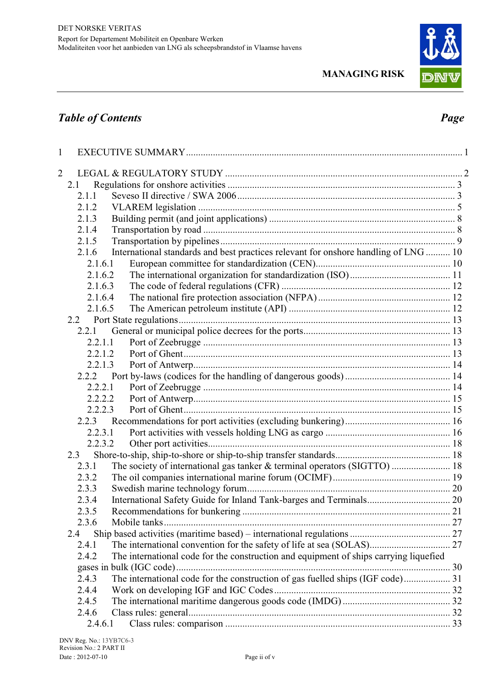

### *Table of Contents Page*

| 1 |                                                                                                |  |
|---|------------------------------------------------------------------------------------------------|--|
| 2 |                                                                                                |  |
|   | 2.1                                                                                            |  |
|   | 2.1.1                                                                                          |  |
|   | 2.1.2                                                                                          |  |
|   | 2.1.3                                                                                          |  |
|   | 2.1.4                                                                                          |  |
|   | 2.1.5                                                                                          |  |
|   | International standards and best practices relevant for onshore handling of LNG  10<br>2.1.6   |  |
|   | 2.1.6.1                                                                                        |  |
|   | 2.1.6.2                                                                                        |  |
|   | 2.1.6.3                                                                                        |  |
|   | 2.1.6.4                                                                                        |  |
|   | 2.1.6.5                                                                                        |  |
|   |                                                                                                |  |
|   | 2.2.1                                                                                          |  |
|   | 2.2.1.1                                                                                        |  |
|   | 2.2.1.2                                                                                        |  |
|   | 2.2.1.3                                                                                        |  |
|   | 2.2.2                                                                                          |  |
|   | 2.2.2.1                                                                                        |  |
|   | 2.2.2.2                                                                                        |  |
|   | 2.2.2.3                                                                                        |  |
|   | 2.2.3                                                                                          |  |
|   | 2.2.3.1                                                                                        |  |
|   | 2.2.3.2                                                                                        |  |
|   | 2.3                                                                                            |  |
|   | The society of international gas tanker & terminal operators (SIGTTO)  18<br>2.3.1             |  |
|   | 2.3.2                                                                                          |  |
|   | 2.3.3                                                                                          |  |
|   | 2.3.4                                                                                          |  |
|   | 2.3.5                                                                                          |  |
|   | 2.3.6<br>Mobile tanks.                                                                         |  |
|   | 2.4                                                                                            |  |
|   | 2.4.1                                                                                          |  |
|   | The international code for the construction and equipment of ships carrying liquefied<br>2.4.2 |  |
|   |                                                                                                |  |
|   | The international code for the construction of gas fuelled ships (IGF code) 31<br>2.4.3        |  |
|   | 2.4.4                                                                                          |  |
|   | 2.4.5                                                                                          |  |
|   | 2.4.6                                                                                          |  |
|   | 2.4.6.1                                                                                        |  |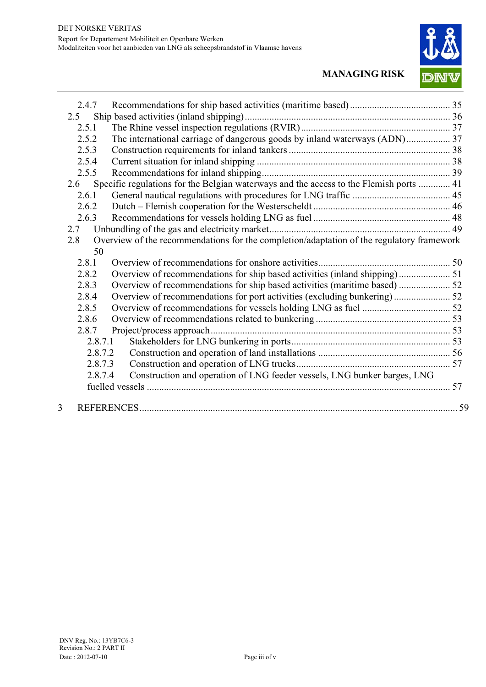

|   | 2.4.7   |                                                                                           |  |
|---|---------|-------------------------------------------------------------------------------------------|--|
|   | 2.5     |                                                                                           |  |
|   | 2.5.1   |                                                                                           |  |
|   | 2.5.2   | The international carriage of dangerous goods by inland waterways (ADN) 37                |  |
|   | 2.5.3   |                                                                                           |  |
|   | 2.5.4   |                                                                                           |  |
|   | 2.5.5   |                                                                                           |  |
|   | 2.6     | Specific regulations for the Belgian waterways and the access to the Flemish ports  41    |  |
|   | 2.6.1   |                                                                                           |  |
|   | 2.6.2   |                                                                                           |  |
|   | 2.6.3   |                                                                                           |  |
|   | 2.7     |                                                                                           |  |
|   | 2.8     | Overview of the recommendations for the completion/adaptation of the regulatory framework |  |
|   | 50      |                                                                                           |  |
|   | 2.8.1   |                                                                                           |  |
|   | 2.8.2   |                                                                                           |  |
|   | 2.8.3   |                                                                                           |  |
|   | 2.8.4   |                                                                                           |  |
|   | 2.8.5   |                                                                                           |  |
|   | 2.8.6   |                                                                                           |  |
|   | 2.8.7   |                                                                                           |  |
|   | 2.8.7.1 |                                                                                           |  |
|   | 2.8.7.2 |                                                                                           |  |
|   | 2.8.7.3 |                                                                                           |  |
|   | 2.8.7.4 | Construction and operation of LNG feeder vessels, LNG bunker barges, LNG                  |  |
|   |         |                                                                                           |  |
| 3 |         |                                                                                           |  |
|   |         |                                                                                           |  |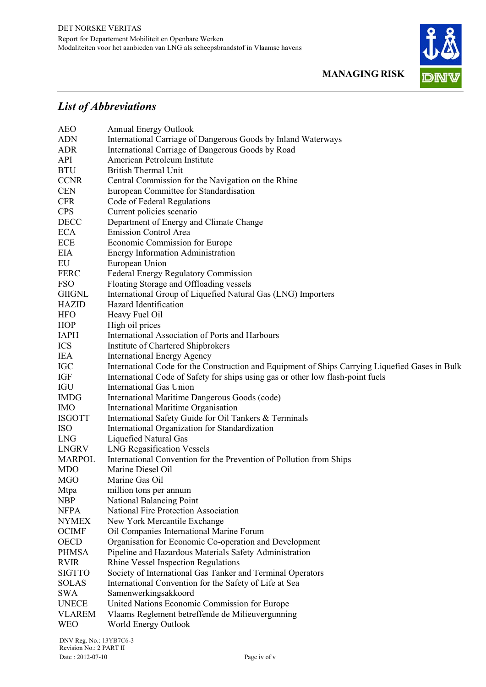

# *List of Abbreviations*

| <b>AEO</b>    | <b>Annual Energy Outlook</b>                                                                    |
|---------------|-------------------------------------------------------------------------------------------------|
| <b>ADN</b>    | International Carriage of Dangerous Goods by Inland Waterways                                   |
| <b>ADR</b>    | International Carriage of Dangerous Goods by Road                                               |
| <b>API</b>    | American Petroleum Institute                                                                    |
| <b>BTU</b>    | <b>British Thermal Unit</b>                                                                     |
| <b>CCNR</b>   | Central Commission for the Navigation on the Rhine                                              |
| <b>CEN</b>    | European Committee for Standardisation                                                          |
| <b>CFR</b>    | Code of Federal Regulations                                                                     |
| <b>CPS</b>    | Current policies scenario                                                                       |
| <b>DECC</b>   | Department of Energy and Climate Change                                                         |
| <b>ECA</b>    | <b>Emission Control Area</b>                                                                    |
| <b>ECE</b>    | Economic Commission for Europe                                                                  |
| <b>EIA</b>    | <b>Energy Information Administration</b>                                                        |
| EU            | European Union                                                                                  |
| <b>FERC</b>   | Federal Energy Regulatory Commission                                                            |
| <b>FSO</b>    | Floating Storage and Offloading vessels                                                         |
| <b>GIIGNL</b> | International Group of Liquefied Natural Gas (LNG) Importers                                    |
| <b>HAZID</b>  | Hazard Identification                                                                           |
| <b>HFO</b>    | Heavy Fuel Oil                                                                                  |
| <b>HOP</b>    | High oil prices                                                                                 |
| <b>IAPH</b>   | International Association of Ports and Harbours                                                 |
| <b>ICS</b>    | Institute of Chartered Shipbrokers                                                              |
| <b>IEA</b>    | <b>International Energy Agency</b>                                                              |
| <b>IGC</b>    | International Code for the Construction and Equipment of Ships Carrying Liquefied Gases in Bulk |
| IGF           | International Code of Safety for ships using gas or other low flash-point fuels                 |
| <b>IGU</b>    | <b>International Gas Union</b>                                                                  |
| <b>IMDG</b>   | International Maritime Dangerous Goods (code)                                                   |
| <b>IMO</b>    | International Maritime Organisation                                                             |
| <b>ISGOTT</b> | International Safety Guide for Oil Tankers & Terminals                                          |
| <b>ISO</b>    | International Organization for Standardization                                                  |
| <b>LNG</b>    | <b>Liquefied Natural Gas</b>                                                                    |
| <b>LNGRV</b>  | <b>LNG Regasification Vessels</b>                                                               |
| <b>MARPOL</b> | International Convention for the Prevention of Pollution from Ships                             |
| <b>MDO</b>    | Marine Diesel Oil                                                                               |
| <b>MGO</b>    | Marine Gas Oil                                                                                  |
| Mtpa          | million tons per annum                                                                          |
| <b>NBP</b>    | National Balancing Point                                                                        |
| <b>NFPA</b>   | <b>National Fire Protection Association</b>                                                     |
| <b>NYMEX</b>  | New York Mercantile Exchange                                                                    |
| <b>OCIMF</b>  | Oil Companies International Marine Forum                                                        |
| <b>OECD</b>   | Organisation for Economic Co-operation and Development                                          |
| <b>PHMSA</b>  | Pipeline and Hazardous Materials Safety Administration                                          |
| <b>RVIR</b>   | Rhine Vessel Inspection Regulations                                                             |
| <b>SIGTTO</b> | Society of International Gas Tanker and Terminal Operators                                      |
| <b>SOLAS</b>  | International Convention for the Safety of Life at Sea                                          |
| <b>SWA</b>    | Samenwerkingsakkoord                                                                            |
| <b>UNECE</b>  | United Nations Economic Commission for Europe                                                   |
| <b>VLAREM</b> | Vlaams Reglement betreffende de Milieuvergunning                                                |
| <b>WEO</b>    | World Energy Outlook                                                                            |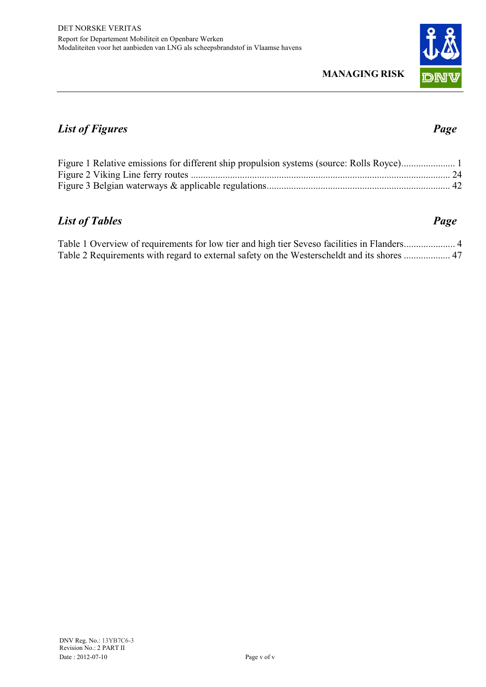

## *List of Figures Page*

## *List of Tables Page*

Table 1 Overview of requirements for low tier and high tier Seveso facilities in Flanders ..................... 4 Table 2 Requirements with regard to external safety on the Westerscheldt and its shores ................... 47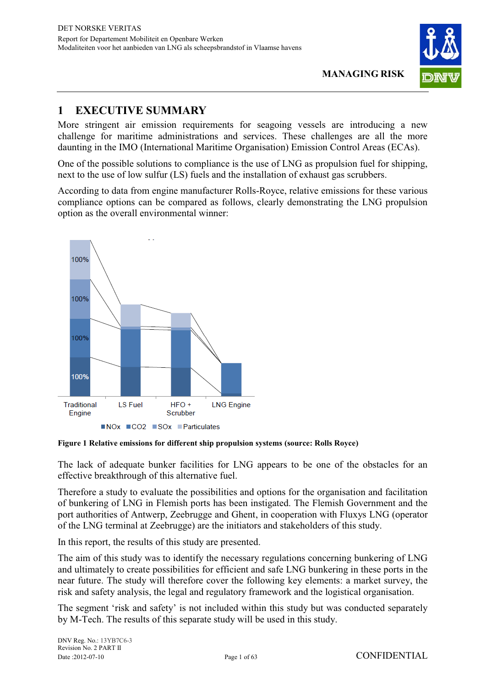

### **1 EXECUTIVE SUMMARY**

More stringent air emission requirements for seagoing vessels are introducing a new challenge for maritime administrations and services. These challenges are all the more daunting in the IMO (International Maritime Organisation) Emission Control Areas (ECAs).

One of the possible solutions to compliance is the use of LNG as propulsion fuel for shipping, next to the use of low sulfur (LS) fuels and the installation of exhaust gas scrubbers.

According to data from engine manufacturer Rolls-Royce, relative emissions for these various compliance options can be compared as follows, clearly demonstrating the LNG propulsion option as the overall environmental winner:



**Figure 1 Relative emissions for different ship propulsion systems (source: Rolls Royce)** 

The lack of adequate bunker facilities for LNG appears to be one of the obstacles for an effective breakthrough of this alternative fuel.

Therefore a study to evaluate the possibilities and options for the organisation and facilitation of bunkering of LNG in Flemish ports has been instigated. The Flemish Government and the port authorities of Antwerp, Zeebrugge and Ghent, in cooperation with Fluxys LNG (operator of the LNG terminal at Zeebrugge) are the initiators and stakeholders of this study.

In this report, the results of this study are presented.

The aim of this study was to identify the necessary regulations concerning bunkering of LNG and ultimately to create possibilities for efficient and safe LNG bunkering in these ports in the near future. The study will therefore cover the following key elements: a market survey, the risk and safety analysis, the legal and regulatory framework and the logistical organisation.

The segment 'risk and safety' is not included within this study but was conducted separately by M-Tech. The results of this separate study will be used in this study.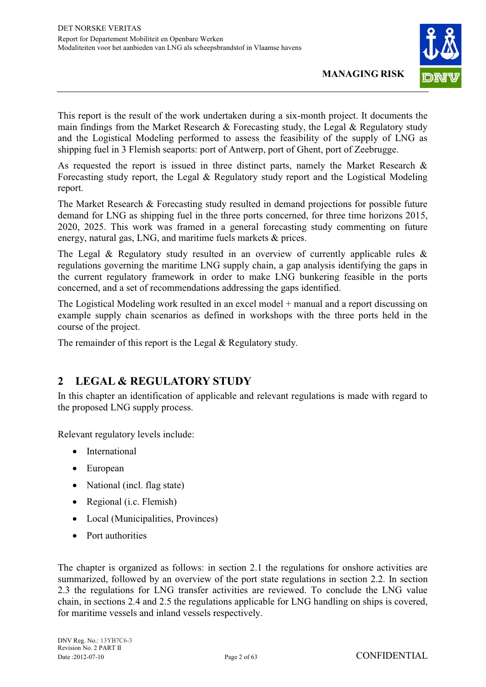

This report is the result of the work undertaken during a six-month project. It documents the main findings from the Market Research & Forecasting study, the Legal & Regulatory study and the Logistical Modeling performed to assess the feasibility of the supply of LNG as shipping fuel in 3 Flemish seaports: port of Antwerp, port of Ghent, port of Zeebrugge.

As requested the report is issued in three distinct parts, namely the Market Research & Forecasting study report, the Legal & Regulatory study report and the Logistical Modeling report.

The Market Research & Forecasting study resulted in demand projections for possible future demand for LNG as shipping fuel in the three ports concerned, for three time horizons 2015, 2020, 2025. This work was framed in a general forecasting study commenting on future energy, natural gas, LNG, and maritime fuels markets & prices.

The Legal & Regulatory study resulted in an overview of currently applicable rules  $\&$ regulations governing the maritime LNG supply chain, a gap analysis identifying the gaps in the current regulatory framework in order to make LNG bunkering feasible in the ports concerned, and a set of recommendations addressing the gaps identified.

The Logistical Modeling work resulted in an excel model + manual and a report discussing on example supply chain scenarios as defined in workshops with the three ports held in the course of the project.

The remainder of this report is the Legal & Regulatory study.

#### **2 LEGAL & REGULATORY STUDY**

In this chapter an identification of applicable and relevant regulations is made with regard to the proposed LNG supply process.

Relevant regulatory levels include:

- International
- European
- National (incl. flag state)
- Regional (i.c. Flemish)
- Local (Municipalities, Provinces)
- Port authorities

The chapter is organized as follows: in section 2.1 the regulations for onshore activities are summarized, followed by an overview of the port state regulations in section 2.2. In section 2.3 the regulations for LNG transfer activities are reviewed. To conclude the LNG value chain, in sections 2.4 and 2.5 the regulations applicable for LNG handling on ships is covered, for maritime vessels and inland vessels respectively.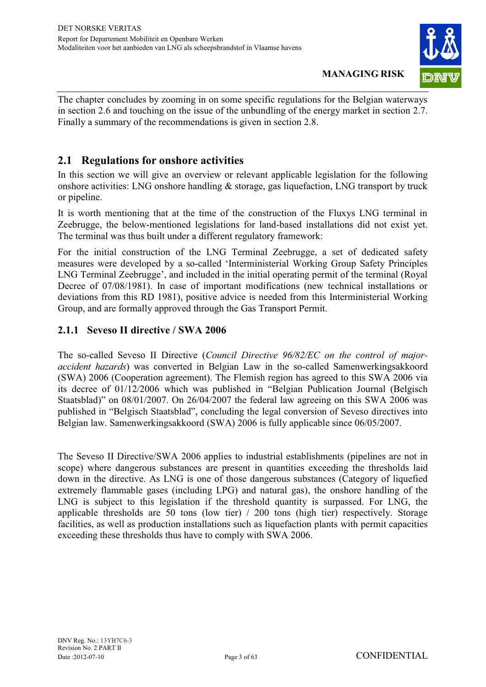

The chapter concludes by zooming in on some specific regulations for the Belgian waterways in section 2.6 and touching on the issue of the unbundling of the energy market in section 2.7. Finally a summary of the recommendations is given in section 2.8.

#### **2.1 Regulations for onshore activities**

In this section we will give an overview or relevant applicable legislation for the following onshore activities: LNG onshore handling  $\&$  storage, gas liquefaction, LNG transport by truck or pipeline.

It is worth mentioning that at the time of the construction of the Fluxys LNG terminal in Zeebrugge, the below-mentioned legislations for land-based installations did not exist yet. The terminal was thus built under a different regulatory framework:

For the initial construction of the LNG Terminal Zeebrugge, a set of dedicated safety measures were developed by a so-called 'Interministerial Working Group Safety Principles LNG Terminal Zeebrugge', and included in the initial operating permit of the terminal (Royal Decree of 07/08/1981). In case of important modifications (new technical installations or deviations from this RD 1981), positive advice is needed from this Interministerial Working Group, and are formally approved through the Gas Transport Permit.

#### **2.1.1 Seveso II directive / SWA 2006**

The so-called Seveso II Directive (*Council Directive 96/82/EC on the control of majoraccident hazards*) was converted in Belgian Law in the so-called Samenwerkingsakkoord (SWA) 2006 (Cooperation agreement). The Flemish region has agreed to this SWA 2006 via its decree of 01/12/2006 which was published in "Belgian Publication Journal (Belgisch Staatsblad)" on 08/01/2007. On 26/04/2007 the federal law agreeing on this SWA 2006 was published in "Belgisch Staatsblad", concluding the legal conversion of Seveso directives into Belgian law. Samenwerkingsakkoord (SWA) 2006 is fully applicable since 06/05/2007.

The Seveso II Directive/SWA 2006 applies to industrial establishments (pipelines are not in scope) where dangerous substances are present in quantities exceeding the thresholds laid down in the directive. As LNG is one of those dangerous substances (Category of liquefied extremely flammable gases (including LPG) and natural gas), the onshore handling of the LNG is subject to this legislation if the threshold quantity is surpassed. For LNG, the applicable thresholds are 50 tons (low tier) / 200 tons (high tier) respectively. Storage facilities, as well as production installations such as liquefaction plants with permit capacities exceeding these thresholds thus have to comply with SWA 2006.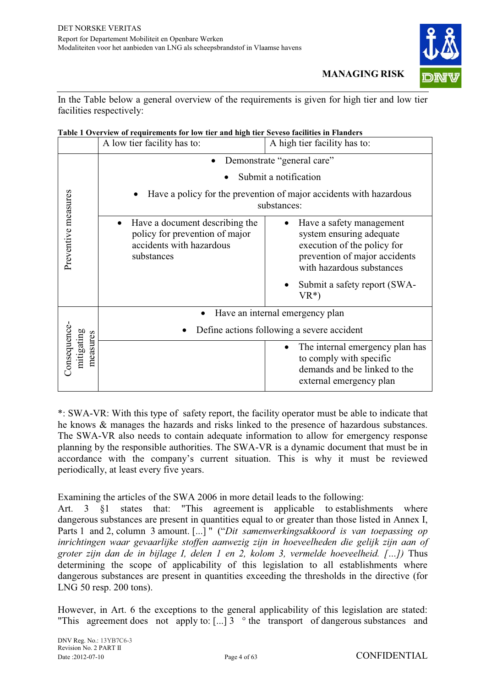

In the Table below a general overview of the requirements is given for high tier and low tier facilities respectively:

|  | Table 1 Overview of requirements for low tier and high tier Seveso facilities in Flanders |
|--|-------------------------------------------------------------------------------------------|
|  |                                                                                           |

|                                        | A low tier facility has to:                                                                                             | A high tier facility has to:                                                                                                                                                                |  |
|----------------------------------------|-------------------------------------------------------------------------------------------------------------------------|---------------------------------------------------------------------------------------------------------------------------------------------------------------------------------------------|--|
|                                        | Demonstrate "general care"<br>$\bullet$                                                                                 |                                                                                                                                                                                             |  |
|                                        | Submit a notification                                                                                                   |                                                                                                                                                                                             |  |
|                                        | Have a policy for the prevention of major accidents with hazardous<br>substances:                                       |                                                                                                                                                                                             |  |
| Preventive measures                    | Have a document describing the<br>$\bullet$<br>policy for prevention of major<br>accidents with hazardous<br>substances | Have a safety management<br>system ensuring adequate<br>execution of the policy for<br>prevention of major accidents<br>with hazardous substances<br>Submit a safety report (SWA-<br>$VR^*$ |  |
|                                        |                                                                                                                         | Have an internal emergency plan                                                                                                                                                             |  |
|                                        | Define actions following a severe accident                                                                              |                                                                                                                                                                                             |  |
| Consequence-<br>mitigating<br>measures |                                                                                                                         | The internal emergency plan has<br>to comply with specific<br>demands and be linked to the<br>external emergency plan                                                                       |  |

\*: SWA-VR: With this type of safety report, the facility operator must be able to indicate that he knows & manages the hazards and risks linked to the presence of hazardous substances. The SWA-VR also needs to contain adequate information to allow for emergency response planning by the responsible authorities. The SWA-VR is a dynamic document that must be in accordance with the company's current situation. This is why it must be reviewed periodically, at least every five years.

Examining the articles of the SWA 2006 in more detail leads to the following:

Art. 3 §1 states that: "This agreement is applicable to establishments where dangerous substances are present in quantities equal to or greater than those listed in Annex I, Parts 1 and 2, column 3 amount. [...] " ("*Dit samenwerkingsakkoord is van toepassing op inrichtingen waar gevaarlijke stoffen aanwezig zijn in hoeveelheden die gelijk zijn aan of groter zijn dan de in bijlage I, delen 1 en 2, kolom 3, vermelde hoeveelheid. […])* Thus determining the scope of applicability of this legislation to all establishments where dangerous substances are present in quantities exceeding the thresholds in the directive (for LNG 50 resp. 200 tons).

However, in Art. 6 the exceptions to the general applicability of this legislation are stated: "This agreement does not apply to:  $\left[ \ldots \right]$  3  $\degree$  the transport of dangerous substances and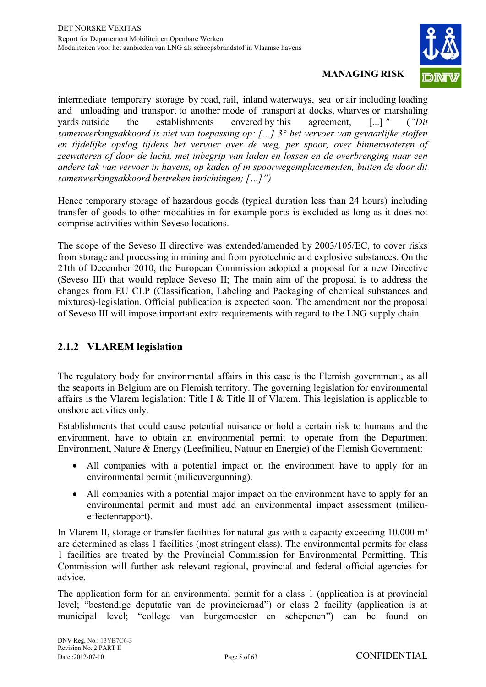

intermediate temporary storage by road, rail, inland waterways, sea or air including loading and unloading and transport to another mode of transport at docks, wharves or marshaling yards outside the establishments covered by this agreement, [...] *"* (*"Dit samenwerkingsakkoord is niet van toepassing op: […] 3° het vervoer van gevaarlijke stoffen en tijdelijke opslag tijdens het vervoer over de weg, per spoor, over binnenwateren of zeewateren of door de lucht, met inbegrip van laden en lossen en de overbrenging naar een andere tak van vervoer in havens, op kaden of in spoorwegemplacementen, buiten de door dit samenwerkingsakkoord bestreken inrichtingen; […]")* 

Hence temporary storage of hazardous goods (typical duration less than 24 hours) including transfer of goods to other modalities in for example ports is excluded as long as it does not comprise activities within Seveso locations.

The scope of the Seveso II directive was extended/amended by 2003/105/EC, to cover risks from storage and processing in mining and from pyrotechnic and explosive substances. On the 21th of December 2010, the European Commission adopted a proposal for a new Directive (Seveso III) that would replace Seveso II; The main aim of the proposal is to address the changes from EU CLP (Classification, Labeling and Packaging of chemical substances and mixtures)-legislation. Official publication is expected soon. The amendment nor the proposal of Seveso III will impose important extra requirements with regard to the LNG supply chain.

#### **2.1.2 VLAREM legislation**

The regulatory body for environmental affairs in this case is the Flemish government, as all the seaports in Belgium are on Flemish territory. The governing legislation for environmental affairs is the Vlarem legislation: Title I & Title II of Vlarem. This legislation is applicable to onshore activities only.

Establishments that could cause potential nuisance or hold a certain risk to humans and the environment, have to obtain an environmental permit to operate from the Department Environment, Nature & Energy (Leefmilieu, Natuur en Energie) of the Flemish Government:

- All companies with a potential impact on the environment have to apply for an environmental permit (milieuvergunning).
- All companies with a potential major impact on the environment have to apply for an environmental permit and must add an environmental impact assessment (milieueffectenrapport).

In Vlarem II, storage or transfer facilities for natural gas with a capacity exceeding  $10.000 \text{ m}^3$ are determined as class 1 facilities (most stringent class). The environmental permits for class 1 facilities are treated by the Provincial Commission for Environmental Permitting. This Commission will further ask relevant regional, provincial and federal official agencies for advice.

The application form for an environmental permit for a class 1 (application is at provincial level; "bestendige deputatie van de provincieraad") or class 2 facility (application is at municipal level; "college van burgemeester en schepenen") can be found on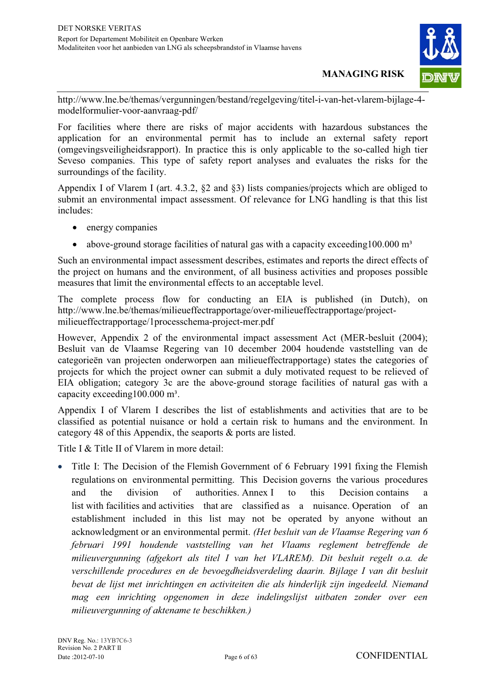

http://www.lne.be/themas/vergunningen/bestand/regelgeving/titel-i-van-het-vlarem-bijlage-4 modelformulier-voor-aanvraag-pdf/

For facilities where there are risks of major accidents with hazardous substances the application for an environmental permit has to include an external safety report (omgevingsveiligheidsrapport). In practice this is only applicable to the so-called high tier Seveso companies. This type of safety report analyses and evaluates the risks for the surroundings of the facility.

Appendix I of Vlarem I (art. 4.3.2, §2 and §3) lists companies/projects which are obliged to submit an environmental impact assessment. Of relevance for LNG handling is that this list includes:

- energy companies
- $\bullet$ above-ground storage facilities of natural gas with a capacity exceeding  $100.000 \text{ m}^3$

Such an environmental impact assessment describes, estimates and reports the direct effects of the project on humans and the environment, of all business activities and proposes possible measures that limit the environmental effects to an acceptable level.

The complete process flow for conducting an EIA is published (in Dutch), on http://www.lne.be/themas/milieueffectrapportage/over-milieueffectrapportage/projectmilieueffectrapportage/1processchema-project-mer.pdf

However, Appendix 2 of the environmental impact assessment Act (MER-besluit (2004); Besluit van de Vlaamse Regering van 10 december 2004 houdende vaststelling van de categorieën van projecten onderworpen aan milieueffectrapportage) states the categories of projects for which the project owner can submit a duly motivated request to be relieved of EIA obligation; category 3c are the above-ground storage facilities of natural gas with a capacity exceeding100.000 m<sup>3</sup>.

Appendix I of Vlarem I describes the list of establishments and activities that are to be classified as potential nuisance or hold a certain risk to humans and the environment. In category 48 of this Appendix, the seaports & ports are listed.

Title I & Title II of Vlarem in more detail:

• Title I: The Decision of the Flemish Government of 6 February 1991 fixing the Flemish regulations on environmental permitting. This Decision governs the various procedures and the division of authorities. Annex I to this Decision contains a list with facilities and activities that are classified as a nuisance. Operation of an establishment included in this list may not be operated by anyone without an acknowledgment or an environmental permit. *(Het besluit van de Vlaamse Regering van 6 februari 1991 houdende vaststelling van het Vlaams reglement betreffende de milieuvergunning (afgekort als titel I van het VLAREM). Dit besluit regelt o.a. de verschillende procedures en de bevoegdheidsverdeling daarin. Bijlage I van dit besluit bevat de lijst met inrichtingen en activiteiten die als hinderlijk zijn ingedeeld. Niemand mag een inrichting opgenomen in deze indelingslijst uitbaten zonder over een milieuvergunning of aktename te beschikken.)*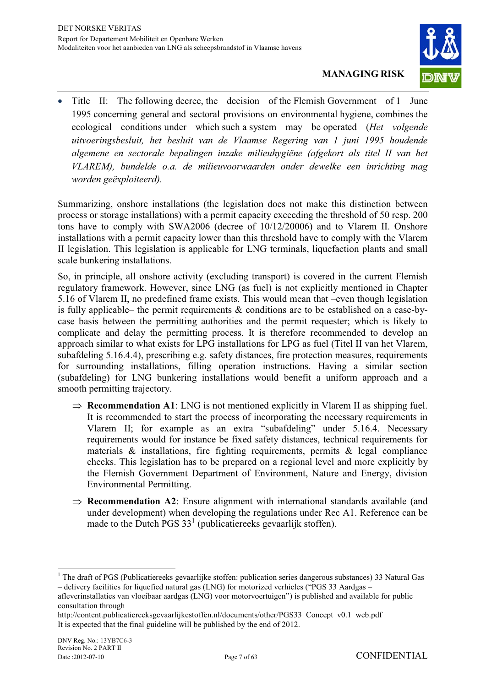

- Title II: The following decree, the decision of the Flemish Government of 1 June 1995 concerning general and sectoral provisions on environmental hygiene, combines the ecological conditions under which such a system may be operated (*Het volgende uitvoeringsbesluit, het besluit van de Vlaamse Regering van 1 juni 1995 houdende algemene en sectorale bepalingen inzake milieuhygiëne (afgekort als titel II van het VLAREM), bundelde o.a. de milieuvoorwaarden onder dewelke een inrichting mag worden geëxploiteerd).*

Summarizing, onshore installations (the legislation does not make this distinction between process or storage installations) with a permit capacity exceeding the threshold of 50 resp. 200 tons have to comply with SWA2006 (decree of 10/12/20006) and to Vlarem II. Onshore installations with a permit capacity lower than this threshold have to comply with the Vlarem II legislation. This legislation is applicable for LNG terminals, liquefaction plants and small scale bunkering installations.

So, in principle, all onshore activity (excluding transport) is covered in the current Flemish regulatory framework. However, since LNG (as fuel) is not explicitly mentioned in Chapter 5.16 of Vlarem II, no predefined frame exists. This would mean that –even though legislation is fully applicable– the permit requirements & conditions are to be established on a case-bycase basis between the permitting authorities and the permit requester; which is likely to complicate and delay the permitting process. It is therefore recommended to develop an approach similar to what exists for LPG installations for LPG as fuel (Titel II van het Vlarem, subafdeling 5.16.4.4), prescribing e.g. safety distances, fire protection measures, requirements for surrounding installations, filling operation instructions. Having a similar section (subafdeling) for LNG bunkering installations would benefit a uniform approach and a smooth permitting trajectory.

- $\Rightarrow$  **Recommendation A1**: LNG is not mentioned explicitly in Vlarem II as shipping fuel. It is recommended to start the process of incorporating the necessary requirements in Vlarem II; for example as an extra "subafdeling" under 5.16.4. Necessary requirements would for instance be fixed safety distances, technical requirements for materials  $\&$  installations, fire fighting requirements, permits  $\&$  legal compliance checks. This legislation has to be prepared on a regional level and more explicitly by the Flemish Government Department of Environment, Nature and Energy, division Environmental Permitting.
- $\Rightarrow$  **Recommendation A2**: Ensure alignment with international standards available (and under development) when developing the regulations under Rec A1. Reference can be made to the Dutch PGS  $33<sup>1</sup>$  (publicatiereeks gevaarlijk stoffen).

 $\overline{a}$ 

<sup>&</sup>lt;sup>1</sup> The draft of PGS (Publicatiereeks gevaarlijke stoffen: publication series dangerous substances) 33 Natural Gas – delivery facilities for liquefied natural gas (LNG) for motorized verhicles ("PGS 33 Aardgas –

afleverinstallaties van vloeibaar aardgas (LNG) voor motorvoertuigen") is published and available for public consultation through

http://content.publicatiereeksgevaarlijkestoffen.nl/documents/other/PGS33\_Concept\_v0.1\_web.pdf It is expected that the final guideline will be published by the end of 2012.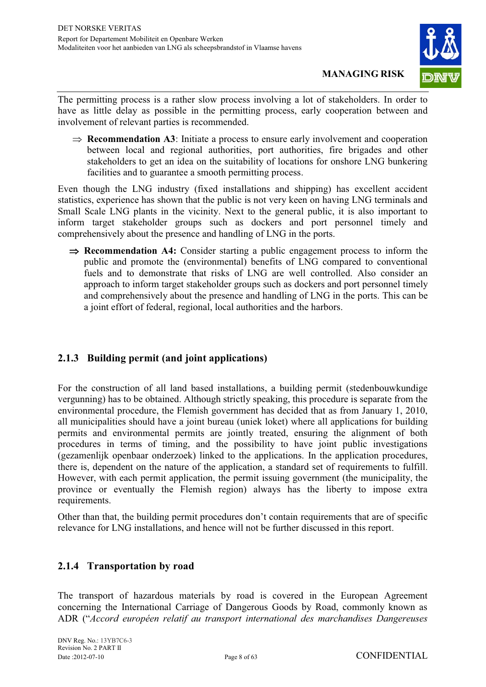

The permitting process is a rather slow process involving a lot of stakeholders. In order to have as little delay as possible in the permitting process, early cooperation between and involvement of relevant parties is recommended.

 $\Rightarrow$  **Recommendation A3**: Initiate a process to ensure early involvement and cooperation between local and regional authorities, port authorities, fire brigades and other stakeholders to get an idea on the suitability of locations for onshore LNG bunkering facilities and to guarantee a smooth permitting process.

Even though the LNG industry (fixed installations and shipping) has excellent accident statistics, experience has shown that the public is not very keen on having LNG terminals and Small Scale LNG plants in the vicinity. Next to the general public, it is also important to inform target stakeholder groups such as dockers and port personnel timely and comprehensively about the presence and handling of LNG in the ports.

**Recommendation A4:** Consider starting a public engagement process to inform the public and promote the (environmental) benefits of LNG compared to conventional fuels and to demonstrate that risks of LNG are well controlled. Also consider an approach to inform target stakeholder groups such as dockers and port personnel timely and comprehensively about the presence and handling of LNG in the ports. This can be a joint effort of federal, regional, local authorities and the harbors.

#### **2.1.3 Building permit (and joint applications)**

For the construction of all land based installations, a building permit (stedenbouwkundige vergunning) has to be obtained. Although strictly speaking, this procedure is separate from the environmental procedure, the Flemish government has decided that as from January 1, 2010, all municipalities should have a joint bureau (uniek loket) where all applications for building permits and environmental permits are jointly treated, ensuring the alignment of both procedures in terms of timing, and the possibility to have joint public investigations (gezamenlijk openbaar onderzoek) linked to the applications. In the application procedures, there is, dependent on the nature of the application, a standard set of requirements to fulfill. However, with each permit application, the permit issuing government (the municipality, the province or eventually the Flemish region) always has the liberty to impose extra requirements.

Other than that, the building permit procedures don't contain requirements that are of specific relevance for LNG installations, and hence will not be further discussed in this report.

#### **2.1.4 Transportation by road**

The transport of hazardous materials by road is covered in the European Agreement concerning the International Carriage of Dangerous Goods by Road, commonly known as ADR ("*Accord européen relatif au transport international des marchandises Dangereuses*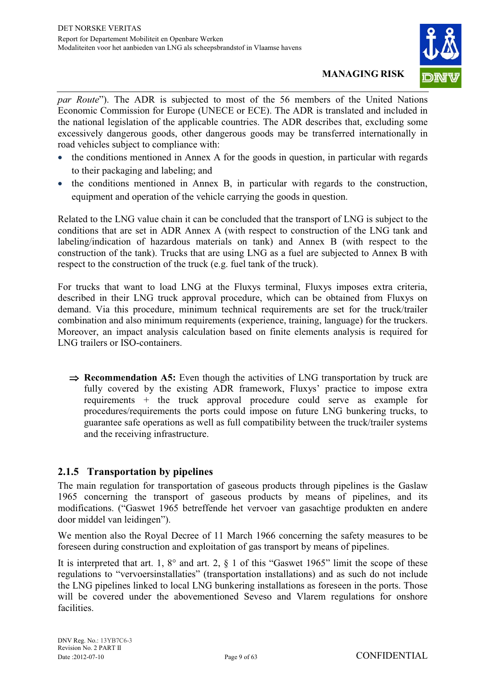

*par Route*"). The ADR is subjected to most of the 56 members of the United Nations Economic Commission for Europe (UNECE or ECE). The ADR is translated and included in the national legislation of the applicable countries. The ADR describes that, excluding some excessively dangerous goods, other dangerous goods may be transferred internationally in road vehicles subject to compliance with:

- the conditions mentioned in Annex A for the goods in question, in particular with regards to their packaging and labeling; and
- the conditions mentioned in Annex B, in particular with regards to the construction, equipment and operation of the vehicle carrying the goods in question.

Related to the LNG value chain it can be concluded that the transport of LNG is subject to the conditions that are set in ADR Annex A (with respect to construction of the LNG tank and labeling/indication of hazardous materials on tank) and Annex B (with respect to the construction of the tank). Trucks that are using LNG as a fuel are subjected to Annex B with respect to the construction of the truck (e.g. fuel tank of the truck).

For trucks that want to load LNG at the Fluxys terminal, Fluxys imposes extra criteria, described in their LNG truck approval procedure, which can be obtained from Fluxys on demand. Via this procedure, minimum technical requirements are set for the truck/trailer combination and also minimum requirements (experience, training, language) for the truckers. Moreover, an impact analysis calculation based on finite elements analysis is required for LNG trailers or ISO-containers.

**Recommendation A5:** Even though the activities of LNG transportation by truck are fully covered by the existing ADR framework, Fluxys' practice to impose extra requirements + the truck approval procedure could serve as example for procedures/requirements the ports could impose on future LNG bunkering trucks, to guarantee safe operations as well as full compatibility between the truck/trailer systems and the receiving infrastructure.

#### **2.1.5 Transportation by pipelines**

The main regulation for transportation of gaseous products through pipelines is the Gaslaw 1965 concerning the transport of gaseous products by means of pipelines, and its modifications. ("Gaswet 1965 betreffende het vervoer van gasachtige produkten en andere door middel van leidingen").

We mention also the Royal Decree of 11 March 1966 concerning the safety measures to be foreseen during construction and exploitation of gas transport by means of pipelines.

It is interpreted that art. 1,  $8^{\circ}$  and art. 2,  $\S$  1 of this "Gaswet 1965" limit the scope of these regulations to "vervoersinstallaties" (transportation installations) and as such do not include the LNG pipelines linked to local LNG bunkering installations as foreseen in the ports. Those will be covered under the abovementioned Seveso and Vlarem regulations for onshore facilities.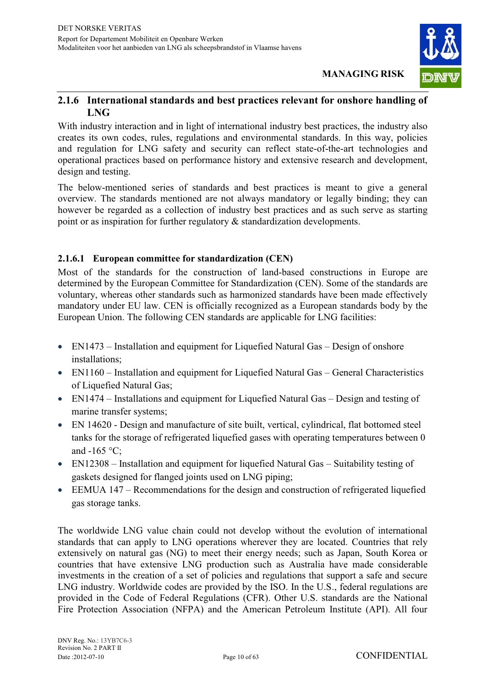

#### **2.1.6 International standards and best practices relevant for onshore handling of LNG**

With industry interaction and in light of international industry best practices, the industry also creates its own codes, rules, regulations and environmental standards. In this way, policies and regulation for LNG safety and security can reflect state-of-the-art technologies and operational practices based on performance history and extensive research and development, design and testing.

The below-mentioned series of standards and best practices is meant to give a general overview. The standards mentioned are not always mandatory or legally binding; they can however be regarded as a collection of industry best practices and as such serve as starting point or as inspiration for further regulatory & standardization developments.

#### **2.1.6.1 European committee for standardization (CEN)**

Most of the standards for the construction of land-based constructions in Europe are determined by the European Committee for Standardization (CEN). Some of the standards are voluntary, whereas other standards such as harmonized standards have been made effectively mandatory under EU law. CEN is officially recognized as a European standards body by the European Union. The following CEN standards are applicable for LNG facilities:

- EN1473 Installation and equipment for Liquefied Natural Gas Design of onshore installations;
- EN1160 Installation and equipment for Liquefied Natural Gas General Characteristics of Liquefied Natural Gas;
- EN1474 Installations and equipment for Liquefied Natural Gas Design and testing of marine transfer systems;
- EN 14620 Design and manufacture of site built, vertical, cylindrical, flat bottomed steel tanks for the storage of refrigerated liquefied gases with operating temperatures between 0 and  $-165$  °C:
- EN12308 Installation and equipment for liquefied Natural Gas Suitability testing of gaskets designed for flanged joints used on LNG piping;
- EEMUA 147 Recommendations for the design and construction of refrigerated liquefied gas storage tanks.

The worldwide LNG value chain could not develop without the evolution of international standards that can apply to LNG operations wherever they are located. Countries that rely extensively on natural gas (NG) to meet their energy needs; such as Japan, South Korea or countries that have extensive LNG production such as Australia have made considerable investments in the creation of a set of policies and regulations that support a safe and secure LNG industry. Worldwide codes are provided by the ISO. In the U.S., federal regulations are provided in the Code of Federal Regulations (CFR). Other U.S. standards are the National Fire Protection Association (NFPA) and the American Petroleum Institute (API). All four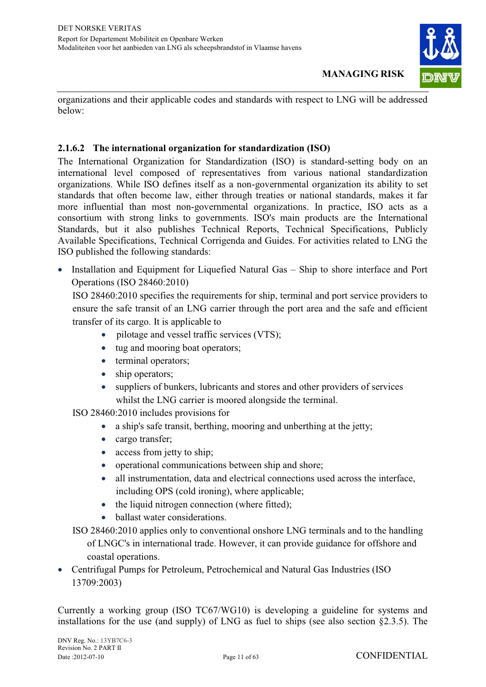

organizations and their applicable codes and standards with respect to LNG will be addressed below:

#### **2.1.6.2 The international organization for standardization (ISO)**

The International Organization for Standardization (ISO) is standard-setting body on an international level composed of representatives from various national standardization organizations. While ISO defines itself as a non-governmental organization its ability to set standards that often become law, either through treaties or national standards, makes it far more influential than most non-governmental organizations. In practice, ISO acts as a consortium with strong links to governments. ISO's main products are the International Standards, but it also publishes Technical Reports, Technical Specifications, Publicly Available Specifications, Technical Corrigenda and Guides. For activities related to LNG the ISO published the following standards:

• Installation and Equipment for Liquefied Natural Gas - Ship to shore interface and Port Operations (ISO 28460:2010)

ISO 28460:2010 specifies the requirements for ship, terminal and port service providers to ensure the safe transit of an LNG carrier through the port area and the safe and efficient transfer of its cargo. It is applicable to

- $\bullet$ pilotage and vessel traffic services (VTS);
- tug and mooring boat operators;
- terminal operators;
- ship operators;
- $\bullet$  suppliers of bunkers, lubricants and stores and other providers of services whilst the LNG carrier is moored alongside the terminal.
- ISO 28460:2010 includes provisions for
	- $\bullet$ a ship's safe transit, berthing, mooring and unberthing at the jetty;
	- cargo transfer;
	- access from jetty to ship;
	- $\bullet$ operational communications between ship and shore;
	- $\bullet$  all instrumentation, data and electrical connections used across the interface, including OPS (cold ironing), where applicable;
	- the liquid nitrogen connection (where fitted);
	- $\bullet$ ballast water considerations.
- ISO 28460:2010 applies only to conventional onshore LNG terminals and to the handling of LNGC's in international trade. However, it can provide guidance for offshore and coastal operations.
- Centrifugal Pumps for Petroleum, Petrochemical and Natural Gas Industries (ISO 13709:2003)

Currently a working group (ISO TC67/WG10) is developing a guideline for systems and installations for the use (and supply) of LNG as fuel to ships (see also section §2.3.5). The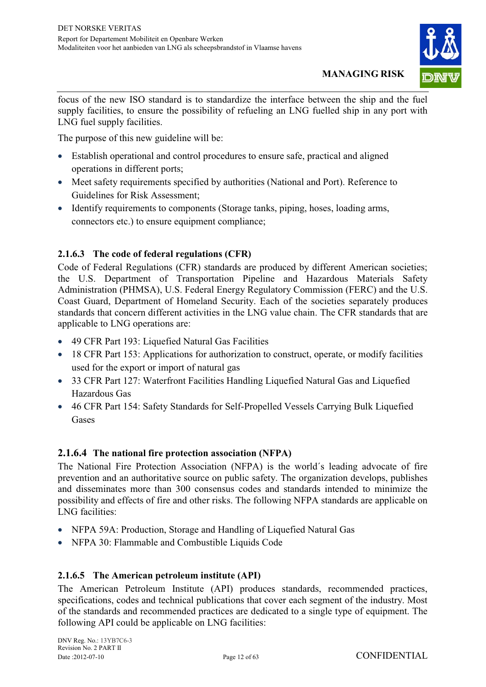

focus of the new ISO standard is to standardize the interface between the ship and the fuel supply facilities, to ensure the possibility of refueling an LNG fuelled ship in any port with LNG fuel supply facilities.

The purpose of this new guideline will be:

- Establish operational and control procedures to ensure safe, practical and aligned operations in different ports;
- Meet safety requirements specified by authorities (National and Port). Reference to Guidelines for Risk Assessment;
- Identify requirements to components (Storage tanks, piping, hoses, loading arms, connectors etc.) to ensure equipment compliance;

#### **2.1.6.3 The code of federal regulations (CFR)**

Code of Federal Regulations (CFR) standards are produced by different American societies; the U.S. Department of Transportation Pipeline and Hazardous Materials Safety Administration (PHMSA), U.S. Federal Energy Regulatory Commission (FERC) and the U.S. Coast Guard, Department of Homeland Security. Each of the societies separately produces standards that concern different activities in the LNG value chain. The CFR standards that are applicable to LNG operations are:

- 49 CFR Part 193: Liquefied Natural Gas Facilities
- 18 CFR Part 153: Applications for authorization to construct, operate, or modify facilities used for the export or import of natural gas
- 33 CFR Part 127: Waterfront Facilities Handling Liquefied Natural Gas and Liquefied Hazardous Gas
- 46 CFR Part 154: Safety Standards for Self-Propelled Vessels Carrying Bulk Liquefied Gases

#### **2.1.6.4 The national fire protection association (NFPA)**

The National Fire Protection Association (NFPA) is the world´s leading advocate of fire prevention and an authoritative source on public safety. The organization develops, publishes and disseminates more than 300 consensus codes and standards intended to minimize the possibility and effects of fire and other risks. The following NFPA standards are applicable on LNG facilities:

- NFPA 59A: Production, Storage and Handling of Liquefied Natural Gas
- NFPA 30: Flammable and Combustible Liquids Code

#### **2.1.6.5 The American petroleum institute (API)**

The American Petroleum Institute (API) produces standards, recommended practices, specifications, codes and technical publications that cover each segment of the industry. Most of the standards and recommended practices are dedicated to a single type of equipment. The following API could be applicable on LNG facilities: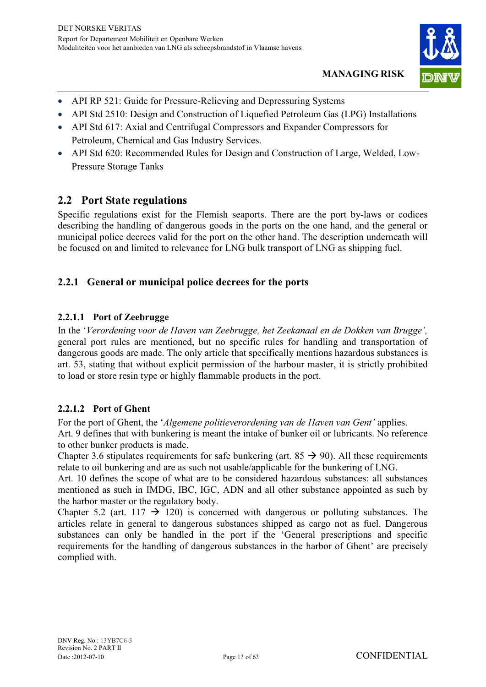

- API RP 521: Guide for Pressure-Relieving and Depressuring Systems
- API Std 2510: Design and Construction of Liquefied Petroleum Gas (LPG) Installations
- API Std 617: Axial and Centrifugal Compressors and Expander Compressors for Petroleum, Chemical and Gas Industry Services.
- API Std 620: Recommended Rules for Design and Construction of Large, Welded, Low-Pressure Storage Tanks

### **2.2 Port State regulations**

Specific regulations exist for the Flemish seaports. There are the port by-laws or codices describing the handling of dangerous goods in the ports on the one hand, and the general or municipal police decrees valid for the port on the other hand. The description underneath will be focused on and limited to relevance for LNG bulk transport of LNG as shipping fuel.

#### **2.2.1 General or municipal police decrees for the ports**

#### **2.2.1.1 Port of Zeebrugge**

In the '*Verordening voor de Haven van Zeebrugge, het Zeekanaal en de Dokken van Brugge',*  general port rules are mentioned, but no specific rules for handling and transportation of dangerous goods are made. The only article that specifically mentions hazardous substances is art. 53, stating that without explicit permission of the harbour master, it is strictly prohibited to load or store resin type or highly flammable products in the port.

#### **2.2.1.2 Port of Ghent**

For the port of Ghent, the '*Algemene politieverordening van de Haven van Gent'* applies. Art. 9 defines that with bunkering is meant the intake of bunker oil or lubricants. No reference to other bunker products is made.

Chapter 3.6 stipulates requirements for safe bunkering (art.  $85 \rightarrow 90$ ). All these requirements relate to oil bunkering and are as such not usable/applicable for the bunkering of LNG.

Art. 10 defines the scope of what are to be considered hazardous substances: all substances mentioned as such in IMDG, IBC, IGC, ADN and all other substance appointed as such by the harbor master or the regulatory body.

Chapter 5.2 (art. 117  $\rightarrow$  120) is concerned with dangerous or polluting substances. The articles relate in general to dangerous substances shipped as cargo not as fuel. Dangerous substances can only be handled in the port if the 'General prescriptions and specific requirements for the handling of dangerous substances in the harbor of Ghent' are precisely complied with.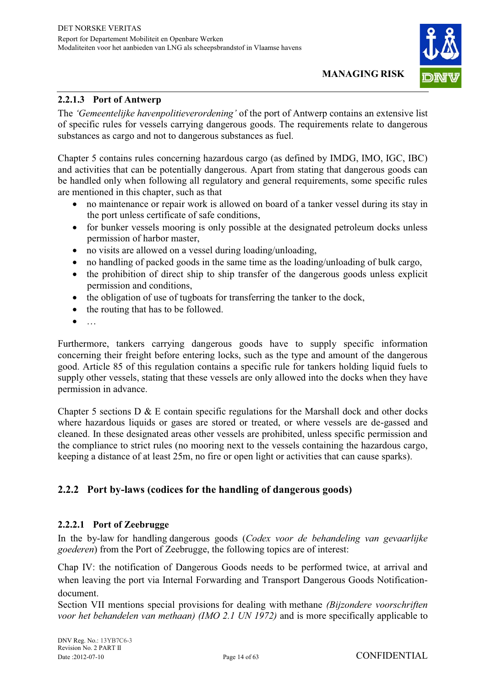

#### **2.2.1.3 Port of Antwerp**

The *'Gemeentelijke havenpolitieverordening'* of the port of Antwerp contains an extensive list of specific rules for vessels carrying dangerous goods. The requirements relate to dangerous substances as cargo and not to dangerous substances as fuel.

Chapter 5 contains rules concerning hazardous cargo (as defined by IMDG, IMO, IGC, IBC) and activities that can be potentially dangerous. Apart from stating that dangerous goods can be handled only when following all regulatory and general requirements, some specific rules are mentioned in this chapter, such as that

- no maintenance or repair work is allowed on board of a tanker vessel during its stay in the port unless certificate of safe conditions,
- for bunker vessels mooring is only possible at the designated petroleum docks unless permission of harbor master,
- no visits are allowed on a vessel during loading/unloading,
- no handling of packed goods in the same time as the loading/unloading of bulk cargo,
- the prohibition of direct ship to ship transfer of the dangerous goods unless explicit permission and conditions,
- the obligation of use of tugboats for transferring the tanker to the dock,
- the routing that has to be followed.
- $\bullet$ …

Furthermore, tankers carrying dangerous goods have to supply specific information concerning their freight before entering locks, such as the type and amount of the dangerous good. Article 85 of this regulation contains a specific rule for tankers holding liquid fuels to supply other vessels, stating that these vessels are only allowed into the docks when they have permission in advance.

Chapter 5 sections  $D \& E$  contain specific regulations for the Marshall dock and other docks where hazardous liquids or gases are stored or treated, or where vessels are de-gassed and cleaned. In these designated areas other vessels are prohibited, unless specific permission and the compliance to strict rules (no mooring next to the vessels containing the hazardous cargo, keeping a distance of at least 25m, no fire or open light or activities that can cause sparks).

#### **2.2.2 Port by-laws (codices for the handling of dangerous goods)**

#### **2.2.2.1 Port of Zeebrugge**

In the by-law for handling dangerous goods (*Codex voor de behandeling van gevaarlijke goederen*) from the Port of Zeebrugge, the following topics are of interest:

Chap IV: the notification of Dangerous Goods needs to be performed twice, at arrival and when leaving the port via Internal Forwarding and Transport Dangerous Goods Notificationdocument.

Section VII mentions special provisions for dealing with methane *(Bijzondere voorschriften voor het behandelen van methaan) (IMO 2.1 UN 1972)* and is more specifically applicable to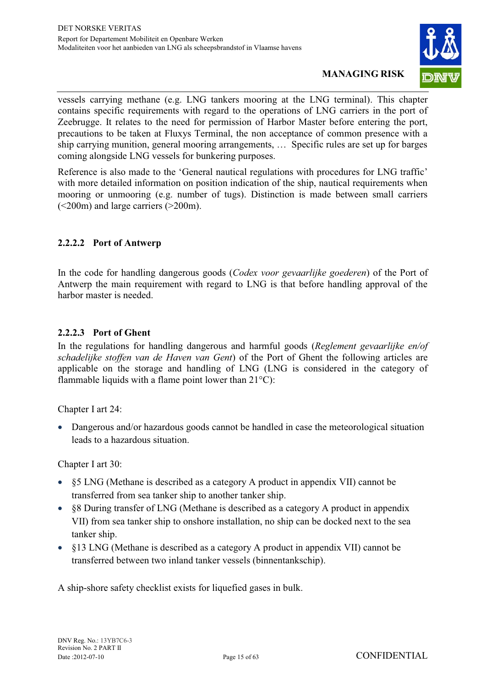

vessels carrying methane (e.g. LNG tankers mooring at the LNG terminal). This chapter contains specific requirements with regard to the operations of LNG carriers in the port of Zeebrugge. It relates to the need for permission of Harbor Master before entering the port, precautions to be taken at Fluxys Terminal, the non acceptance of common presence with a ship carrying munition, general mooring arrangements, … Specific rules are set up for barges coming alongside LNG vessels for bunkering purposes.

Reference is also made to the 'General nautical regulations with procedures for LNG traffic' with more detailed information on position indication of the ship, nautical requirements when mooring or unmooring (e.g. number of tugs). Distinction is made between small carriers (<200m) and large carriers (>200m).

#### **2.2.2.2 Port of Antwerp**

In the code for handling dangerous goods (*Codex voor gevaarlijke goederen*) of the Port of Antwerp the main requirement with regard to LNG is that before handling approval of the harbor master is needed.

#### **2.2.2.3 Port of Ghent**

In the regulations for handling dangerous and harmful goods (*Reglement gevaarlijke en/of schadelijke stoffen van de Haven van Gent*) of the Port of Ghent the following articles are applicable on the storage and handling of LNG (LNG is considered in the category of flammable liquids with a flame point lower than  $21^{\circ}$ C):

Chapter I art 24:

- Dangerous and/or hazardous goods cannot be handled in case the meteorological situation leads to a hazardous situation.

Chapter I art 30:

- §5 LNG (Methane is described as a category A product in appendix VII) cannot be transferred from sea tanker ship to another tanker ship.
- §8 During transfer of LNG (Methane is described as a category A product in appendix VII) from sea tanker ship to onshore installation, no ship can be docked next to the sea tanker ship.
- §13 LNG (Methane is described as a category A product in appendix VII) cannot be transferred between two inland tanker vessels (binnentankschip).

A ship-shore safety checklist exists for liquefied gases in bulk.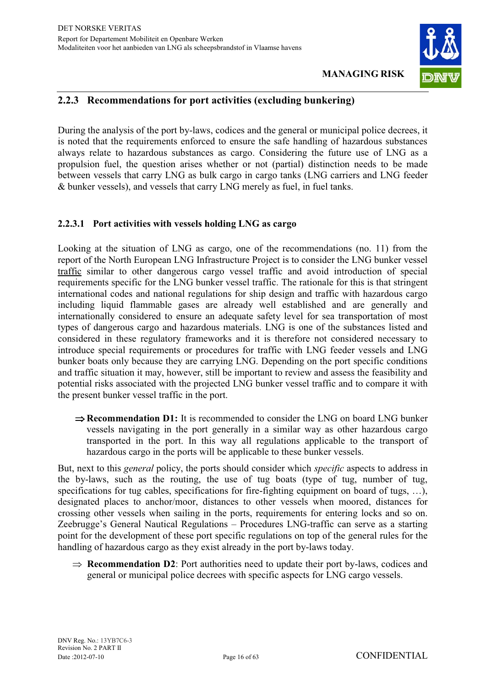

#### **2.2.3 Recommendations for port activities (excluding bunkering)**

During the analysis of the port by-laws, codices and the general or municipal police decrees, it is noted that the requirements enforced to ensure the safe handling of hazardous substances always relate to hazardous substances as cargo. Considering the future use of LNG as a propulsion fuel, the question arises whether or not (partial) distinction needs to be made between vessels that carry LNG as bulk cargo in cargo tanks (LNG carriers and LNG feeder & bunker vessels), and vessels that carry LNG merely as fuel, in fuel tanks.

#### **2.2.3.1 Port activities with vessels holding LNG as cargo**

Looking at the situation of LNG as cargo, one of the recommendations (no. 11) from the report of the North European LNG Infrastructure Project is to consider the LNG bunker vessel traffic similar to other dangerous cargo vessel traffic and avoid introduction of special requirements specific for the LNG bunker vessel traffic. The rationale for this is that stringent international codes and national regulations for ship design and traffic with hazardous cargo including liquid flammable gases are already well established and are generally and internationally considered to ensure an adequate safety level for sea transportation of most types of dangerous cargo and hazardous materials. LNG is one of the substances listed and considered in these regulatory frameworks and it is therefore not considered necessary to introduce special requirements or procedures for traffic with LNG feeder vessels and LNG bunker boats only because they are carrying LNG. Depending on the port specific conditions and traffic situation it may, however, still be important to review and assess the feasibility and potential risks associated with the projected LNG bunker vessel traffic and to compare it with the present bunker vessel traffic in the port.

**⇒ Recommendation D1:** It is recommended to consider the LNG on board LNG bunker vessels navigating in the port generally in a similar way as other hazardous cargo transported in the port. In this way all regulations applicable to the transport of hazardous cargo in the ports will be applicable to these bunker vessels.

But, next to this *general* policy, the ports should consider which *specific* aspects to address in the by-laws, such as the routing, the use of tug boats (type of tug, number of tug, specifications for tug cables, specifications for fire-fighting equipment on board of tugs, ...), designated places to anchor/moor, distances to other vessels when moored, distances for crossing other vessels when sailing in the ports, requirements for entering locks and so on. Zeebrugge's General Nautical Regulations – Procedures LNG-traffic can serve as a starting point for the development of these port specific regulations on top of the general rules for the handling of hazardous cargo as they exist already in the port by-laws today.

 $\Rightarrow$  **Recommendation D2**: Port authorities need to update their port by-laws, codices and general or municipal police decrees with specific aspects for LNG cargo vessels.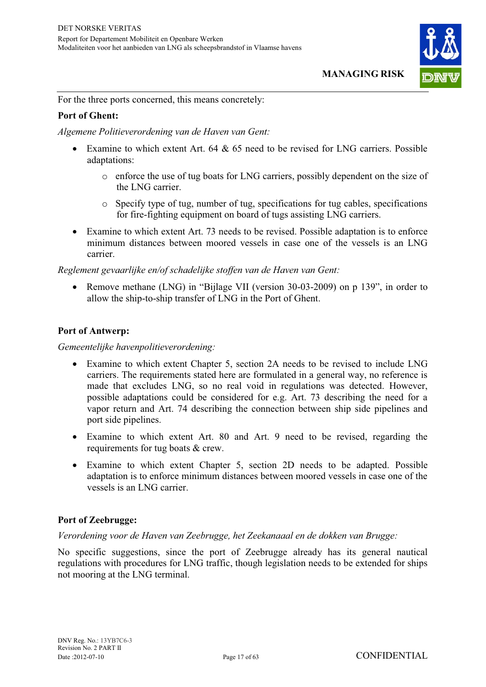

For the three ports concerned, this means concretely:

#### **Port of Ghent:**

*Algemene Politieverordening van de Haven van Gent:* 

- Examine to which extent Art. 64 & 65 need to be revised for LNG carriers. Possible adaptations:
	- o enforce the use of tug boats for LNG carriers, possibly dependent on the size of the LNG carrier.
	- $\circ$  Specify type of tug, number of tug, specifications for tug cables, specifications for fire-fighting equipment on board of tugs assisting LNG carriers.
- Examine to which extent Art. 73 needs to be revised. Possible adaptation is to enforce minimum distances between moored vessels in case one of the vessels is an LNG carrier.

*Reglement gevaarlijke en/of schadelijke stoffen van de Haven van Gent:* 

• Remove methane (LNG) in "Bijlage VII (version 30-03-2009) on p 139", in order to allow the ship-to-ship transfer of LNG in the Port of Ghent.

#### **Port of Antwerp:**

*Gemeentelijke havenpolitieverordening:* 

- Examine to which extent Chapter 5, section 2A needs to be revised to include LNG carriers. The requirements stated here are formulated in a general way, no reference is made that excludes LNG, so no real void in regulations was detected. However, possible adaptations could be considered for e.g. Art. 73 describing the need for a vapor return and Art. 74 describing the connection between ship side pipelines and port side pipelines.
- Examine to which extent Art. 80 and Art. 9 need to be revised, regarding the requirements for tug boats & crew.
- Examine to which extent Chapter 5, section 2D needs to be adapted. Possible adaptation is to enforce minimum distances between moored vessels in case one of the vessels is an LNG carrier.

#### **Port of Zeebrugge:**

*Verordening voor de Haven van Zeebrugge, het Zeekanaaal en de dokken van Brugge:* 

No specific suggestions, since the port of Zeebrugge already has its general nautical regulations with procedures for LNG traffic, though legislation needs to be extended for ships not mooring at the LNG terminal.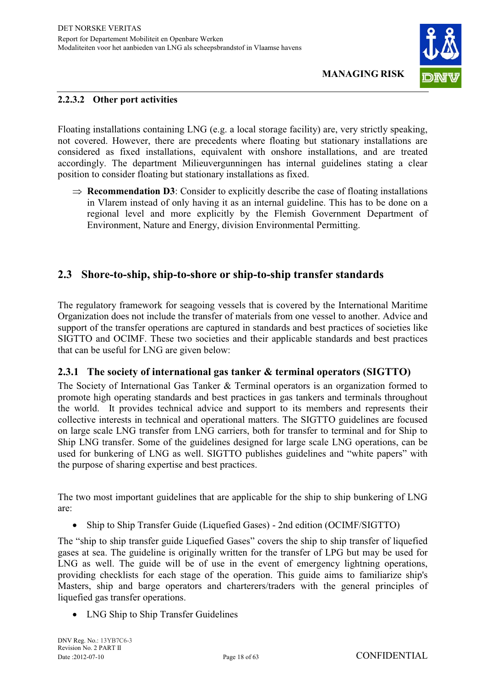

#### **2.2.3.2 Other port activities**

Floating installations containing LNG (e.g. a local storage facility) are, very strictly speaking, not covered. However, there are precedents where floating but stationary installations are considered as fixed installations, equivalent with onshore installations, and are treated accordingly. The department Milieuvergunningen has internal guidelines stating a clear position to consider floating but stationary installations as fixed.

 $\Rightarrow$  **Recommendation D3**: Consider to explicitly describe the case of floating installations in Vlarem instead of only having it as an internal guideline. This has to be done on a regional level and more explicitly by the Flemish Government Department of Environment, Nature and Energy, division Environmental Permitting.

#### **2.3 Shore-to-ship, ship-to-shore or ship-to-ship transfer standards**

The regulatory framework for seagoing vessels that is covered by the International Maritime Organization does not include the transfer of materials from one vessel to another. Advice and support of the transfer operations are captured in standards and best practices of societies like SIGTTO and OCIMF. These two societies and their applicable standards and best practices that can be useful for LNG are given below:

#### **2.3.1 The society of international gas tanker & terminal operators (SIGTTO)**

The Society of International Gas Tanker & Terminal operators is an organization formed to promote high operating standards and best practices in gas tankers and terminals throughout the world. It provides technical advice and support to its members and represents their collective interests in technical and operational matters. The SIGTTO guidelines are focused on large scale LNG transfer from LNG carriers, both for transfer to terminal and for Ship to Ship LNG transfer. Some of the guidelines designed for large scale LNG operations, can be used for bunkering of LNG as well. SIGTTO publishes guidelines and "white papers" with the purpose of sharing expertise and best practices.

The two most important guidelines that are applicable for the ship to ship bunkering of LNG are:

• Ship to Ship Transfer Guide (Liquefied Gases) - 2nd edition (OCIMF/SIGTTO)

The "ship to ship transfer guide Liquefied Gases" covers the ship to ship transfer of liquefied gases at sea. The guideline is originally written for the transfer of LPG but may be used for LNG as well. The guide will be of use in the event of emergency lightning operations, providing checklists for each stage of the operation. This guide aims to familiarize ship's Masters, ship and barge operators and charterers/traders with the general principles of liquefied gas transfer operations.

• LNG Ship to Ship Transfer Guidelines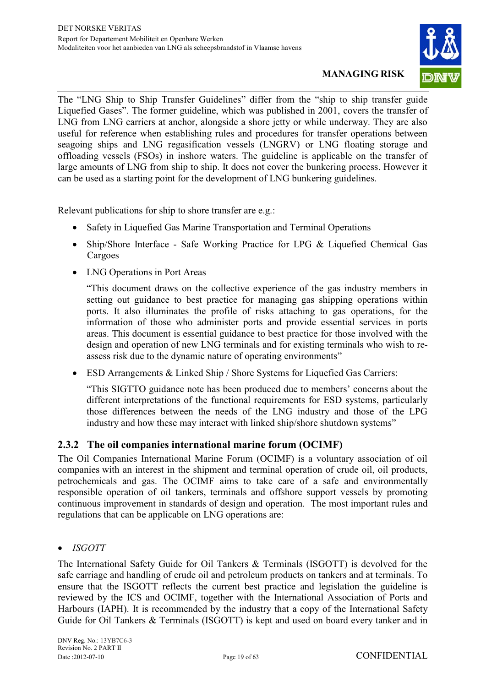

The "LNG Ship to Ship Transfer Guidelines" differ from the "ship to ship transfer guide Liquefied Gases". The former guideline, which was published in 2001, covers the transfer of LNG from LNG carriers at anchor, alongside a shore jetty or while underway. They are also useful for reference when establishing rules and procedures for transfer operations between seagoing ships and LNG regasification vessels (LNGRV) or LNG floating storage and offloading vessels (FSOs) in inshore waters. The guideline is applicable on the transfer of large amounts of LNG from ship to ship. It does not cover the bunkering process. However it can be used as a starting point for the development of LNG bunkering guidelines.

Relevant publications for ship to shore transfer are e.g.:

- Safety in Liquefied Gas Marine Transportation and Terminal Operations
- Ship/Shore Interface Safe Working Practice for LPG & Liquefied Chemical Gas Cargoes
- LNG Operations in Port Areas

"This document draws on the collective experience of the gas industry members in setting out guidance to best practice for managing gas shipping operations within ports. It also illuminates the profile of risks attaching to gas operations, for the information of those who administer ports and provide essential services in ports areas. This document is essential guidance to best practice for those involved with the design and operation of new LNG terminals and for existing terminals who wish to reassess risk due to the dynamic nature of operating environments"

• ESD Arrangements & Linked Ship / Shore Systems for Liquefied Gas Carriers:

"This SIGTTO guidance note has been produced due to members' concerns about the different interpretations of the functional requirements for ESD systems, particularly those differences between the needs of the LNG industry and those of the LPG industry and how these may interact with linked ship/shore shutdown systems"

#### **2.3.2 The oil companies international marine forum (OCIMF)**

The Oil Companies International Marine Forum (OCIMF) is a voluntary association of oil companies with an interest in the shipment and terminal operation of crude oil, oil products, petrochemicals and gas. The OCIMF aims to take care of a safe and environmentally responsible operation of oil tankers, terminals and offshore support vessels by promoting continuous improvement in standards of design and operation. The most important rules and regulations that can be applicable on LNG operations are:

 $\bullet$ *ISGOTT* 

The International Safety Guide for Oil Tankers & Terminals (ISGOTT) is devolved for the safe carriage and handling of crude oil and petroleum products on tankers and at terminals. To ensure that the ISGOTT reflects the current best practice and legislation the guideline is reviewed by the ICS and OCIMF, together with the International Association of Ports and Harbours (IAPH). It is recommended by the industry that a copy of the International Safety Guide for Oil Tankers & Terminals (ISGOTT) is kept and used on board every tanker and in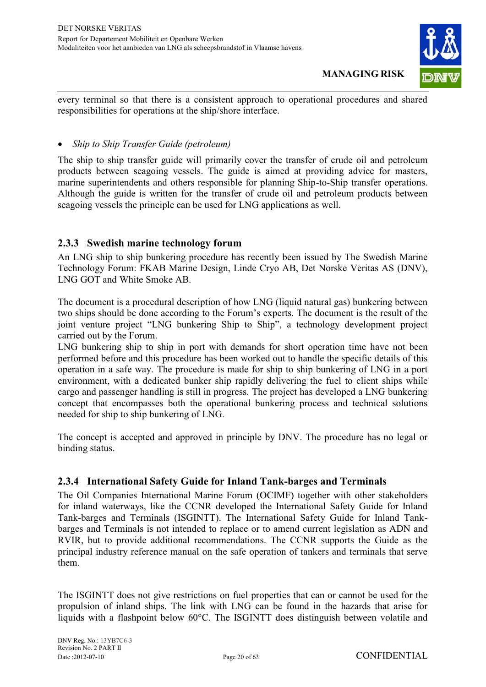

every terminal so that there is a consistent approach to operational procedures and shared responsibilities for operations at the ship/shore interface.

#### $\bullet$ *Ship to Ship Transfer Guide (petroleum)*

The ship to ship transfer guide will primarily cover the transfer of crude oil and petroleum products between seagoing vessels. The guide is aimed at providing advice for masters, marine superintendents and others responsible for planning Ship-to-Ship transfer operations. Although the guide is written for the transfer of crude oil and petroleum products between seagoing vessels the principle can be used for LNG applications as well.

#### **2.3.3 Swedish marine technology forum**

An LNG ship to ship bunkering procedure has recently been issued by The Swedish Marine Technology Forum: FKAB Marine Design, Linde Cryo AB, Det Norske Veritas AS (DNV), LNG GOT and White Smoke AB.

The document is a procedural description of how LNG (liquid natural gas) bunkering between two ships should be done according to the Forum's experts. The document is the result of the joint venture project "LNG bunkering Ship to Ship", a technology development project carried out by the Forum.

LNG bunkering ship to ship in port with demands for short operation time have not been performed before and this procedure has been worked out to handle the specific details of this operation in a safe way. The procedure is made for ship to ship bunkering of LNG in a port environment, with a dedicated bunker ship rapidly delivering the fuel to client ships while cargo and passenger handling is still in progress. The project has developed a LNG bunkering concept that encompasses both the operational bunkering process and technical solutions needed for ship to ship bunkering of LNG.

The concept is accepted and approved in principle by DNV. The procedure has no legal or binding status.

#### **2.3.4 International Safety Guide for Inland Tank-barges and Terminals**

The Oil Companies International Marine Forum (OCIMF) together with other stakeholders for inland waterways, like the CCNR developed the International Safety Guide for Inland Tank-barges and Terminals (ISGINTT). The International Safety Guide for Inland Tankbarges and Terminals is not intended to replace or to amend current legislation as ADN and RVIR, but to provide additional recommendations. The CCNR supports the Guide as the principal industry reference manual on the safe operation of tankers and terminals that serve them.

The ISGINTT does not give restrictions on fuel properties that can or cannot be used for the propulsion of inland ships. The link with LNG can be found in the hazards that arise for liquids with a flashpoint below 60°C. The ISGINTT does distinguish between volatile and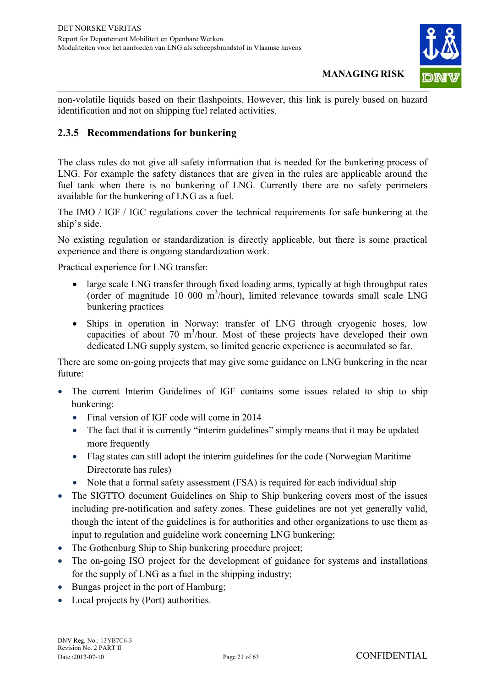

non-volatile liquids based on their flashpoints. However, this link is purely based on hazard identification and not on shipping fuel related activities.

#### **2.3.5 Recommendations for bunkering**

The class rules do not give all safety information that is needed for the bunkering process of LNG. For example the safety distances that are given in the rules are applicable around the fuel tank when there is no bunkering of LNG. Currently there are no safety perimeters available for the bunkering of LNG as a fuel.

The IMO / IGF / IGC regulations cover the technical requirements for safe bunkering at the ship's side.

No existing regulation or standardization is directly applicable, but there is some practical experience and there is ongoing standardization work.

Practical experience for LNG transfer:

- large scale LNG transfer through fixed loading arms, typically at high throughput rates (order of magnitude 10 000 m<sup>3</sup> /hour), limited relevance towards small scale LNG bunkering practices
- Ships in operation in Norway: transfer of LNG through cryogenic hoses, low capacities of about 70 m<sup>3</sup>/hour. Most of these projects have developed their own dedicated LNG supply system, so limited generic experience is accumulated so far.

There are some on-going projects that may give some guidance on LNG bunkering in the near future:

- - The current Interim Guidelines of IGF contains some issues related to ship to ship bunkering:
	- Final version of IGF code will come in 2014
	- The fact that it is currently "interim guidelines" simply means that it may be updated more frequently
	- Flag states can still adopt the interim guidelines for the code (Norwegian Maritime Directorate has rules)
	- Note that a formal safety assessment (FSA) is required for each individual ship
- The SIGTTO document Guidelines on Ship to Ship bunkering covers most of the issues including pre-notification and safety zones. These guidelines are not yet generally valid, though the intent of the guidelines is for authorities and other organizations to use them as input to regulation and guideline work concerning LNG bunkering;
- The Gothenburg Ship to Ship bunkering procedure project;
- The on-going ISO project for the development of guidance for systems and installations for the supply of LNG as a fuel in the shipping industry;
- Bungas project in the port of Hamburg;
- Local projects by (Port) authorities.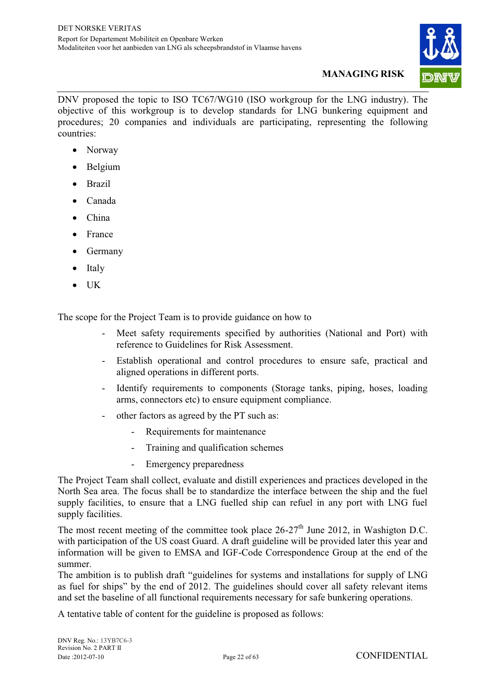

DNV proposed the topic to ISO TC67/WG10 (ISO workgroup for the LNG industry). The objective of this workgroup is to develop standards for LNG bunkering equipment and procedures; 20 companies and individuals are participating, representing the following countries:

- Norway
- Belgium
- Brazil
- Canada
- China
- France
- Germany
- $\bullet$ Italy
- $\bullet$ UK

The scope for the Project Team is to provide guidance on how to

- Meet safety requirements specified by authorities (National and Port) with reference to Guidelines for Risk Assessment.
- Establish operational and control procedures to ensure safe, practical and aligned operations in different ports.
- Identify requirements to components (Storage tanks, piping, hoses, loading arms, connectors etc) to ensure equipment compliance.
- other factors as agreed by the PT such as:
	- Requirements for maintenance
	- Training and qualification schemes
	- Emergency preparedness

The Project Team shall collect, evaluate and distill experiences and practices developed in the North Sea area. The focus shall be to standardize the interface between the ship and the fuel supply facilities, to ensure that a LNG fuelled ship can refuel in any port with LNG fuel supply facilities.

The most recent meeting of the committee took place  $26-27<sup>th</sup>$  June 2012, in Washigton D.C. with participation of the US coast Guard. A draft guideline will be provided later this year and information will be given to EMSA and IGF-Code Correspondence Group at the end of the summer.

The ambition is to publish draft "guidelines for systems and installations for supply of LNG as fuel for ships" by the end of 2012. The guidelines should cover all safety relevant items and set the baseline of all functional requirements necessary for safe bunkering operations.

A tentative table of content for the guideline is proposed as follows: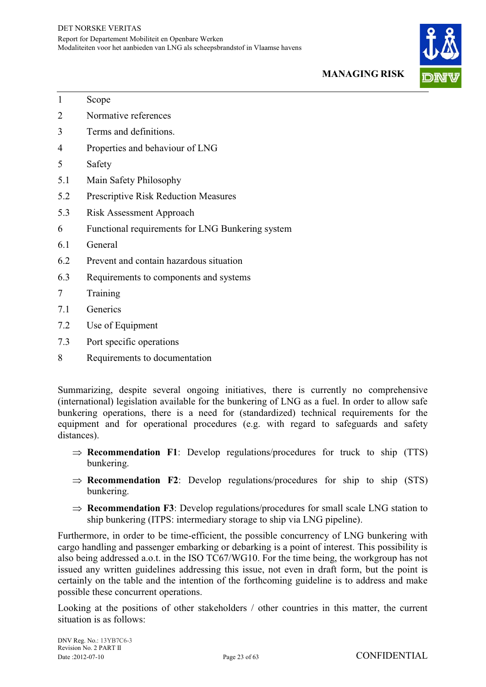

- 1 Scope
- 2 Normative references
- 3 Terms and definitions.
- 4 Properties and behaviour of LNG
- 5 Safety
- 5.1 Main Safety Philosophy
- 5.2 Prescriptive Risk Reduction Measures
- 5.3 Risk Assessment Approach
- 6 Functional requirements for LNG Bunkering system
- 6.1 General
- 6.2 Prevent and contain hazardous situation
- 6.3 Requirements to components and systems
- 7 Training
- 7.1 Generics
- 7.2 Use of Equipment
- 7.3 Port specific operations
- 8 Requirements to documentation

Summarizing, despite several ongoing initiatives, there is currently no comprehensive (international) legislation available for the bunkering of LNG as a fuel. In order to allow safe bunkering operations, there is a need for (standardized) technical requirements for the equipment and for operational procedures (e.g. with regard to safeguards and safety distances).

- $\Rightarrow$  **Recommendation F1**: Develop regulations/procedures for truck to ship (TTS) bunkering.
- $\Rightarrow$  **Recommendation F2**: Develop regulations/procedures for ship to ship (STS) bunkering.
- $\Rightarrow$  **Recommendation F3**: Develop regulations/procedures for small scale LNG station to ship bunkering (ITPS: intermediary storage to ship via LNG pipeline).

Furthermore, in order to be time-efficient, the possible concurrency of LNG bunkering with cargo handling and passenger embarking or debarking is a point of interest. This possibility is also being addressed a.o.t. in the ISO TC67/WG10. For the time being, the workgroup has not issued any written guidelines addressing this issue, not even in draft form, but the point is certainly on the table and the intention of the forthcoming guideline is to address and make possible these concurrent operations.

Looking at the positions of other stakeholders / other countries in this matter, the current situation is as follows: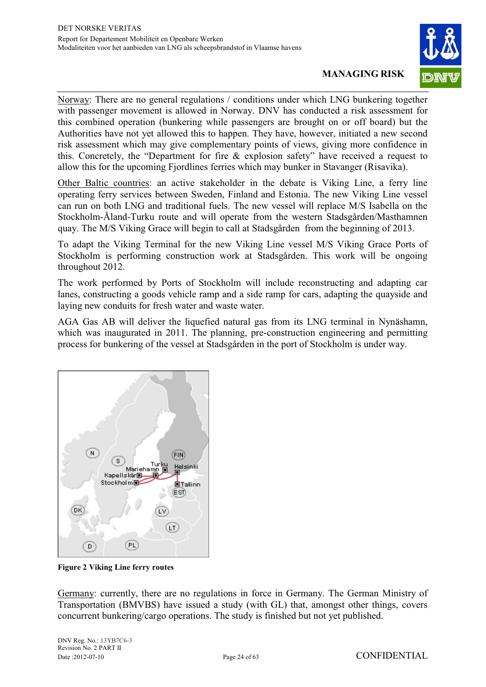

Norway: There are no general regulations / conditions under which LNG bunkering together with passenger movement is allowed in Norway. DNV has conducted a risk assessment for this combined operation (bunkering while passengers are brought on or off board) but the Authorities have not yet allowed this to happen. They have, however, initiated a new second risk assessment which may give complementary points of views, giving more confidence in this. Concretely, the "Department for fire & explosion safety" have received a request to allow this for the upcoming Fiordlines ferries which may bunker in Stavanger (Risavika).

Other Baltic countries: an active stakeholder in the debate is Viking Line, a ferry line operating ferry services between Sweden, Finland and Estonia. The new Viking Line vessel can run on both LNG and traditional fuels. The new vessel will replace M/S Isabella on the Stockholm-Åland-Turku route and will operate from the western Stadsgården/Masthamnen quay. The M/S Viking Grace will begin to call at Stadsgården from the beginning of 2013.

To adapt the Viking Terminal for the new Viking Line vessel M/S Viking Grace Ports of Stockholm is performing construction work at Stadsgården. This work will be ongoing throughout 2012.

The work performed by Ports of Stockholm will include reconstructing and adapting car lanes, constructing a goods vehicle ramp and a side ramp for cars, adapting the quayside and laying new conduits for fresh water and waste water.

AGA Gas AB will deliver the liquefied natural gas from its LNG terminal in Nynäshamn, which was inaugurated in 2011. The planning, pre-construction engineering and permitting process for bunkering of the vessel at Stadsgården in the port of Stockholm is under way.



**Figure 2 Viking Line ferry routes** 

Germany: currently, there are no regulations in force in Germany. The German Ministry of Transportation (BMVBS) have issued a study (with GL) that, amongst other things, covers concurrent bunkering/cargo operations. The study is finished but not yet published.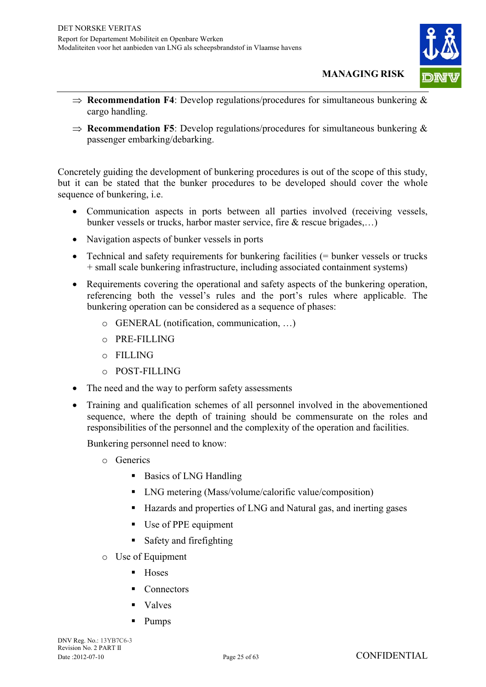

- $\Rightarrow$  **Recommendation F4**: Develop regulations/procedures for simultaneous bunkering  $\&$ cargo handling.
- $\Rightarrow$  **Recommendation F5**: Develop regulations/procedures for simultaneous bunkering  $\&$ passenger embarking/debarking.

Concretely guiding the development of bunkering procedures is out of the scope of this study, but it can be stated that the bunker procedures to be developed should cover the whole sequence of bunkering, i.e.

- Communication aspects in ports between all parties involved (receiving vessels, bunker vessels or trucks, harbor master service, fire & rescue brigades,…)
- Navigation aspects of bunker vessels in ports
- Technical and safety requirements for bunkering facilities (= bunker vessels or trucks + small scale bunkering infrastructure, including associated containment systems)
- Requirements covering the operational and safety aspects of the bunkering operation, referencing both the vessel's rules and the port's rules where applicable. The bunkering operation can be considered as a sequence of phases:
	- o GENERAL (notification, communication, …)
	- o PRE-FILLING
	- o FILLING
	- o POST-FILLING
- The need and the way to perform safety assessments
- Training and qualification schemes of all personnel involved in the abovementioned sequence, where the depth of training should be commensurate on the roles and responsibilities of the personnel and the complexity of the operation and facilities.

Bunkering personnel need to know:

- o Generics
	- Basics of LNG Handling
	- LNG metering (Mass/volume/calorific value/composition)
	- Hazards and properties of LNG and Natural gas, and inerting gases
	- Use of PPE equipment
	- Safety and firefighting
- o Use of Equipment
	- $\blacksquare$  Hoses
	- **Connectors**
	- Valves
	- Pumps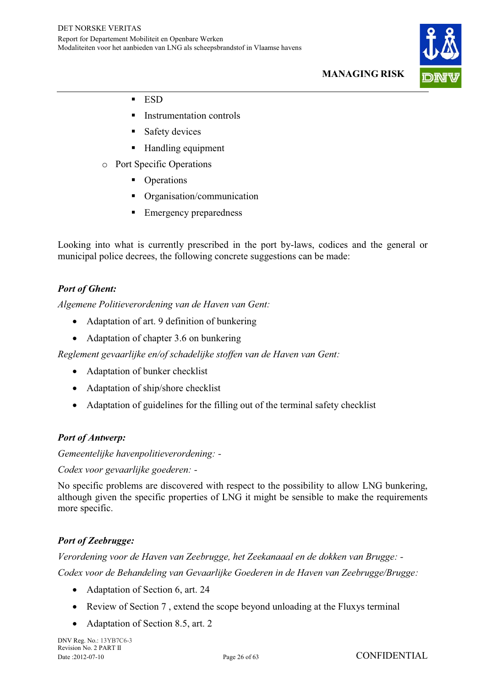

- ESD
- Instrumentation controls
- **Safety devices**
- Handling equipment
- o Port Specific Operations
	- Operations
	- Organisation/communication
	- Emergency preparedness

Looking into what is currently prescribed in the port by-laws, codices and the general or municipal police decrees, the following concrete suggestions can be made:

*Port of Ghent: Algemene Politieverordening van de Haven van Gent:* 

- Adaptation of art. 9 definition of bunkering
- Adaptation of chapter 3.6 on bunkering

*Reglement gevaarlijke en/of schadelijke stoffen van de Haven van Gent:* 

- Adaptation of bunker checklist
- Adaptation of ship/shore checklist
- $\bullet$ Adaptation of guidelines for the filling out of the terminal safety checklist

*Port of Antwerp: Gemeentelijke havenpolitieverordening: -* 

*Codex voor gevaarlijke goederen: -* 

No specific problems are discovered with respect to the possibility to allow LNG bunkering, although given the specific properties of LNG it might be sensible to make the requirements more specific.

*Port of Zeebrugge: Verordening voor de Haven van Zeebrugge, het Zeekanaaal en de dokken van Brugge: - Codex voor de Behandeling van Gevaarlijke Goederen in de Haven van Zeebrugge/Brugge:* 

- Adaptation of Section 6, art. 24
- Review of Section 7 , extend the scope beyond unloading at the Fluxys terminal
- $\bullet$ Adaptation of Section 8.5, art. 2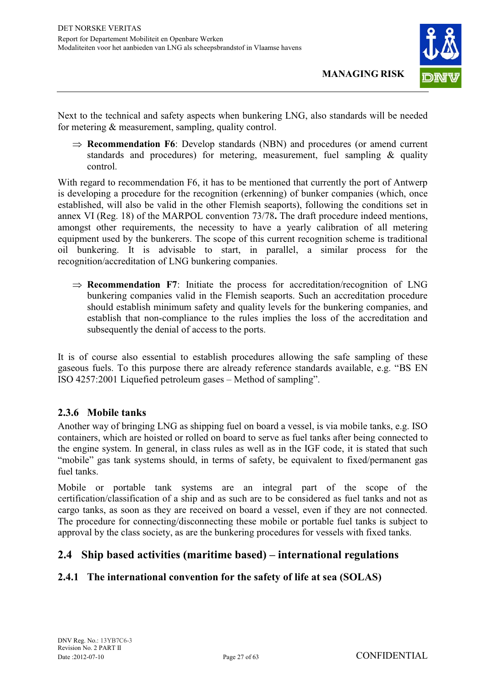

Next to the technical and safety aspects when bunkering LNG, also standards will be needed for metering & measurement, sampling, quality control.

 $\Rightarrow$  **Recommendation F6**: Develop standards (NBN) and procedures (or amend current standards and procedures) for metering, measurement, fuel sampling & quality control.

With regard to recommendation F6, it has to be mentioned that currently the port of Antwerp is developing a procedure for the recognition (erkenning) of bunker companies (which, once established, will also be valid in the other Flemish seaports), following the conditions set in annex VI (Reg. 18) of the MARPOL convention 73/78**.** The draft procedure indeed mentions, amongst other requirements, the necessity to have a yearly calibration of all metering equipment used by the bunkerers. The scope of this current recognition scheme is traditional oil bunkering. It is advisable to start, in parallel, a similar process for the recognition/accreditation of LNG bunkering companies.

 $\Rightarrow$  **Recommendation F7**: Initiate the process for accreditation/recognition of LNG bunkering companies valid in the Flemish seaports. Such an accreditation procedure should establish minimum safety and quality levels for the bunkering companies, and establish that non-compliance to the rules implies the loss of the accreditation and subsequently the denial of access to the ports.

It is of course also essential to establish procedures allowing the safe sampling of these gaseous fuels. To this purpose there are already reference standards available, e.g. "BS EN ISO 4257:2001 Liquefied petroleum gases – Method of sampling".

#### **2.3.6 Mobile tanks**

Another way of bringing LNG as shipping fuel on board a vessel, is via mobile tanks, e.g. ISO containers, which are hoisted or rolled on board to serve as fuel tanks after being connected to the engine system. In general, in class rules as well as in the IGF code, it is stated that such "mobile" gas tank systems should, in terms of safety, be equivalent to fixed/permanent gas fuel tanks.

Mobile or portable tank systems are an integral part of the scope of the certification/classification of a ship and as such are to be considered as fuel tanks and not as cargo tanks, as soon as they are received on board a vessel, even if they are not connected. The procedure for connecting/disconnecting these mobile or portable fuel tanks is subject to approval by the class society, as are the bunkering procedures for vessels with fixed tanks.

#### **2.4 Ship based activities (maritime based) – international regulations**

#### **2.4.1 The international convention for the safety of life at sea (SOLAS)**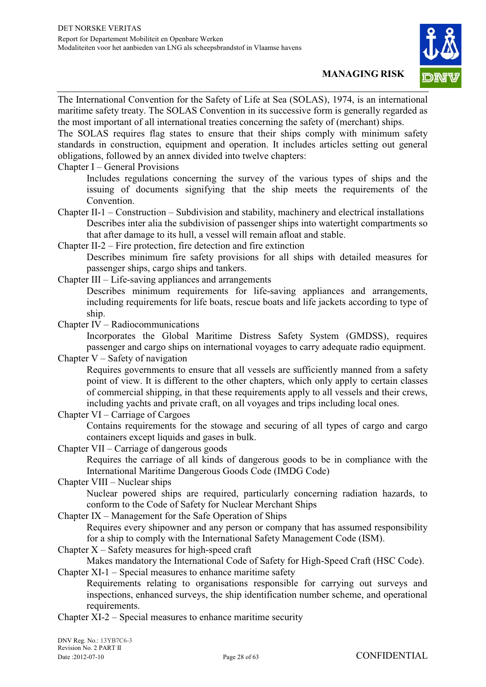

The International Convention for the Safety of Life at Sea (SOLAS), 1974, is an international maritime safety treaty. The SOLAS Convention in its successive form is generally regarded as the most important of all international treaties concerning the safety of (merchant) ships.

The SOLAS requires flag states to ensure that their ships comply with minimum safety standards in construction, equipment and operation. It includes articles setting out general obligations, followed by an annex divided into twelve chapters:

#### Chapter I – General Provisions

Includes regulations concerning the survey of the various types of ships and the issuing of documents signifying that the ship meets the requirements of the Convention.

Chapter II-1 – Construction – Subdivision and stability, machinery and electrical installations Describes inter alia the subdivision of passenger ships into watertight compartments so that after damage to its hull, a vessel will remain afloat and stable.

Chapter II-2 – Fire protection, fire detection and fire extinction

Describes minimum fire safety provisions for all ships with detailed measures for passenger ships, cargo ships and tankers.

Chapter III – Life-saving appliances and arrangements

Describes minimum requirements for life-saving appliances and arrangements, including requirements for life boats, rescue boats and life jackets according to type of ship.

Chapter IV – Radiocommunications

Incorporates the Global Maritime Distress Safety System (GMDSS), requires passenger and cargo ships on international voyages to carry adequate radio equipment.

Chapter  $V -$  Safety of navigation

Requires governments to ensure that all vessels are sufficiently manned from a safety point of view. It is different to the other chapters, which only apply to certain classes of commercial shipping, in that these requirements apply to all vessels and their crews, including yachts and private craft, on all voyages and trips including local ones.

Chapter VI – Carriage of Cargoes

Contains requirements for the stowage and securing of all types of cargo and cargo containers except liquids and gases in bulk.

Chapter VII – Carriage of dangerous goods

Requires the carriage of all kinds of dangerous goods to be in compliance with the International Maritime Dangerous Goods Code (IMDG Code)

Chapter VIII – Nuclear ships

Nuclear powered ships are required, particularly concerning radiation hazards, to conform to the Code of Safety for Nuclear Merchant Ships

Chapter IX – Management for the Safe Operation of Ships

Requires every shipowner and any person or company that has assumed responsibility for a ship to comply with the International Safety Management Code (ISM).

Chapter  $X -$  Safety measures for high-speed craft

Makes mandatory the International Code of Safety for High-Speed Craft (HSC Code). Chapter XI-1 – Special measures to enhance maritime safety

Requirements relating to organisations responsible for carrying out surveys and inspections, enhanced surveys, the ship identification number scheme, and operational requirements.

Chapter XI-2 – Special measures to enhance maritime security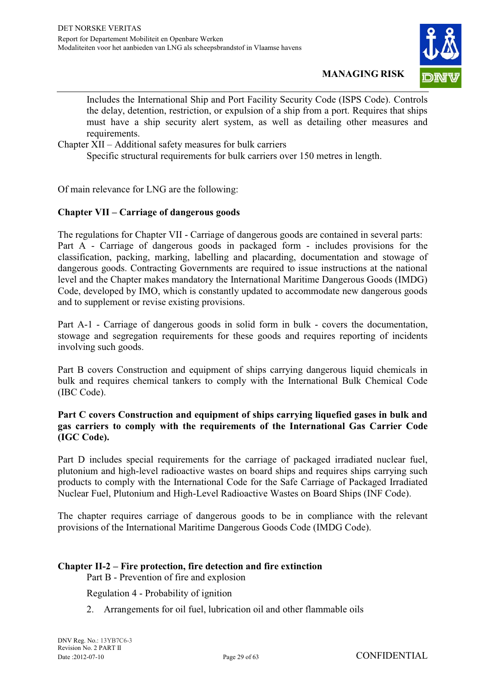

Includes the International Ship and Port Facility Security Code (ISPS Code). Controls the delay, detention, restriction, or expulsion of a ship from a port. Requires that ships must have a ship security alert system, as well as detailing other measures and requirements.

Chapter XII – Additional safety measures for bulk carriers

Specific structural requirements for bulk carriers over 150 metres in length.

Of main relevance for LNG are the following:

#### **Chapter VII – Carriage of dangerous goods**

The regulations for Chapter VII - Carriage of dangerous goods are contained in several parts: Part A - Carriage of dangerous goods in packaged form - includes provisions for the classification, packing, marking, labelling and placarding, documentation and stowage of dangerous goods. Contracting Governments are required to issue instructions at the national level and the Chapter makes mandatory the International Maritime Dangerous Goods (IMDG) Code, developed by IMO, which is constantly updated to accommodate new dangerous goods and to supplement or revise existing provisions.

Part A-1 - Carriage of dangerous goods in solid form in bulk - covers the documentation, stowage and segregation requirements for these goods and requires reporting of incidents involving such goods.

Part B covers Construction and equipment of ships carrying dangerous liquid chemicals in bulk and requires chemical tankers to comply with the International Bulk Chemical Code (IBC Code).

#### **Part C covers Construction and equipment of ships carrying liquefied gases in bulk and gas carriers to comply with the requirements of the International Gas Carrier Code (IGC Code).**

Part D includes special requirements for the carriage of packaged irradiated nuclear fuel, plutonium and high-level radioactive wastes on board ships and requires ships carrying such products to comply with the International Code for the Safe Carriage of Packaged Irradiated Nuclear Fuel, Plutonium and High-Level Radioactive Wastes on Board Ships (INF Code).

The chapter requires carriage of dangerous goods to be in compliance with the relevant provisions of the International Maritime Dangerous Goods Code (IMDG Code).

#### **Chapter II-2 – Fire protection, fire detection and fire extinction**

Part B - Prevention of fire and explosion

Regulation 4 - Probability of ignition

2. Arrangements for oil fuel, lubrication oil and other flammable oils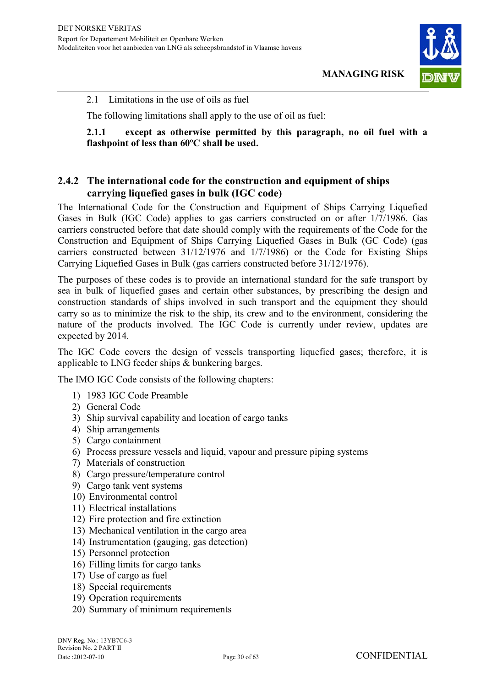

2.1 Limitations in the use of oils as fuel

The following limitations shall apply to the use of oil as fuel:

**2.1.1 except as otherwise permitted by this paragraph, no oil fuel with a flashpoint of less than 60ºC shall be used.** 

#### **2.4.2 The international code for the construction and equipment of ships carrying liquefied gases in bulk (IGC code)**

The International Code for the Construction and Equipment of Ships Carrying Liquefied Gases in Bulk (IGC Code) applies to gas carriers constructed on or after 1/7/1986. Gas carriers constructed before that date should comply with the requirements of the Code for the Construction and Equipment of Ships Carrying Liquefied Gases in Bulk (GC Code) (gas carriers constructed between 31/12/1976 and 1/7/1986) or the Code for Existing Ships Carrying Liquefied Gases in Bulk (gas carriers constructed before 31/12/1976).

The purposes of these codes is to provide an international standard for the safe transport by sea in bulk of liquefied gases and certain other substances, by prescribing the design and construction standards of ships involved in such transport and the equipment they should carry so as to minimize the risk to the ship, its crew and to the environment, considering the nature of the products involved. The IGC Code is currently under review, updates are expected by 2014.

The IGC Code covers the design of vessels transporting liquefied gases; therefore, it is applicable to LNG feeder ships & bunkering barges.

The IMO IGC Code consists of the following chapters:

- 1) 1983 IGC Code Preamble
- 2) General Code
- 3) Ship survival capability and location of cargo tanks
- 4) Ship arrangements
- 5) Cargo containment
- 6) Process pressure vessels and liquid, vapour and pressure piping systems
- 7) Materials of construction
- 8) Cargo pressure/temperature control
- 9) Cargo tank vent systems
- 10) Environmental control
- 11) Electrical installations
- 12) Fire protection and fire extinction
- 13) Mechanical ventilation in the cargo area
- 14) Instrumentation (gauging, gas detection)
- 15) Personnel protection
- 16) Filling limits for cargo tanks
- 17) Use of cargo as fuel
- 18) Special requirements
- 19) Operation requirements
- 20) Summary of minimum requirements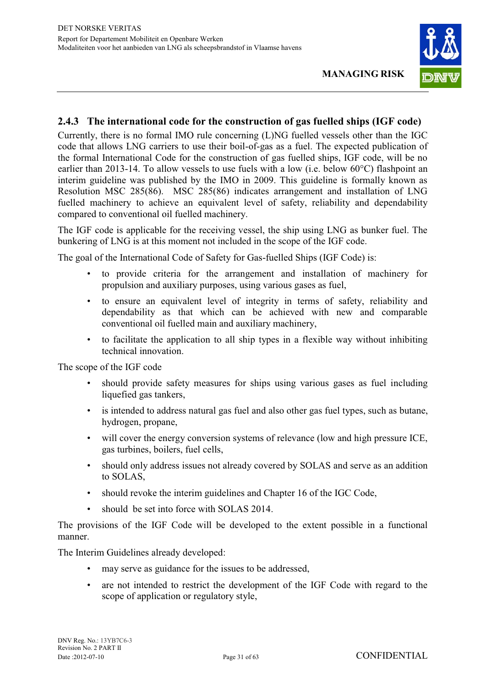

#### **2.4.3 The international code for the construction of gas fuelled ships (IGF code)**

Currently, there is no formal IMO rule concerning (L)NG fuelled vessels other than the IGC code that allows LNG carriers to use their boil-of-gas as a fuel. The expected publication of the formal International Code for the construction of gas fuelled ships, IGF code, will be no earlier than 2013-14. To allow vessels to use fuels with a low (i.e. below 60°C) flashpoint an interim guideline was published by the IMO in 2009. This guideline is formally known as Resolution MSC 285(86). MSC 285(86) indicates arrangement and installation of LNG fuelled machinery to achieve an equivalent level of safety, reliability and dependability compared to conventional oil fuelled machinery.

The IGF code is applicable for the receiving vessel, the ship using LNG as bunker fuel. The bunkering of LNG is at this moment not included in the scope of the IGF code.

The goal of the International Code of Safety for Gas-fuelled Ships (IGF Code) is:

- to provide criteria for the arrangement and installation of machinery for propulsion and auxiliary purposes, using various gases as fuel,
- to ensure an equivalent level of integrity in terms of safety, reliability and dependability as that which can be achieved with new and comparable conventional oil fuelled main and auxiliary machinery,
- to facilitate the application to all ship types in a flexible way without inhibiting technical innovation.

The scope of the IGF code

- should provide safety measures for ships using various gases as fuel including liquefied gas tankers,
- is intended to address natural gas fuel and also other gas fuel types, such as butane, hydrogen, propane,
- will cover the energy conversion systems of relevance (low and high pressure ICE, gas turbines, boilers, fuel cells,
- should only address issues not already covered by SOLAS and serve as an addition to SOLAS,
- should revoke the interim guidelines and Chapter 16 of the IGC Code,
- should be set into force with SOLAS 2014.

The provisions of the IGF Code will be developed to the extent possible in a functional manner.

The Interim Guidelines already developed:

- may serve as guidance for the issues to be addressed,
- are not intended to restrict the development of the IGF Code with regard to the scope of application or regulatory style,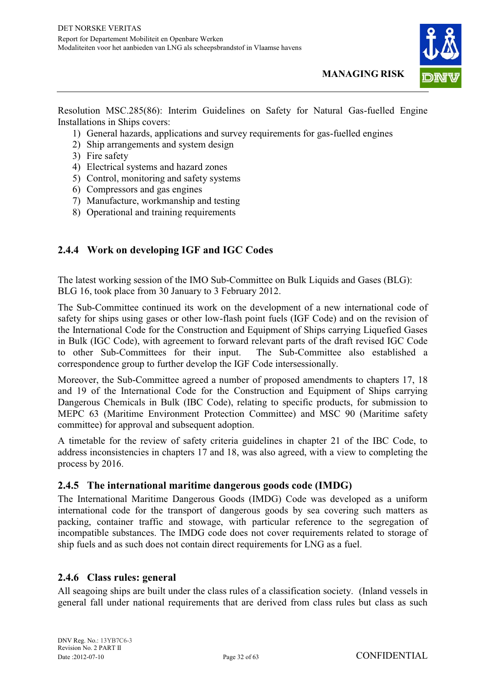

Resolution MSC.285(86): Interim Guidelines on Safety for Natural Gas-fuelled Engine Installations in Ships covers:

- 1) General hazards, applications and survey requirements for gas-fuelled engines
- 2) Ship arrangements and system design
- 3) Fire safety
- 4) Electrical systems and hazard zones
- 5) Control, monitoring and safety systems
- 6) Compressors and gas engines
- 7) Manufacture, workmanship and testing
- 8) Operational and training requirements

#### **2.4.4 Work on developing IGF and IGC Codes**

The latest working session of the IMO Sub-Committee on Bulk Liquids and Gases (BLG): BLG 16, took place from 30 January to 3 February 2012.

The Sub-Committee continued its work on the development of a new international code of safety for ships using gases or other low-flash point fuels (IGF Code) and on the revision of the International Code for the Construction and Equipment of Ships carrying Liquefied Gases in Bulk (IGC Code), with agreement to forward relevant parts of the draft revised IGC Code to other Sub-Committees for their input. The Sub-Committee also established a correspondence group to further develop the IGF Code intersessionally.

Moreover, the Sub-Committee agreed a number of proposed amendments to chapters 17, 18 and 19 of the International Code for the Construction and Equipment of Ships carrying Dangerous Chemicals in Bulk (IBC Code), relating to specific products, for submission to MEPC 63 (Maritime Environment Protection Committee) and MSC 90 (Maritime safety committee) for approval and subsequent adoption.

A timetable for the review of safety criteria guidelines in chapter 21 of the IBC Code, to address inconsistencies in chapters 17 and 18, was also agreed, with a view to completing the process by 2016.

#### **2.4.5 The international maritime dangerous goods code (IMDG)**

The International Maritime Dangerous Goods (IMDG) Code was developed as a uniform international code for the transport of dangerous goods by sea covering such matters as packing, container traffic and stowage, with particular reference to the segregation of incompatible substances. The IMDG code does not cover requirements related to storage of ship fuels and as such does not contain direct requirements for LNG as a fuel.

#### **2.4.6 Class rules: general**

All seagoing ships are built under the class rules of a classification society. (Inland vessels in general fall under national requirements that are derived from class rules but class as such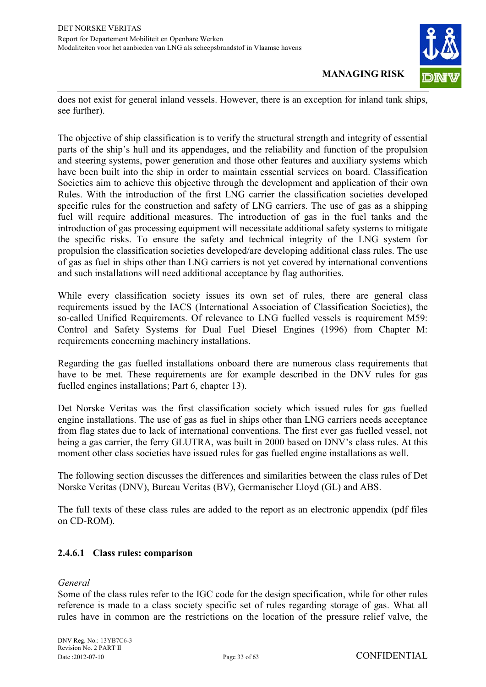

does not exist for general inland vessels. However, there is an exception for inland tank ships, see further).

The objective of ship classification is to verify the structural strength and integrity of essential parts of the ship's hull and its appendages, and the reliability and function of the propulsion and steering systems, power generation and those other features and auxiliary systems which have been built into the ship in order to maintain essential services on board. Classification Societies aim to achieve this objective through the development and application of their own Rules. With the introduction of the first LNG carrier the classification societies developed specific rules for the construction and safety of LNG carriers. The use of gas as a shipping fuel will require additional measures. The introduction of gas in the fuel tanks and the introduction of gas processing equipment will necessitate additional safety systems to mitigate the specific risks. To ensure the safety and technical integrity of the LNG system for propulsion the classification societies developed/are developing additional class rules. The use of gas as fuel in ships other than LNG carriers is not yet covered by international conventions and such installations will need additional acceptance by flag authorities.

While every classification society issues its own set of rules, there are general class requirements issued by the IACS (International Association of Classification Societies), the so-called Unified Requirements. Of relevance to LNG fuelled vessels is requirement M59: Control and Safety Systems for Dual Fuel Diesel Engines (1996) from Chapter M: requirements concerning machinery installations.

Regarding the gas fuelled installations onboard there are numerous class requirements that have to be met. These requirements are for example described in the DNV rules for gas fuelled engines installations; Part 6, chapter 13).

Det Norske Veritas was the first classification society which issued rules for gas fuelled engine installations. The use of gas as fuel in ships other than LNG carriers needs acceptance from flag states due to lack of international conventions. The first ever gas fuelled vessel, not being a gas carrier, the ferry GLUTRA, was built in 2000 based on DNV's class rules. At this moment other class societies have issued rules for gas fuelled engine installations as well.

The following section discusses the differences and similarities between the class rules of Det Norske Veritas (DNV), Bureau Veritas (BV), Germanischer Lloyd (GL) and ABS.

The full texts of these class rules are added to the report as an electronic appendix (pdf files on CD-ROM).

#### **2.4.6.1 Class rules: comparison**

#### *General*

Some of the class rules refer to the IGC code for the design specification, while for other rules reference is made to a class society specific set of rules regarding storage of gas. What all rules have in common are the restrictions on the location of the pressure relief valve, the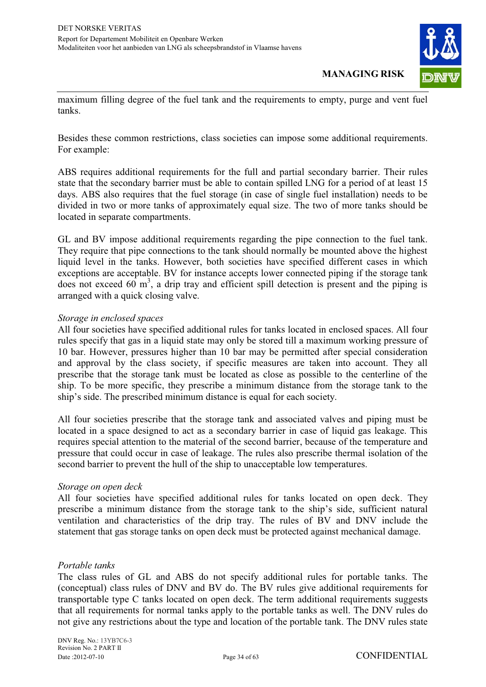

maximum filling degree of the fuel tank and the requirements to empty, purge and vent fuel tanks.

Besides these common restrictions, class societies can impose some additional requirements. For example:

ABS requires additional requirements for the full and partial secondary barrier. Their rules state that the secondary barrier must be able to contain spilled LNG for a period of at least 15 days. ABS also requires that the fuel storage (in case of single fuel installation) needs to be divided in two or more tanks of approximately equal size. The two of more tanks should be located in separate compartments.

GL and BV impose additional requirements regarding the pipe connection to the fuel tank. They require that pipe connections to the tank should normally be mounted above the highest liquid level in the tanks. However, both societies have specified different cases in which exceptions are acceptable. BV for instance accepts lower connected piping if the storage tank does not exceed  $60 \text{ m}^3$ , a drip tray and efficient spill detection is present and the piping is arranged with a quick closing valve.

#### *Storage in enclosed spaces*

All four societies have specified additional rules for tanks located in enclosed spaces. All four rules specify that gas in a liquid state may only be stored till a maximum working pressure of 10 bar. However, pressures higher than 10 bar may be permitted after special consideration and approval by the class society, if specific measures are taken into account. They all prescribe that the storage tank must be located as close as possible to the centerline of the ship. To be more specific, they prescribe a minimum distance from the storage tank to the ship's side. The prescribed minimum distance is equal for each society.

All four societies prescribe that the storage tank and associated valves and piping must be located in a space designed to act as a secondary barrier in case of liquid gas leakage. This requires special attention to the material of the second barrier, because of the temperature and pressure that could occur in case of leakage. The rules also prescribe thermal isolation of the second barrier to prevent the hull of the ship to unacceptable low temperatures.

#### *Storage on open deck*

All four societies have specified additional rules for tanks located on open deck. They prescribe a minimum distance from the storage tank to the ship's side, sufficient natural ventilation and characteristics of the drip tray. The rules of BV and DNV include the statement that gas storage tanks on open deck must be protected against mechanical damage.

#### *Portable tanks*

The class rules of GL and ABS do not specify additional rules for portable tanks. The (conceptual) class rules of DNV and BV do. The BV rules give additional requirements for transportable type C tanks located on open deck. The term additional requirements suggests that all requirements for normal tanks apply to the portable tanks as well. The DNV rules do not give any restrictions about the type and location of the portable tank. The DNV rules state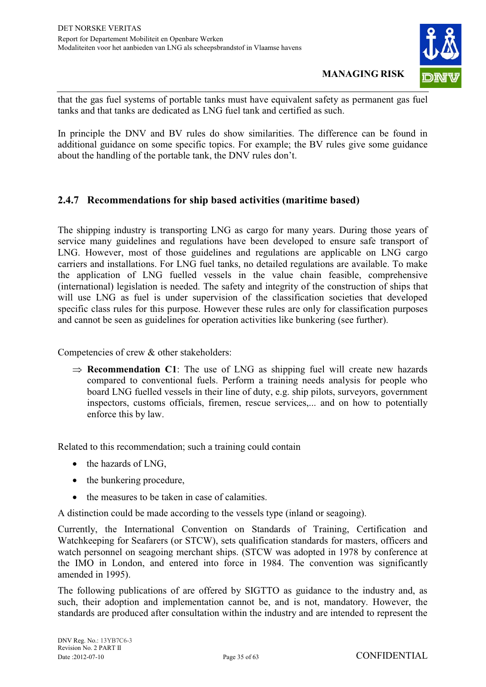

that the gas fuel systems of portable tanks must have equivalent safety as permanent gas fuel tanks and that tanks are dedicated as LNG fuel tank and certified as such.

In principle the DNV and BV rules do show similarities. The difference can be found in additional guidance on some specific topics. For example; the BV rules give some guidance about the handling of the portable tank, the DNV rules don't.

#### **2.4.7 Recommendations for ship based activities (maritime based)**

The shipping industry is transporting LNG as cargo for many years. During those years of service many guidelines and regulations have been developed to ensure safe transport of LNG. However, most of those guidelines and regulations are applicable on LNG cargo carriers and installations. For LNG fuel tanks, no detailed regulations are available. To make the application of LNG fuelled vessels in the value chain feasible, comprehensive (international) legislation is needed. The safety and integrity of the construction of ships that will use LNG as fuel is under supervision of the classification societies that developed specific class rules for this purpose. However these rules are only for classification purposes and cannot be seen as guidelines for operation activities like bunkering (see further).

Competencies of crew & other stakeholders:

 $\Rightarrow$  **Recommendation C1**: The use of LNG as shipping fuel will create new hazards compared to conventional fuels. Perform a training needs analysis for people who board LNG fuelled vessels in their line of duty, e.g. ship pilots, surveyors, government inspectors, customs officials, firemen, rescue services,... and on how to potentially enforce this by law.

Related to this recommendation; such a training could contain

- the hazards of LNG,
- the bunkering procedure,
- the measures to be taken in case of calamities.

A distinction could be made according to the vessels type (inland or seagoing).

Currently, the International Convention on Standards of Training, Certification and Watchkeeping for Seafarers (or STCW), sets qualification standards for masters, officers and watch personnel on seagoing merchant ships. (STCW was adopted in 1978 by conference at the IMO in London, and entered into force in 1984. The convention was significantly amended in 1995).

The following publications of are offered by SIGTTO as guidance to the industry and, as such, their adoption and implementation cannot be, and is not, mandatory. However, the standards are produced after consultation within the industry and are intended to represent the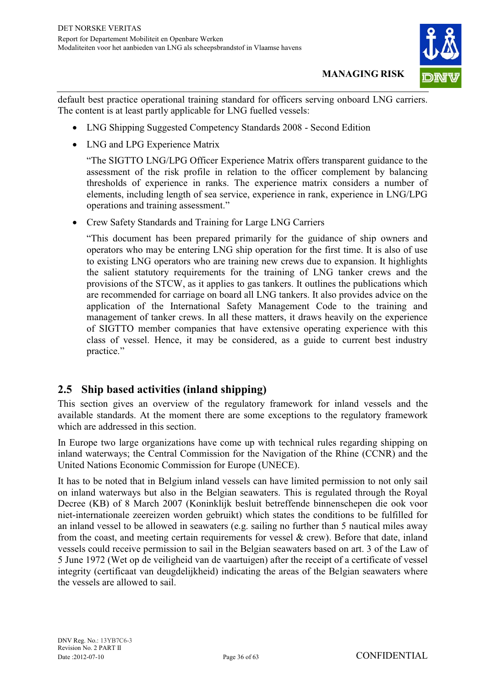

default best practice operational training standard for officers serving onboard LNG carriers. The content is at least partly applicable for LNG fuelled vessels:

- LNG Shipping Suggested Competency Standards 2008 Second Edition
- LNG and LPG Experience Matrix

"The SIGTTO LNG/LPG Officer Experience Matrix offers transparent guidance to the assessment of the risk profile in relation to the officer complement by balancing thresholds of experience in ranks. The experience matrix considers a number of elements, including length of sea service, experience in rank, experience in LNG/LPG operations and training assessment."

- Crew Safety Standards and Training for Large LNG Carriers

"This document has been prepared primarily for the guidance of ship owners and operators who may be entering LNG ship operation for the first time. It is also of use to existing LNG operators who are training new crews due to expansion. It highlights the salient statutory requirements for the training of LNG tanker crews and the provisions of the STCW, as it applies to gas tankers. It outlines the publications which are recommended for carriage on board all LNG tankers. It also provides advice on the application of the International Safety Management Code to the training and management of tanker crews. In all these matters, it draws heavily on the experience of SIGTTO member companies that have extensive operating experience with this class of vessel. Hence, it may be considered, as a guide to current best industry practice."

#### **2.5 Ship based activities (inland shipping)**

This section gives an overview of the regulatory framework for inland vessels and the available standards. At the moment there are some exceptions to the regulatory framework which are addressed in this section.

In Europe two large organizations have come up with technical rules regarding shipping on inland waterways; the Central Commission for the Navigation of the Rhine (CCNR) and the United Nations Economic Commission for Europe (UNECE).

It has to be noted that in Belgium inland vessels can have limited permission to not only sail on inland waterways but also in the Belgian seawaters. This is regulated through the Royal Decree (KB) of 8 March 2007 (Koninklijk besluit betreffende binnenschepen die ook voor niet-internationale zeereizen worden gebruikt) which states the conditions to be fulfilled for an inland vessel to be allowed in seawaters (e.g. sailing no further than 5 nautical miles away from the coast, and meeting certain requirements for vessel  $\&$  crew). Before that date, inland vessels could receive permission to sail in the Belgian seawaters based on art. 3 of the Law of 5 June 1972 (Wet op de veiligheid van de vaartuigen) after the receipt of a certificate of vessel integrity (certificaat van deugdelijkheid) indicating the areas of the Belgian seawaters where the vessels are allowed to sail.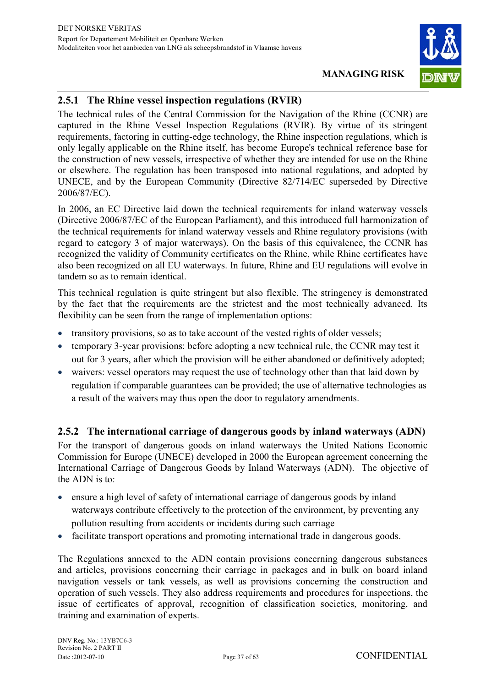

#### **2.5.1 The Rhine vessel inspection regulations (RVIR)**

The technical rules of the Central Commission for the Navigation of the Rhine (CCNR) are captured in the Rhine Vessel Inspection Regulations (RVIR). By virtue of its stringent requirements, factoring in cutting-edge technology, the Rhine inspection regulations, which is only legally applicable on the Rhine itself, has become Europe's technical reference base for the construction of new vessels, irrespective of whether they are intended for use on the Rhine or elsewhere. The regulation has been transposed into national regulations, and adopted by UNECE, and by the European Community (Directive 82/714/EC superseded by Directive 2006/87/EC).

In 2006, an EC Directive laid down the technical requirements for inland waterway vessels (Directive 2006/87/EC of the European Parliament), and this introduced full harmonization of the technical requirements for inland waterway vessels and Rhine regulatory provisions (with regard to category 3 of major waterways). On the basis of this equivalence, the CCNR has recognized the validity of Community certificates on the Rhine, while Rhine certificates have also been recognized on all EU waterways. In future, Rhine and EU regulations will evolve in tandem so as to remain identical.

This technical regulation is quite stringent but also flexible. The stringency is demonstrated by the fact that the requirements are the strictest and the most technically advanced. Its flexibility can be seen from the range of implementation options:

- transitory provisions, so as to take account of the vested rights of older vessels;
- $\bullet$  temporary 3-year provisions: before adopting a new technical rule, the CCNR may test it out for 3 years, after which the provision will be either abandoned or definitively adopted;
- waivers: vessel operators may request the use of technology other than that laid down by regulation if comparable guarantees can be provided; the use of alternative technologies as a result of the waivers may thus open the door to regulatory amendments.

#### **2.5.2 The international carriage of dangerous goods by inland waterways (ADN)**

For the transport of dangerous goods on inland waterways the United Nations Economic Commission for Europe (UNECE) developed in 2000 the European agreement concerning the International Carriage of Dangerous Goods by Inland Waterways (ADN). The objective of the ADN is to:

- ensure a high level of safety of international carriage of dangerous goods by inland waterways contribute effectively to the protection of the environment, by preventing any pollution resulting from accidents or incidents during such carriage
- $\bullet$ facilitate transport operations and promoting international trade in dangerous goods.

The Regulations annexed to the ADN contain provisions concerning dangerous substances and articles, provisions concerning their carriage in packages and in bulk on board inland navigation vessels or tank vessels, as well as provisions concerning the construction and operation of such vessels. They also address requirements and procedures for inspections, the issue of certificates of approval, recognition of classification societies, monitoring, and training and examination of experts.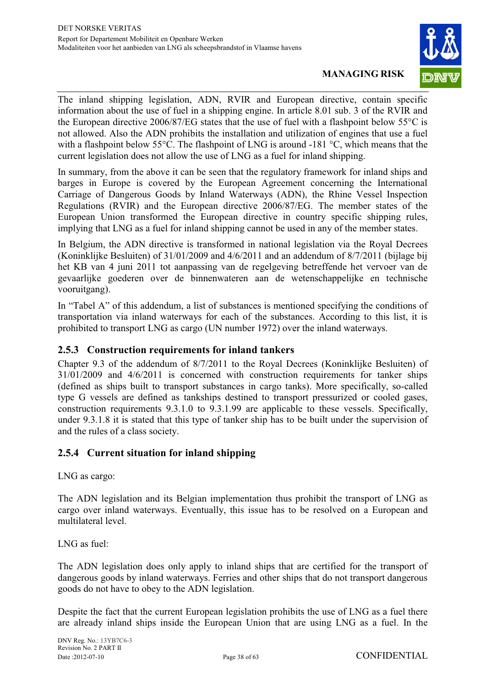

The inland shipping legislation, ADN, RVIR and European directive, contain specific information about the use of fuel in a shipping engine. In article 8.01 sub. 3 of the RVIR and the European directive 2006/87/EG states that the use of fuel with a flashpoint below 55°C is not allowed. Also the ADN prohibits the installation and utilization of engines that use a fuel with a flashpoint below 55°C. The flashpoint of LNG is around -181 °C, which means that the current legislation does not allow the use of LNG as a fuel for inland shipping.

In summary, from the above it can be seen that the regulatory framework for inland ships and barges in Europe is covered by the European Agreement concerning the International Carriage of Dangerous Goods by Inland Waterways (ADN), the Rhine Vessel Inspection Regulations (RVIR) and the European directive 2006/87/EG. The member states of the European Union transformed the European directive in country specific shipping rules, implying that LNG as a fuel for inland shipping cannot be used in any of the member states.

In Belgium, the ADN directive is transformed in national legislation via the Royal Decrees (Koninklijke Besluiten) of 31/01/2009 and 4/6/2011 and an addendum of 8/7/2011 (bijlage bij het KB van 4 juni 2011 tot aanpassing van de regelgeving betreffende het vervoer van de gevaarlijke goederen over de binnenwateren aan de wetenschappelijke en technische vooruitgang).

In "Tabel A" of this addendum, a list of substances is mentioned specifying the conditions of transportation via inland waterways for each of the substances. According to this list, it is prohibited to transport LNG as cargo (UN number 1972) over the inland waterways.

#### **2.5.3 Construction requirements for inland tankers**

Chapter 9.3 of the addendum of 8/7/2011 to the Royal Decrees (Koninklijke Besluiten) of 31/01/2009 and 4/6/2011 is concerned with construction requirements for tanker ships (defined as ships built to transport substances in cargo tanks). More specifically, so-called type G vessels are defined as tankships destined to transport pressurized or cooled gases, construction requirements 9.3.1.0 to 9.3.1.99 are applicable to these vessels. Specifically, under 9.3.1.8 it is stated that this type of tanker ship has to be built under the supervision of and the rules of a class society.

#### **2.5.4 Current situation for inland shipping**

LNG as cargo:

The ADN legislation and its Belgian implementation thus prohibit the transport of LNG as cargo over inland waterways. Eventually, this issue has to be resolved on a European and multilateral level.

LNG as fuel:

The ADN legislation does only apply to inland ships that are certified for the transport of dangerous goods by inland waterways. Ferries and other ships that do not transport dangerous goods do not have to obey to the ADN legislation.

Despite the fact that the current European legislation prohibits the use of LNG as a fuel there are already inland ships inside the European Union that are using LNG as a fuel. In the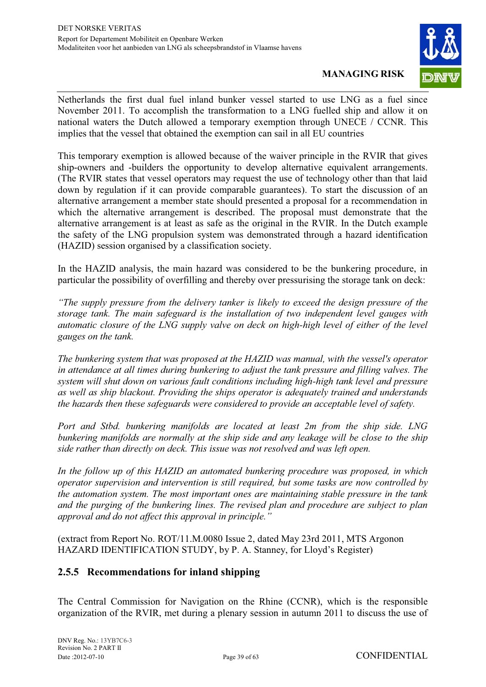

Netherlands the first dual fuel inland bunker vessel started to use LNG as a fuel since November 2011. To accomplish the transformation to a LNG fuelled ship and allow it on national waters the Dutch allowed a temporary exemption through UNECE / CCNR. This implies that the vessel that obtained the exemption can sail in all EU countries

This temporary exemption is allowed because of the waiver principle in the RVIR that gives ship-owners and -builders the opportunity to develop alternative equivalent arrangements. (The RVIR states that vessel operators may request the use of technology other than that laid down by regulation if it can provide comparable guarantees). To start the discussion of an alternative arrangement a member state should presented a proposal for a recommendation in which the alternative arrangement is described. The proposal must demonstrate that the alternative arrangement is at least as safe as the original in the RVIR. In the Dutch example the safety of the LNG propulsion system was demonstrated through a hazard identification (HAZID) session organised by a classification society.

In the HAZID analysis, the main hazard was considered to be the bunkering procedure, in particular the possibility of overfilling and thereby over pressurising the storage tank on deck:

*"The supply pressure from the delivery tanker is likely to exceed the design pressure of the storage tank. The main safeguard is the installation of two independent level gauges with automatic closure of the LNG supply valve on deck on high-high level of either of the level gauges on the tank.* 

*The bunkering system that was proposed at the HAZID was manual, with the vessel's operator in attendance at all times during bunkering to adjust the tank pressure and filling valves. The system will shut down on various fault conditions including high-high tank level and pressure as well as ship blackout. Providing the ships operator is adequately trained and understands the hazards then these safeguards were considered to provide an acceptable level of safety.* 

*Port and Stbd. bunkering manifolds are located at least 2m from the ship side. LNG bunkering manifolds are normally at the ship side and any leakage will be close to the ship side rather than directly on deck. This issue was not resolved and was left open.* 

*In the follow up of this HAZID an automated bunkering procedure was proposed, in which operator supervision and intervention is still required, but some tasks are now controlled by the automation system. The most important ones are maintaining stable pressure in the tank and the purging of the bunkering lines. The revised plan and procedure are subject to plan approval and do not affect this approval in principle."*

(extract from Report No. ROT/11.M.0080 Issue 2, dated May 23rd 2011, MTS Argonon HAZARD IDENTIFICATION STUDY, by P. A. Stanney, for Lloyd's Register)

#### **2.5.5 Recommendations for inland shipping**

The Central Commission for Navigation on the Rhine (CCNR), which is the responsible organization of the RVIR, met during a plenary session in autumn 2011 to discuss the use of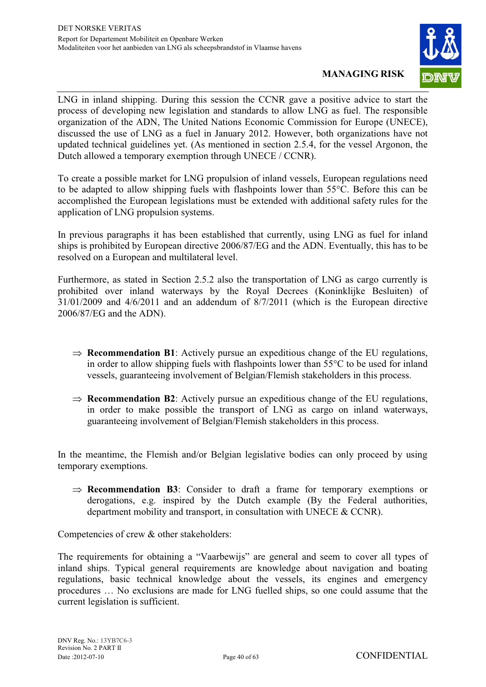

LNG in inland shipping. During this session the CCNR gave a positive advice to start the process of developing new legislation and standards to allow LNG as fuel. The responsible organization of the ADN, The United Nations Economic Commission for Europe (UNECE), discussed the use of LNG as a fuel in January 2012. However, both organizations have not updated technical guidelines yet. (As mentioned in section 2.5.4, for the vessel Argonon, the Dutch allowed a temporary exemption through UNECE / CCNR).

To create a possible market for LNG propulsion of inland vessels, European regulations need to be adapted to allow shipping fuels with flashpoints lower than 55°C. Before this can be accomplished the European legislations must be extended with additional safety rules for the application of LNG propulsion systems.

In previous paragraphs it has been established that currently, using LNG as fuel for inland ships is prohibited by European directive 2006/87/EG and the ADN. Eventually, this has to be resolved on a European and multilateral level.

Furthermore, as stated in Section 2.5.2 also the transportation of LNG as cargo currently is prohibited over inland waterways by the Royal Decrees (Koninklijke Besluiten) of 31/01/2009 and 4/6/2011 and an addendum of 8/7/2011 (which is the European directive 2006/87/EG and the ADN).

- $\Rightarrow$  **Recommendation B1**: Actively pursue an expeditious change of the EU regulations, in order to allow shipping fuels with flashpoints lower than 55°C to be used for inland vessels, guaranteeing involvement of Belgian/Flemish stakeholders in this process.
- $\Rightarrow$  **Recommendation B2**: Actively pursue an expeditious change of the EU regulations, in order to make possible the transport of LNG as cargo on inland waterways, guaranteeing involvement of Belgian/Flemish stakeholders in this process.

In the meantime, the Flemish and/or Belgian legislative bodies can only proceed by using temporary exemptions.

 $\Rightarrow$  **Recommendation B3**: Consider to draft a frame for temporary exemptions or derogations, e.g. inspired by the Dutch example (By the Federal authorities, department mobility and transport, in consultation with UNECE & CCNR).

Competencies of crew & other stakeholders:

The requirements for obtaining a "Vaarbewijs" are general and seem to cover all types of inland ships. Typical general requirements are knowledge about navigation and boating regulations, basic technical knowledge about the vessels, its engines and emergency procedures … No exclusions are made for LNG fuelled ships, so one could assume that the current legislation is sufficient.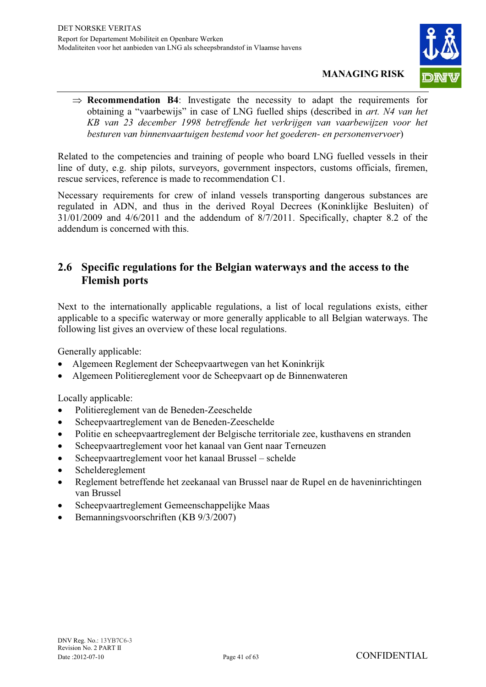

 $\Rightarrow$  **Recommendation B4**: Investigate the necessity to adapt the requirements for obtaining a "vaarbewijs" in case of LNG fuelled ships (described in *art. N4 van het KB van 23 december 1998 betreffende het verkrijgen van vaarbewijzen voor het besturen van binnenvaartuigen bestemd voor het goederen- en personenvervoer*)

Related to the competencies and training of people who board LNG fuelled vessels in their line of duty, e.g. ship pilots, surveyors, government inspectors, customs officials, firemen, rescue services, reference is made to recommendation C1.

Necessary requirements for crew of inland vessels transporting dangerous substances are regulated in ADN, and thus in the derived Royal Decrees (Koninklijke Besluiten) of 31/01/2009 and 4/6/2011 and the addendum of 8/7/2011. Specifically, chapter 8.2 of the addendum is concerned with this.

### **2.6 Specific regulations for the Belgian waterways and the access to the Flemish ports**

Next to the internationally applicable regulations, a list of local regulations exists, either applicable to a specific waterway or more generally applicable to all Belgian waterways. The following list gives an overview of these local regulations.

Generally applicable:

- Algemeen Reglement der Scheepvaartwegen van het Koninkrijk
- Algemeen Politiereglement voor de Scheepvaart op de Binnenwateren

Locally applicable:

- $\bullet$ Politiereglement van de Beneden-Zeeschelde
- $\bullet$ Scheepvaartreglement van de Beneden-Zeeschelde
- $\bullet$ Politie en scheepvaartreglement der Belgische territoriale zee, kusthavens en stranden
- $\blacksquare$ Scheepvaartreglement voor het kanaal van Gent naar Terneuzen
- $\bullet$ Scheepvaartreglement voor het kanaal Brussel – schelde
- $\bullet$ Scheldereglement
- $\bullet$  Reglement betreffende het zeekanaal van Brussel naar de Rupel en de haveninrichtingen van Brussel
- $\bullet$ Scheepvaartreglement Gemeenschappelijke Maas
- $\bullet$ Bemanningsvoorschriften (KB 9/3/2007)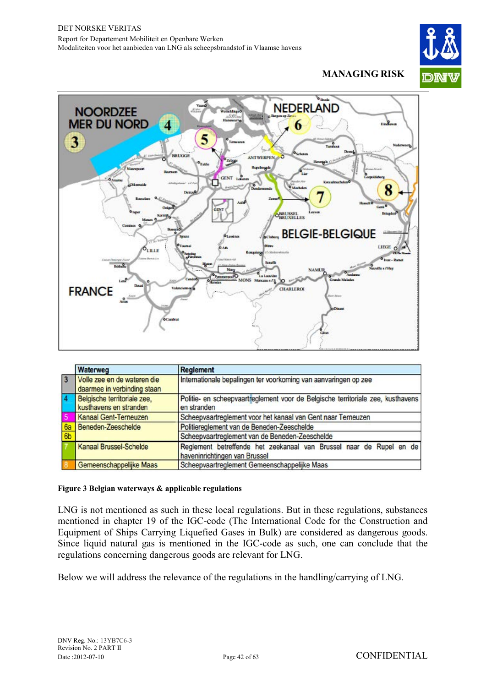



|                | Waterweg                                                         | <b>Reglement</b>                                                                                     |  |
|----------------|------------------------------------------------------------------|------------------------------------------------------------------------------------------------------|--|
| $\overline{3}$ | Volle zee en de wateren die<br>daarmee in verbinding staan       | Internationale bepalingen ter voorkoming van aanvaringen op zee                                      |  |
|                | Belgische territoriale zee,<br>kusthavens en stranden            | Politie- en scheepvaartreglement voor de Belgische territoriale zee, kusthavens<br>en stranden       |  |
|                | Kanaal Gent-Terneuzen                                            | Scheepvaartreglement voor het kanaal van Gent naar Terneuzen                                         |  |
| 6 <sub>b</sub> | Politiereglement van de Beneden-Zeeschelde<br>Beneden-Zeeschelde |                                                                                                      |  |
|                |                                                                  | Scheepvaartreglement van de Beneden-Zeeschelde                                                       |  |
|                | Kanaal Brussel-Schelde                                           | Reglement betreffende het zeekanaal van Brussel naar de Rupel en de<br>haveninrichtingen van Brussel |  |
|                | Gemeenschappelijke Maas                                          | Scheepvaartreglement Gemeenschappelijke Maas                                                         |  |

#### **Figure 3 Belgian waterways & applicable regulations**

LNG is not mentioned as such in these local regulations. But in these regulations, substances mentioned in chapter 19 of the IGC-code (The International Code for the Construction and Equipment of Ships Carrying Liquefied Gases in Bulk) are considered as dangerous goods. Since liquid natural gas is mentioned in the IGC-code as such, one can conclude that the regulations concerning dangerous goods are relevant for LNG.

Below we will address the relevance of the regulations in the handling/carrying of LNG.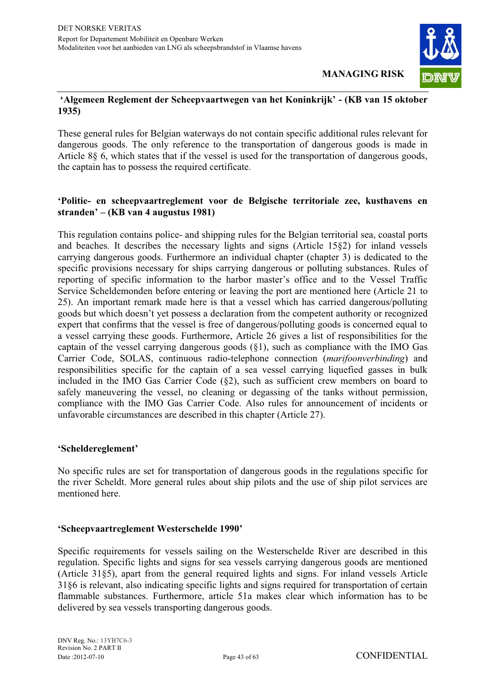

#### **'Algemeen Reglement der Scheepvaartwegen van het Koninkrijk' - (KB van 15 oktober 1935)**

These general rules for Belgian waterways do not contain specific additional rules relevant for dangerous goods. The only reference to the transportation of dangerous goods is made in Article 8§ 6, which states that if the vessel is used for the transportation of dangerous goods, the captain has to possess the required certificate.

#### **'Politie- en scheepvaartreglement voor de Belgische territoriale zee, kusthavens en stranden' – (KB van 4 augustus 1981)**

This regulation contains police- and shipping rules for the Belgian territorial sea, coastal ports and beaches. It describes the necessary lights and signs (Article 15§2) for inland vessels carrying dangerous goods. Furthermore an individual chapter (chapter 3) is dedicated to the specific provisions necessary for ships carrying dangerous or polluting substances. Rules of reporting of specific information to the harbor master's office and to the Vessel Traffic Service Scheldemonden before entering or leaving the port are mentioned here (Article 21 to 25). An important remark made here is that a vessel which has carried dangerous/polluting goods but which doesn't yet possess a declaration from the competent authority or recognized expert that confirms that the vessel is free of dangerous/polluting goods is concerned equal to a vessel carrying these goods. Furthermore, Article 26 gives a list of responsibilities for the captain of the vessel carrying dangerous goods (§1), such as compliance with the IMO Gas Carrier Code, SOLAS, continuous radio-telephone connection (*marifoonverbinding*) and responsibilities specific for the captain of a sea vessel carrying liquefied gasses in bulk included in the IMO Gas Carrier Code (§2), such as sufficient crew members on board to safely maneuvering the vessel, no cleaning or degassing of the tanks without permission, compliance with the IMO Gas Carrier Code. Also rules for announcement of incidents or unfavorable circumstances are described in this chapter (Article 27).

#### **'Scheldereglement'**

No specific rules are set for transportation of dangerous goods in the regulations specific for the river Scheldt. More general rules about ship pilots and the use of ship pilot services are mentioned here.

#### **'Scheepvaartreglement Westerschelde 1990'**

Specific requirements for vessels sailing on the Westerschelde River are described in this regulation. Specific lights and signs for sea vessels carrying dangerous goods are mentioned (Article 31§5), apart from the general required lights and signs. For inland vessels Article 31§6 is relevant, also indicating specific lights and signs required for transportation of certain flammable substances. Furthermore, article 51a makes clear which information has to be delivered by sea vessels transporting dangerous goods.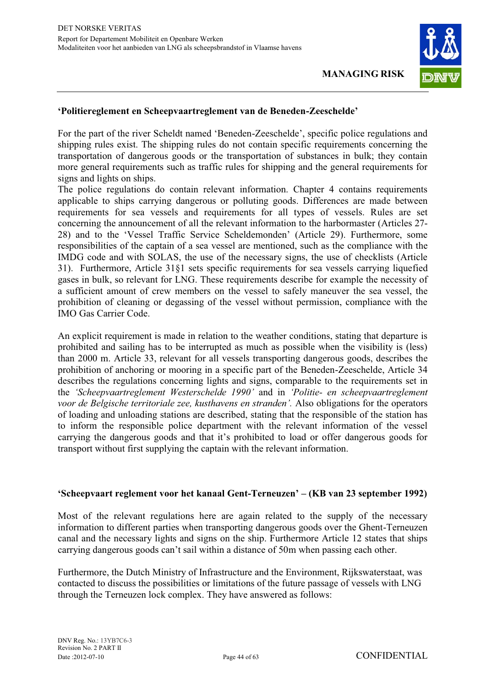

#### **'Politiereglement en Scheepvaartreglement van de Beneden-Zeeschelde'**

For the part of the river Scheldt named 'Beneden-Zeeschelde', specific police regulations and shipping rules exist. The shipping rules do not contain specific requirements concerning the transportation of dangerous goods or the transportation of substances in bulk; they contain more general requirements such as traffic rules for shipping and the general requirements for signs and lights on ships.

The police regulations do contain relevant information. Chapter 4 contains requirements applicable to ships carrying dangerous or polluting goods. Differences are made between requirements for sea vessels and requirements for all types of vessels. Rules are set concerning the announcement of all the relevant information to the harbormaster (Articles 27- 28) and to the 'Vessel Traffic Service Scheldemonden' (Article 29). Furthermore, some responsibilities of the captain of a sea vessel are mentioned, such as the compliance with the IMDG code and with SOLAS, the use of the necessary signs, the use of checklists (Article 31). Furthermore, Article 31§1 sets specific requirements for sea vessels carrying liquefied gases in bulk, so relevant for LNG. These requirements describe for example the necessity of a sufficient amount of crew members on the vessel to safely maneuver the sea vessel, the prohibition of cleaning or degassing of the vessel without permission, compliance with the IMO Gas Carrier Code.

An explicit requirement is made in relation to the weather conditions, stating that departure is prohibited and sailing has to be interrupted as much as possible when the visibility is (less) than 2000 m. Article 33, relevant for all vessels transporting dangerous goods, describes the prohibition of anchoring or mooring in a specific part of the Beneden-Zeeschelde, Article 34 describes the regulations concerning lights and signs, comparable to the requirements set in the *'Scheepvaartreglement Westerschelde 1990'* and in *'Politie- en scheepvaartreglement voor de Belgische territoriale zee, kusthavens en stranden'.* Also obligations for the operators of loading and unloading stations are described, stating that the responsible of the station has to inform the responsible police department with the relevant information of the vessel carrying the dangerous goods and that it's prohibited to load or offer dangerous goods for transport without first supplying the captain with the relevant information.

#### **'Scheepvaart reglement voor het kanaal Gent-Terneuzen' – (KB van 23 september 1992)**

Most of the relevant regulations here are again related to the supply of the necessary information to different parties when transporting dangerous goods over the Ghent-Terneuzen canal and the necessary lights and signs on the ship. Furthermore Article 12 states that ships carrying dangerous goods can't sail within a distance of 50m when passing each other.

Furthermore, the Dutch Ministry of Infrastructure and the Environment, Rijkswaterstaat, was contacted to discuss the possibilities or limitations of the future passage of vessels with LNG through the Terneuzen lock complex. They have answered as follows: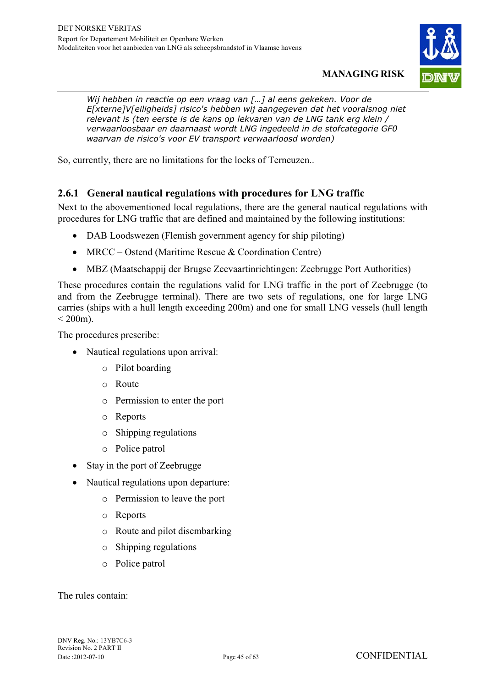

*Wij hebben in reactie op een vraag van […] al eens gekeken. Voor de E[xterne]V[eiligheids] risico's hebben wij aangegeven dat het vooralsnog niet relevant is (ten eerste is de kans op lekvaren van de LNG tank erg klein / verwaarloosbaar en daarnaast wordt LNG ingedeeld in de stofcategorie GF0 waarvan de risico's voor EV transport verwaarloosd worden)* 

So, currently, there are no limitations for the locks of Terneuzen..

#### **2.6.1 General nautical regulations with procedures for LNG traffic**

Next to the abovementioned local regulations, there are the general nautical regulations with procedures for LNG traffic that are defined and maintained by the following institutions:

- DAB Loodswezen (Flemish government agency for ship piloting)
- MRCC Ostend (Maritime Rescue & Coordination Centre)
- MBZ (Maatschappij der Brugse Zeevaartinrichtingen: Zeebrugge Port Authorities)

These procedures contain the regulations valid for LNG traffic in the port of Zeebrugge (to and from the Zeebrugge terminal). There are two sets of regulations, one for large LNG carries (ships with a hull length exceeding 200m) and one for small LNG vessels (hull length  $< 200$ m).

The procedures prescribe:

- Nautical regulations upon arrival:
	- o Pilot boarding
	- o Route
	- o Permission to enter the port
	- o Reports
	- o Shipping regulations
	- o Police patrol
- Stay in the port of Zeebrugge
- Nautical regulations upon departure:
	- o Permission to leave the port
	- o Reports
	- o Route and pilot disembarking
	- o Shipping regulations
	- o Police patrol

The rules contain: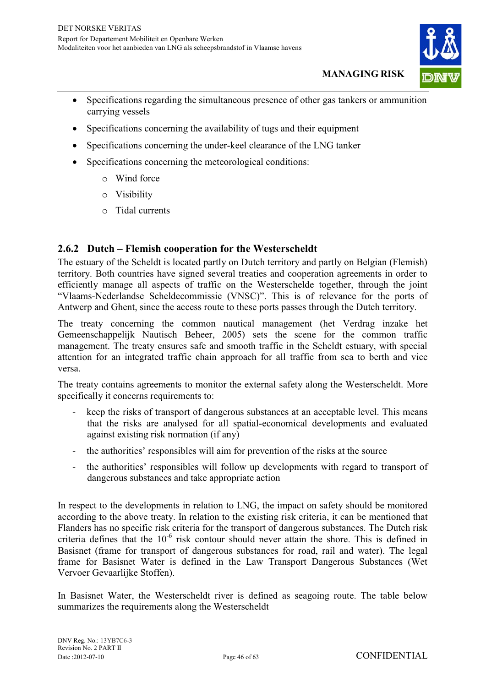

- $\bullet$  Specifications regarding the simultaneous presence of other gas tankers or ammunition carrying vessels
- Specifications concerning the availability of tugs and their equipment
- Specifications concerning the under-keel clearance of the LNG tanker
- Specifications concerning the meteorological conditions:
	- o Wind force
	- o Visibility
	- o Tidal currents

#### **2.6.2 Dutch – Flemish cooperation for the Westerscheldt**

The estuary of the Scheldt is located partly on Dutch territory and partly on Belgian (Flemish) territory. Both countries have signed several treaties and cooperation agreements in order to efficiently manage all aspects of traffic on the Westerschelde together, through the joint "Vlaams-Nederlandse Scheldecommissie (VNSC)". This is of relevance for the ports of Antwerp and Ghent, since the access route to these ports passes through the Dutch territory.

The treaty concerning the common nautical management (het Verdrag inzake het Gemeenschappelijk Nautisch Beheer, 2005) sets the scene for the common traffic management. The treaty ensures safe and smooth traffic in the Scheldt estuary, with special attention for an integrated traffic chain approach for all traffic from sea to berth and vice versa.

The treaty contains agreements to monitor the external safety along the Westerscheldt. More specifically it concerns requirements to:

- keep the risks of transport of dangerous substances at an acceptable level. This means that the risks are analysed for all spatial-economical developments and evaluated against existing risk normation (if any)
- the authorities' responsibles will aim for prevention of the risks at the source
- the authorities' responsibles will follow up developments with regard to transport of dangerous substances and take appropriate action

In respect to the developments in relation to LNG, the impact on safety should be monitored according to the above treaty. In relation to the existing risk criteria, it can be mentioned that Flanders has no specific risk criteria for the transport of dangerous substances. The Dutch risk criteria defines that the  $10^{-6}$  risk contour should never attain the shore. This is defined in Basisnet (frame for transport of dangerous substances for road, rail and water). The legal frame for Basisnet Water is defined in the Law Transport Dangerous Substances (Wet Vervoer Gevaarlijke Stoffen).

In Basisnet Water, the Westerscheldt river is defined as seagoing route. The table below summarizes the requirements along the Westerscheldt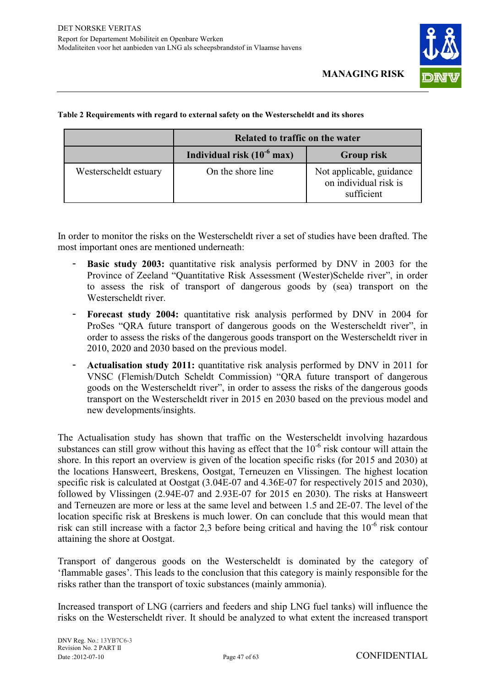

|                       | Related to traffic on the water |                                                                 |  |
|-----------------------|---------------------------------|-----------------------------------------------------------------|--|
|                       | Individual risk $(10^{-6}$ max) | <b>Group risk</b>                                               |  |
| Westerscheldt estuary | On the shore line               | Not applicable, guidance<br>on individual risk is<br>sufficient |  |

#### **Table 2 Requirements with regard to external safety on the Westerscheldt and its shores**

In order to monitor the risks on the Westerscheldt river a set of studies have been drafted. The most important ones are mentioned underneath:

- **Basic study 2003:** quantitative risk analysis performed by DNV in 2003 for the Province of Zeeland "Quantitative Risk Assessment (Wester)Schelde river", in order to assess the risk of transport of dangerous goods by (sea) transport on the Westerscheldt river.
- **Forecast study 2004:** quantitative risk analysis performed by DNV in 2004 for ProSes "QRA future transport of dangerous goods on the Westerscheldt river", in order to assess the risks of the dangerous goods transport on the Westerscheldt river in 2010, 2020 and 2030 based on the previous model.
- Actualisation study 2011: quantitative risk analysis performed by DNV in 2011 for VNSC (Flemish/Dutch Scheldt Commission) "QRA future transport of dangerous goods on the Westerscheldt river", in order to assess the risks of the dangerous goods transport on the Westerscheldt river in 2015 en 2030 based on the previous model and new developments/insights.

The Actualisation study has shown that traffic on the Westerscheldt involving hazardous substances can still grow without this having as effect that the  $10^{-6}$  risk contour will attain the shore. In this report an overview is given of the location specific risks (for 2015 and 2030) at the locations Hansweert, Breskens, Oostgat, Terneuzen en Vlissingen. The highest location specific risk is calculated at Oostgat (3.04E-07 and 4.36E-07 for respectively 2015 and 2030), followed by Vlissingen (2.94E-07 and 2.93E-07 for 2015 en 2030). The risks at Hansweert and Terneuzen are more or less at the same level and between 1.5 and 2E-07. The level of the location specific risk at Breskens is much lower. On can conclude that this would mean that risk can still increase with a factor 2,3 before being critical and having the  $10^{-6}$  risk contour attaining the shore at Oostgat.

Transport of dangerous goods on the Westerscheldt is dominated by the category of 'flammable gases'. This leads to the conclusion that this category is mainly responsible for the risks rather than the transport of toxic substances (mainly ammonia).

Increased transport of LNG (carriers and feeders and ship LNG fuel tanks) will influence the risks on the Westerscheldt river. It should be analyzed to what extent the increased transport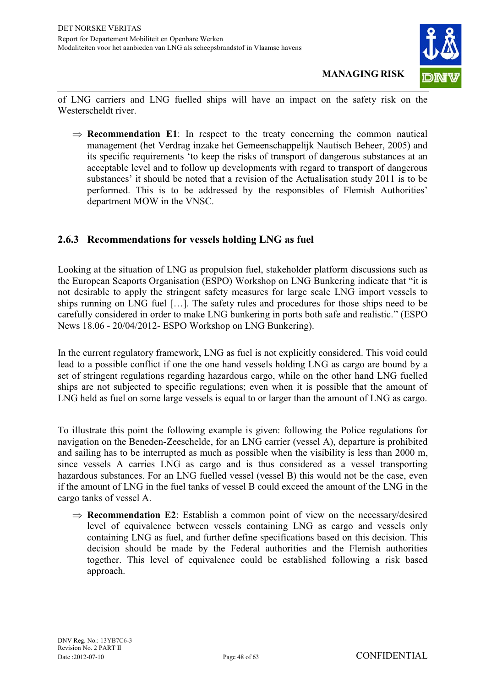

of LNG carriers and LNG fuelled ships will have an impact on the safety risk on the Westerscheldt river.

 $\Rightarrow$  **Recommendation E1**: In respect to the treaty concerning the common nautical management (het Verdrag inzake het Gemeenschappelijk Nautisch Beheer, 2005) and its specific requirements 'to keep the risks of transport of dangerous substances at an acceptable level and to follow up developments with regard to transport of dangerous substances' it should be noted that a revision of the Actualisation study 2011 is to be performed. This is to be addressed by the responsibles of Flemish Authorities' department MOW in the VNSC.

#### **2.6.3 Recommendations for vessels holding LNG as fuel**

Looking at the situation of LNG as propulsion fuel, stakeholder platform discussions such as the European Seaports Organisation (ESPO) Workshop on LNG Bunkering indicate that "it is not desirable to apply the stringent safety measures for large scale LNG import vessels to ships running on LNG fuel […]. The safety rules and procedures for those ships need to be carefully considered in order to make LNG bunkering in ports both safe and realistic." (ESPO News 18.06 - 20/04/2012- ESPO Workshop on LNG Bunkering).

In the current regulatory framework, LNG as fuel is not explicitly considered. This void could lead to a possible conflict if one the one hand vessels holding LNG as cargo are bound by a set of stringent regulations regarding hazardous cargo, while on the other hand LNG fuelled ships are not subjected to specific regulations; even when it is possible that the amount of LNG held as fuel on some large vessels is equal to or larger than the amount of LNG as cargo.

To illustrate this point the following example is given: following the Police regulations for navigation on the Beneden-Zeeschelde, for an LNG carrier (vessel A), departure is prohibited and sailing has to be interrupted as much as possible when the visibility is less than 2000 m, since vessels A carries LNG as cargo and is thus considered as a vessel transporting hazardous substances. For an LNG fuelled vessel (vessel B) this would not be the case, even if the amount of LNG in the fuel tanks of vessel B could exceed the amount of the LNG in the cargo tanks of vessel A.

 $\Rightarrow$  **Recommendation E2**: Establish a common point of view on the necessary/desired level of equivalence between vessels containing LNG as cargo and vessels only containing LNG as fuel, and further define specifications based on this decision. This decision should be made by the Federal authorities and the Flemish authorities together. This level of equivalence could be established following a risk based approach.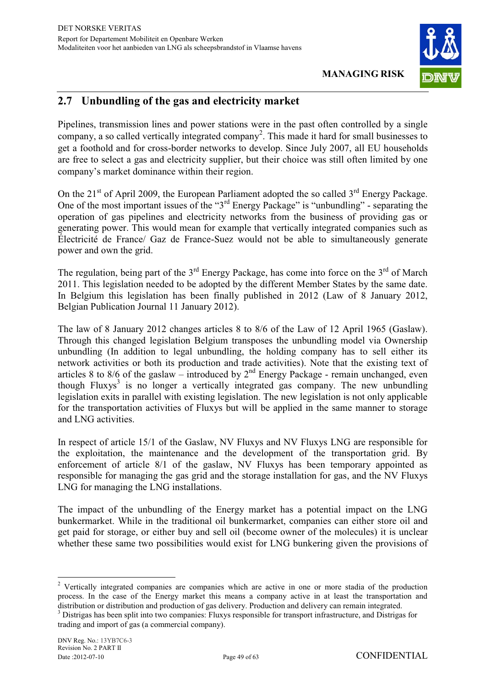

### **2.7 Unbundling of the gas and electricity market**

Pipelines, transmission lines and power stations were in the past often controlled by a single company, a so called vertically integrated company<sup>2</sup>. This made it hard for small businesses to get a foothold and for cross-border networks to develop. Since July 2007, all EU households are free to select a gas and electricity supplier, but their choice was still often limited by one company's market dominance within their region.

On the  $21<sup>st</sup>$  of April 2009, the European Parliament adopted the so called  $3<sup>rd</sup>$  Energy Package. One of the most important issues of the "3<sup>rd</sup> Energy Package" is "unbundling" - separating the operation of gas pipelines and electricity networks from the business of providing gas or generating power. This would mean for example that vertically integrated companies such as Électricité de France/ Gaz de France-Suez would not be able to simultaneously generate power and own the grid.

The regulation, being part of the  $3<sup>rd</sup>$  Energy Package, has come into force on the  $3<sup>rd</sup>$  of March 2011. This legislation needed to be adopted by the different Member States by the same date. In Belgium this legislation has been finally published in 2012 (Law of 8 January 2012, Belgian Publication Journal 11 January 2012).

The law of 8 January 2012 changes articles 8 to 8/6 of the Law of 12 April 1965 (Gaslaw). Through this changed legislation Belgium transposes the unbundling model via Ownership unbundling (In addition to legal unbundling, the holding company has to sell either its network activities or both its production and trade activities). Note that the existing text of articles 8 to 8/6 of the gaslaw – introduced by  $2<sup>nd</sup>$  Energy Package - remain unchanged, even though Fluxys<sup>3</sup> is no longer a vertically integrated gas company. The new unbundling legislation exits in parallel with existing legislation. The new legislation is not only applicable for the transportation activities of Fluxys but will be applied in the same manner to storage and LNG activities.

In respect of article 15/1 of the Gaslaw, NV Fluxys and NV Fluxys LNG are responsible for the exploitation, the maintenance and the development of the transportation grid. By enforcement of article 8/1 of the gaslaw, NV Fluxys has been temporary appointed as responsible for managing the gas grid and the storage installation for gas, and the NV Fluxys LNG for managing the LNG installations.

The impact of the unbundling of the Energy market has a potential impact on the LNG bunkermarket. While in the traditional oil bunkermarket, companies can either store oil and get paid for storage, or either buy and sell oil (become owner of the molecules) it is unclear whether these same two possibilities would exist for LNG bunkering given the provisions of

 $\overline{a}$ <sup>2</sup> Vertically integrated companies are companies which are active in one or more stadia of the production process. In the case of the Energy market this means a company active in at least the transportation and distribution or distribution and production of gas delivery. Production and delivery can remain integrated.

<sup>&</sup>lt;sup>3</sup> Distrigas has been split into two companies: Fluxys responsible for transport infrastructure, and Distrigas for trading and import of gas (a commercial company).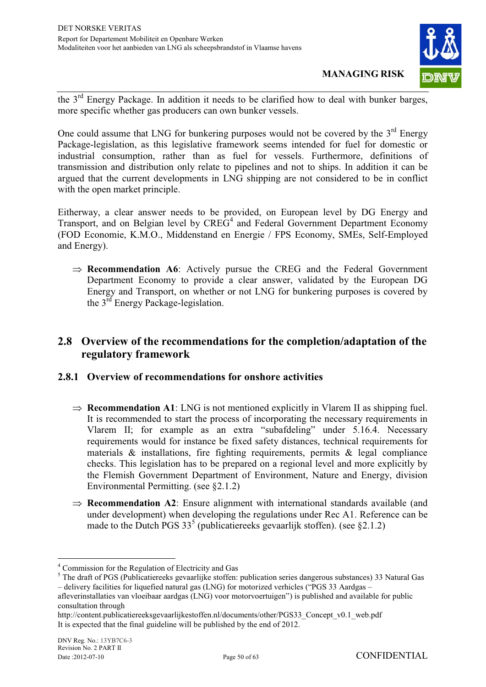

the 3<sup>rd</sup> Energy Package. In addition it needs to be clarified how to deal with bunker barges, more specific whether gas producers can own bunker vessels.

One could assume that LNG for bunkering purposes would not be covered by the  $3<sup>rd</sup>$  Energy Package-legislation, as this legislative framework seems intended for fuel for domestic or industrial consumption, rather than as fuel for vessels. Furthermore, definitions of transmission and distribution only relate to pipelines and not to ships. In addition it can be argued that the current developments in LNG shipping are not considered to be in conflict with the open market principle.

Eitherway, a clear answer needs to be provided, on European level by DG Energy and Transport, and on Belgian level by  $CREG<sup>4</sup>$  and Federal Government Department Economy (FOD Economie, K.M.O., Middenstand en Energie / FPS Economy, SMEs, Self-Employed and Energy).

 $\Rightarrow$  **Recommendation A6**: Actively pursue the CREG and the Federal Government Department Economy to provide a clear answer, validated by the European DG Energy and Transport, on whether or not LNG for bunkering purposes is covered by the 3rd Energy Package-legislation.

#### **2.8 Overview of the recommendations for the completion/adaptation of the regulatory framework**

#### **2.8.1 Overview of recommendations for onshore activities**

- $\Rightarrow$  **Recommendation A1**: LNG is not mentioned explicitly in Vlarem II as shipping fuel. It is recommended to start the process of incorporating the necessary requirements in Vlarem II; for example as an extra "subafdeling" under 5.16.4. Necessary requirements would for instance be fixed safety distances, technical requirements for materials  $\&$  installations, fire fighting requirements, permits  $\&$  legal compliance checks. This legislation has to be prepared on a regional level and more explicitly by the Flemish Government Department of Environment, Nature and Energy, division Environmental Permitting. (see §2.1.2)
- $\Rightarrow$  **Recommendation A2**: Ensure alignment with international standards available (and under development) when developing the regulations under Rec A1. Reference can be made to the Dutch PGS  $33^5$  (publicatiereeks gevaarlijk stoffen). (see §2.1.2)

 $\overline{a}$ 4 Commission for the Regulation of Electricity and Gas

<sup>&</sup>lt;sup>5</sup> The draft of PGS (Publicatiereeks gevaarlijke stoffen: publication series dangerous substances) 33 Natural Gas – delivery facilities for liquefied natural gas (LNG) for motorized verhicles ("PGS 33 Aardgas –

afleverinstallaties van vloeibaar aardgas (LNG) voor motorvoertuigen") is published and available for public consultation through

http://content.publicatiereeksgevaarlijkestoffen.nl/documents/other/PGS33\_Concept\_v0.1\_web.pdf It is expected that the final guideline will be published by the end of 2012.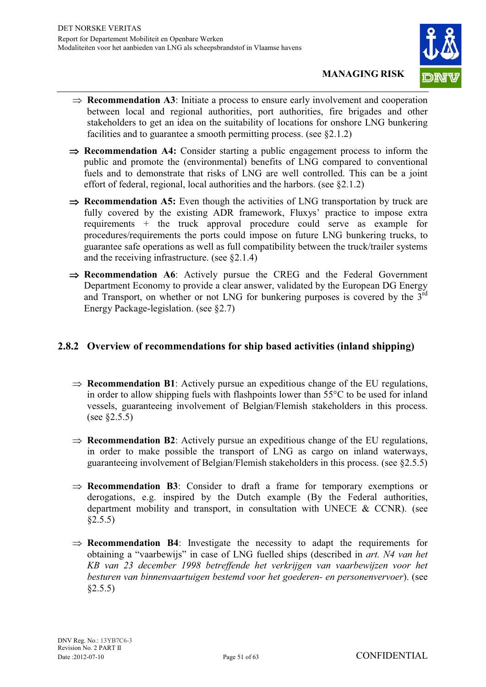

- $\Rightarrow$  **Recommendation A3**: Initiate a process to ensure early involvement and cooperation between local and regional authorities, port authorities, fire brigades and other stakeholders to get an idea on the suitability of locations for onshore LNG bunkering facilities and to guarantee a smooth permitting process. (see §2.1.2)
- $\Rightarrow$  **Recommendation A4:** Consider starting a public engagement process to inform the public and promote the (environmental) benefits of LNG compared to conventional fuels and to demonstrate that risks of LNG are well controlled. This can be a joint effort of federal, regional, local authorities and the harbors. (see §2.1.2)
- **Recommendation A5:** Even though the activities of LNG transportation by truck are fully covered by the existing ADR framework, Fluxys' practice to impose extra requirements + the truck approval procedure could serve as example for procedures/requirements the ports could impose on future LNG bunkering trucks, to guarantee safe operations as well as full compatibility between the truck/trailer systems and the receiving infrastructure. (see §2.1.4)
- $\Rightarrow$  **Recommendation A6**: Actively pursue the CREG and the Federal Government Department Economy to provide a clear answer, validated by the European DG Energy and Transport, on whether or not LNG for bunkering purposes is covered by the  $3<sup>rd</sup>$ Energy Package-legislation. (see §2.7)

#### **2.8.2 Overview of recommendations for ship based activities (inland shipping)**

- $\Rightarrow$  **Recommendation B1**: Actively pursue an expeditious change of the EU regulations, in order to allow shipping fuels with flashpoints lower than 55°C to be used for inland vessels, guaranteeing involvement of Belgian/Flemish stakeholders in this process. (see §2.5.5)
- $\Rightarrow$  **Recommendation B2**: Actively pursue an expeditious change of the EU regulations, in order to make possible the transport of LNG as cargo on inland waterways, guaranteeing involvement of Belgian/Flemish stakeholders in this process. (see §2.5.5)
- $\Rightarrow$  **Recommendation B3**: Consider to draft a frame for temporary exemptions or derogations, e.g. inspired by the Dutch example (By the Federal authorities, department mobility and transport, in consultation with UNECE  $\&$  CCNR). (see  $§2.5.5)$
- $\Rightarrow$  **Recommendation B4**: Investigate the necessity to adapt the requirements for obtaining a "vaarbewijs" in case of LNG fuelled ships (described in *art. N4 van het KB van 23 december 1998 betreffende het verkrijgen van vaarbewijzen voor het besturen van binnenvaartuigen bestemd voor het goederen- en personenvervoer*). (see  $§2.5.5)$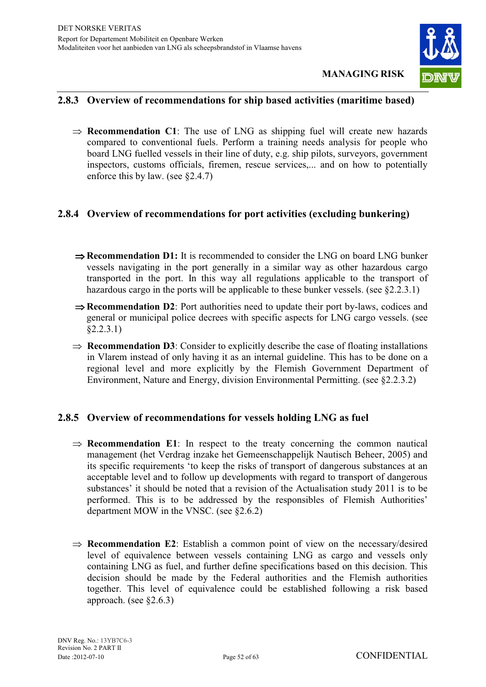

#### **2.8.3 Overview of recommendations for ship based activities (maritime based)**

 $\Rightarrow$  **Recommendation C1**: The use of LNG as shipping fuel will create new hazards compared to conventional fuels. Perform a training needs analysis for people who board LNG fuelled vessels in their line of duty, e.g. ship pilots, surveyors, government inspectors, customs officials, firemen, rescue services,... and on how to potentially enforce this by law. (see §2.4.7)

#### **2.8.4 Overview of recommendations for port activities (excluding bunkering)**

- **⇒ Recommendation D1:** It is recommended to consider the LNG on board LNG bunker vessels navigating in the port generally in a similar way as other hazardous cargo transported in the port. In this way all regulations applicable to the transport of hazardous cargo in the ports will be applicable to these bunker vessels. (see §2.2.3.1)
- $\Rightarrow$  **Recommendation D2**: Port authorities need to update their port by-laws, codices and general or municipal police decrees with specific aspects for LNG cargo vessels. (see §2.2.3.1)
- $\Rightarrow$  **Recommendation D3**: Consider to explicitly describe the case of floating installations in Vlarem instead of only having it as an internal guideline. This has to be done on a regional level and more explicitly by the Flemish Government Department of Environment, Nature and Energy, division Environmental Permitting. (see §2.2.3.2)

#### **2.8.5 Overview of recommendations for vessels holding LNG as fuel**

- $\Rightarrow$  **Recommendation E1**: In respect to the treaty concerning the common nautical management (het Verdrag inzake het Gemeenschappelijk Nautisch Beheer, 2005) and its specific requirements 'to keep the risks of transport of dangerous substances at an acceptable level and to follow up developments with regard to transport of dangerous substances' it should be noted that a revision of the Actualisation study 2011 is to be performed. This is to be addressed by the responsibles of Flemish Authorities' department MOW in the VNSC. (see §2.6.2)
- $\Rightarrow$  **Recommendation E2**: Establish a common point of view on the necessary/desired level of equivalence between vessels containing LNG as cargo and vessels only containing LNG as fuel, and further define specifications based on this decision. This decision should be made by the Federal authorities and the Flemish authorities together. This level of equivalence could be established following a risk based approach. (see §2.6.3)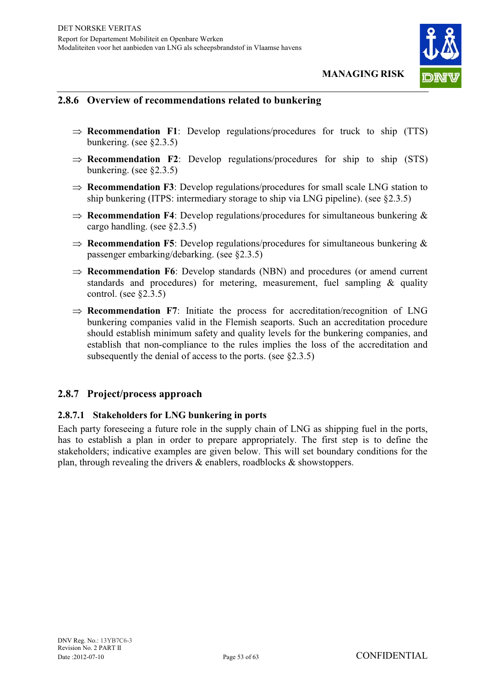

#### **2.8.6 Overview of recommendations related to bunkering**

- $\Rightarrow$  **Recommendation F1**: Develop regulations/procedures for truck to ship (TTS) bunkering. (see §2.3.5)
- $\Rightarrow$  **Recommendation F2**: Develop regulations/procedures for ship to ship (STS) bunkering. (see §2.3.5)
- $\Rightarrow$  **Recommendation F3**: Develop regulations/procedures for small scale LNG station to ship bunkering (ITPS: intermediary storage to ship via LNG pipeline). (see §2.3.5)
- $\Rightarrow$  **Recommendation F4**: Develop regulations/procedures for simultaneous bunkering & cargo handling. (see §2.3.5)
- $\Rightarrow$  **Recommendation F5**: Develop regulations/procedures for simultaneous bunkering  $\&$ passenger embarking/debarking. (see §2.3.5)
- $\Rightarrow$  **Recommendation F6**: Develop standards (NBN) and procedures (or amend current standards and procedures) for metering, measurement, fuel sampling  $\&$  quality control. (see §2.3.5)
- $\Rightarrow$  **Recommendation F7**: Initiate the process for accreditation/recognition of LNG bunkering companies valid in the Flemish seaports. Such an accreditation procedure should establish minimum safety and quality levels for the bunkering companies, and establish that non-compliance to the rules implies the loss of the accreditation and subsequently the denial of access to the ports. (see §2.3.5)

#### **2.8.7 Project/process approach**

#### **2.8.7.1 Stakeholders for LNG bunkering in ports**

Each party foreseeing a future role in the supply chain of LNG as shipping fuel in the ports, has to establish a plan in order to prepare appropriately. The first step is to define the stakeholders; indicative examples are given below. This will set boundary conditions for the plan, through revealing the drivers & enablers, roadblocks & showstoppers.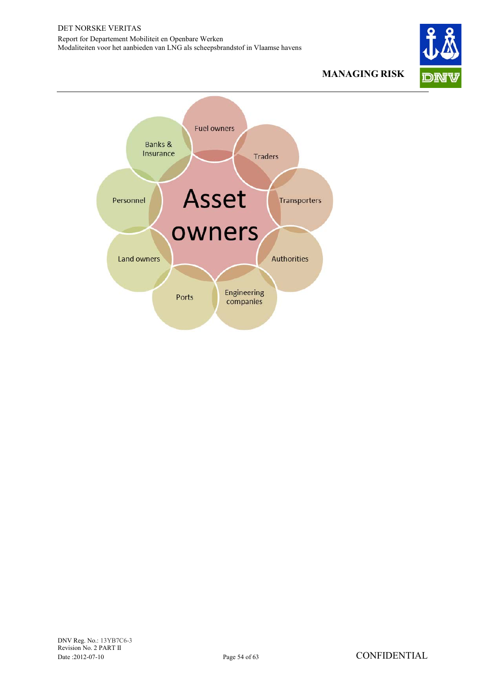

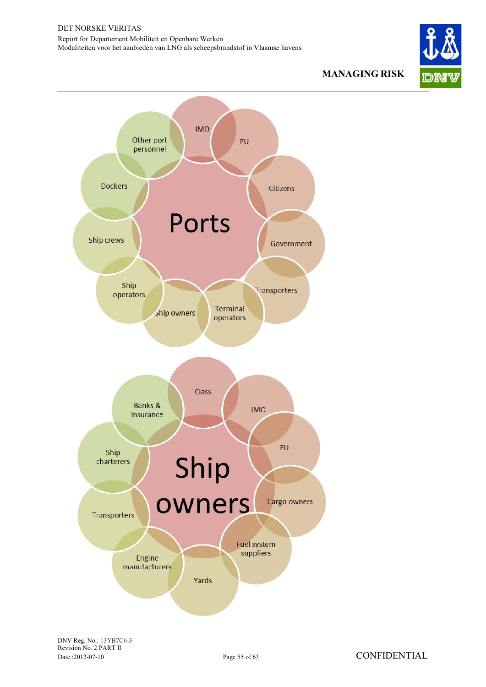

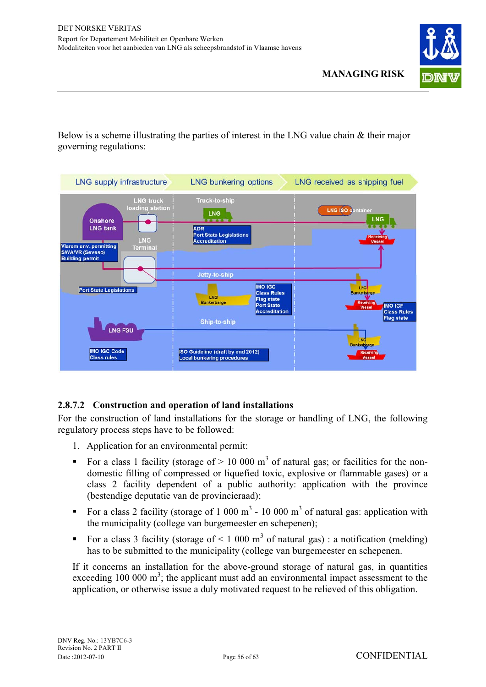

Below is a scheme illustrating the parties of interest in the LNG value chain & their major governing regulations:



#### **2.8.7.2 Construction and operation of land installations**

For the construction of land installations for the storage or handling of LNG, the following regulatory process steps have to be followed:

- 1. Application for an environmental permit:
- For a class 1 facility (storage of  $> 10000 \text{ m}^3$  of natural gas; or facilities for the nondomestic filling of compressed or liquefied toxic, explosive or flammable gases) or a class 2 facility dependent of a public authority: application with the province (bestendige deputatie van de provincieraad);
- For a class 2 facility (storage of 1 000 m<sup>3</sup> 10 000 m<sup>3</sup> of natural gas: application with the municipality (college van burgemeester en schepenen);
- For a class 3 facility (storage of  $\leq 1,000 \text{ m}^3$  of natural gas) : a notification (melding) has to be submitted to the municipality (college van burgemeester en schepenen.

If it concerns an installation for the above-ground storage of natural gas, in quantities exceeding  $100\ 000\ \text{m}^3$ ; the applicant must add an environmental impact assessment to the application, or otherwise issue a duly motivated request to be relieved of this obligation.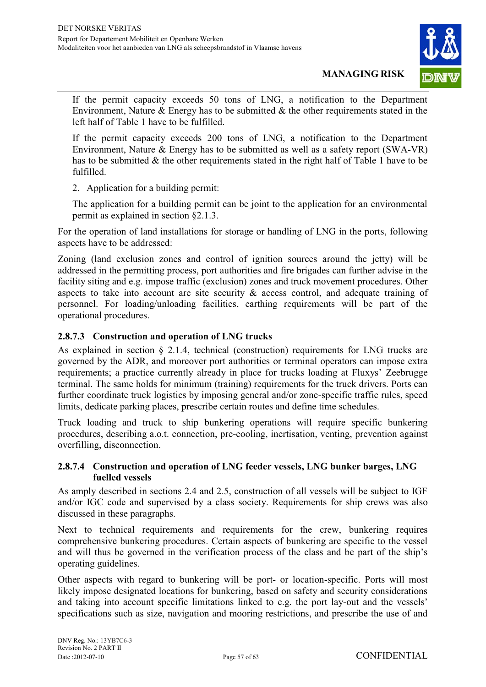

If the permit capacity exceeds 50 tons of LNG, a notification to the Department Environment, Nature  $\&$  Energy has to be submitted  $\&$  the other requirements stated in the left half of Table 1 have to be fulfilled.

If the permit capacity exceeds 200 tons of LNG, a notification to the Department Environment, Nature & Energy has to be submitted as well as a safety report (SWA-VR) has to be submitted & the other requirements stated in the right half of Table 1 have to be fulfilled.

2. Application for a building permit:

The application for a building permit can be joint to the application for an environmental permit as explained in section §2.1.3.

For the operation of land installations for storage or handling of LNG in the ports, following aspects have to be addressed:

Zoning (land exclusion zones and control of ignition sources around the jetty) will be addressed in the permitting process, port authorities and fire brigades can further advise in the facility siting and e.g. impose traffic (exclusion) zones and truck movement procedures. Other aspects to take into account are site security & access control, and adequate training of personnel. For loading/unloading facilities, earthing requirements will be part of the operational procedures.

#### **2.8.7.3 Construction and operation of LNG trucks**

As explained in section § 2.1.4, technical (construction) requirements for LNG trucks are governed by the ADR, and moreover port authorities or terminal operators can impose extra requirements; a practice currently already in place for trucks loading at Fluxys' Zeebrugge terminal. The same holds for minimum (training) requirements for the truck drivers. Ports can further coordinate truck logistics by imposing general and/or zone-specific traffic rules, speed limits, dedicate parking places, prescribe certain routes and define time schedules.

Truck loading and truck to ship bunkering operations will require specific bunkering procedures, describing a.o.t. connection, pre-cooling, inertisation, venting, prevention against overfilling, disconnection.

#### **2.8.7.4 Construction and operation of LNG feeder vessels, LNG bunker barges, LNG fuelled vessels**

As amply described in sections 2.4 and 2.5, construction of all vessels will be subject to IGF and/or IGC code and supervised by a class society. Requirements for ship crews was also discussed in these paragraphs.

Next to technical requirements and requirements for the crew, bunkering requires comprehensive bunkering procedures. Certain aspects of bunkering are specific to the vessel and will thus be governed in the verification process of the class and be part of the ship's operating guidelines.

Other aspects with regard to bunkering will be port- or location-specific. Ports will most likely impose designated locations for bunkering, based on safety and security considerations and taking into account specific limitations linked to e.g. the port lay-out and the vessels' specifications such as size, navigation and mooring restrictions, and prescribe the use of and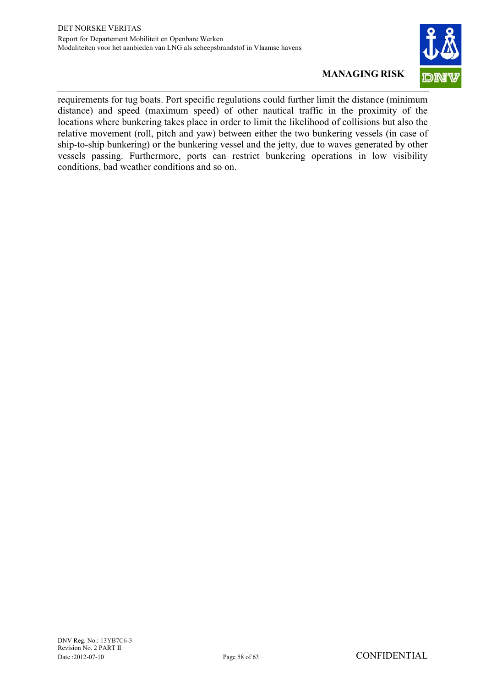

requirements for tug boats. Port specific regulations could further limit the distance (minimum distance) and speed (maximum speed) of other nautical traffic in the proximity of the locations where bunkering takes place in order to limit the likelihood of collisions but also the relative movement (roll, pitch and yaw) between either the two bunkering vessels (in case of ship-to-ship bunkering) or the bunkering vessel and the jetty, due to waves generated by other vessels passing. Furthermore, ports can restrict bunkering operations in low visibility conditions, bad weather conditions and so on.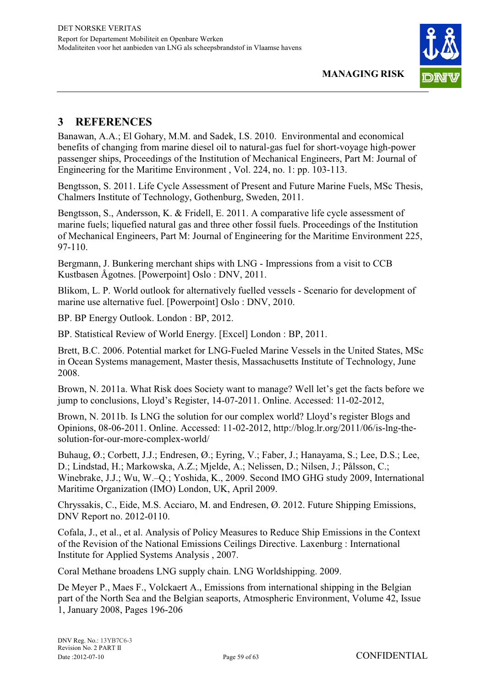

### **3 REFERENCES**

Banawan, A.A.; El Gohary, M.M. and Sadek, I.S. 2010. Environmental and economical benefits of changing from marine diesel oil to natural-gas fuel for short-voyage high-power passenger ships, Proceedings of the Institution of Mechanical Engineers, Part M: Journal of Engineering for the Maritime Environment , Vol. 224, no. 1: pp. 103-113.

Bengtsson, S. 2011. Life Cycle Assessment of Present and Future Marine Fuels, MSc Thesis, Chalmers Institute of Technology, Gothenburg, Sweden, 2011.

Bengtsson, S., Andersson, K. & Fridell, E. 2011. A comparative life cycle assessment of marine fuels; liquefied natural gas and three other fossil fuels. Proceedings of the Institution of Mechanical Engineers, Part M: Journal of Engineering for the Maritime Environment 225, 97-110.

Bergmann, J. Bunkering merchant ships with LNG - Impressions from a visit to CCB Kustbasen Ågotnes. [Powerpoint] Oslo : DNV, 2011.

Blikom, L. P. World outlook for alternatively fuelled vessels - Scenario for development of marine use alternative fuel. [Powerpoint] Oslo : DNV, 2010.

BP. BP Energy Outlook. London : BP, 2012.

BP. Statistical Review of World Energy. [Excel] London : BP, 2011.

Brett, B.C. 2006. Potential market for LNG-Fueled Marine Vessels in the United States, MSc in Ocean Systems management, Master thesis, Massachusetts Institute of Technology, June 2008.

Brown, N. 2011a. What Risk does Society want to manage? Well let's get the facts before we jump to conclusions, Lloyd's Register, 14-07-2011. Online. Accessed: 11-02-2012,

Brown, N. 2011b. Is LNG the solution for our complex world? Lloyd's register Blogs and Opinions, 08-06-2011. Online. Accessed: 11-02-2012, http://blog.lr.org/2011/06/is-lng-thesolution-for-our-more-complex-world/

Buhaug, Ø.; Corbett, J.J.; Endresen, Ø.; Evring, V.; Faber, J.; Hanayama, S.; Lee, D.S.; Lee, D.; Lindstad, H.; Markowska, A.Z.; Mjelde, A.; Nelissen, D.; Nilsen, J.; Pålsson, C.; Winebrake, J.J.; Wu, W.–Q.; Yoshida, K., 2009. Second IMO GHG study 2009, International Maritime Organization (IMO) London, UK, April 2009.

Chryssakis, C., Eide, M.S. Acciaro, M. and Endresen, Ø. 2012. Future Shipping Emissions, DNV Report no. 2012-0110.

Cofala, J., et al., et al. Analysis of Policy Measures to Reduce Ship Emissions in the Context of the Revision of the National Emissions Ceilings Directive. Laxenburg : International Institute for Applied Systems Analysis , 2007.

Coral Methane broadens LNG supply chain. LNG Worldshipping. 2009.

De Meyer P., Maes F., Volckaert A., Emissions from international shipping in the Belgian part of the North Sea and the Belgian seaports, Atmospheric Environment, Volume 42, Issue 1, January 2008, Pages 196-206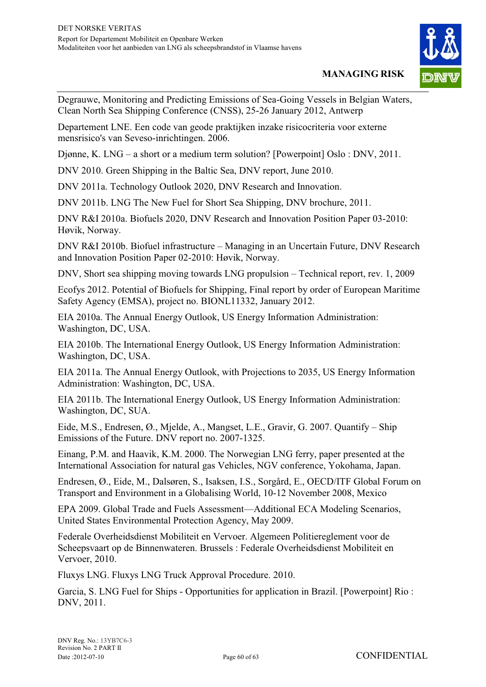

Degrauwe, Monitoring and Predicting Emissions of Sea-Going Vessels in Belgian Waters, Clean North Sea Shipping Conference (CNSS), 25-26 January 2012, Antwerp

Departement LNE. Een code van geode praktijken inzake risicocriteria voor externe mensrisico's van Seveso-inrichtingen. 2006.

Djønne, K. LNG – a short or a medium term solution? [Powerpoint] Oslo : DNV, 2011.

DNV 2010. Green Shipping in the Baltic Sea, DNV report, June 2010.

DNV 2011a. Technology Outlook 2020, DNV Research and Innovation.

DNV 2011b. LNG The New Fuel for Short Sea Shipping, DNV brochure, 2011.

DNV R&I 2010a. Biofuels 2020, DNV Research and Innovation Position Paper 03-2010: Høvik, Norway.

DNV R&I 2010b. Biofuel infrastructure – Managing in an Uncertain Future, DNV Research and Innovation Position Paper 02-2010: Høvik, Norway.

DNV, Short sea shipping moving towards LNG propulsion – Technical report, rev. 1, 2009

Ecofys 2012. Potential of Biofuels for Shipping, Final report by order of European Maritime Safety Agency (EMSA), project no. BIONL11332, January 2012.

EIA 2010a. The Annual Energy Outlook, US Energy Information Administration: Washington, DC, USA.

EIA 2010b. The International Energy Outlook, US Energy Information Administration: Washington, DC, USA.

EIA 2011a. The Annual Energy Outlook, with Projections to 2035, US Energy Information Administration: Washington, DC, USA.

EIA 2011b. The International Energy Outlook, US Energy Information Administration: Washington, DC, SUA.

Eide, M.S., Endresen, Ø., Mjelde, A., Mangset, L.E., Gravir, G. 2007. Quantify – Ship Emissions of the Future. DNV report no. 2007-1325.

Einang, P.M. and Haavik, K.M. 2000. The Norwegian LNG ferry, paper presented at the International Association for natural gas Vehicles, NGV conference, Yokohama, Japan.

Endresen, Ø., Eide, M., Dalsøren, S., Isaksen, I.S., Sorgård, E., OECD/ITF Global Forum on Transport and Environment in a Globalising World, 10-12 November 2008, Mexico

EPA 2009. Global Trade and Fuels Assessment—Additional ECA Modeling Scenarios, United States Environmental Protection Agency, May 2009.

Federale Overheidsdienst Mobiliteit en Vervoer. Algemeen Politiereglement voor de Scheepsvaart op de Binnenwateren. Brussels : Federale Overheidsdienst Mobiliteit en Vervoer, 2010.

Fluxys LNG. Fluxys LNG Truck Approval Procedure. 2010.

Garcia, S. LNG Fuel for Ships - Opportunities for application in Brazil. [Powerpoint] Rio : DNV, 2011.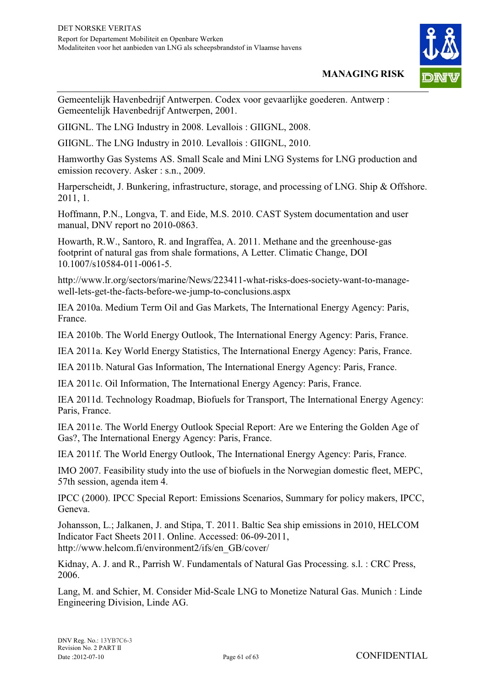

Gemeentelijk Havenbedrijf Antwerpen. Codex voor gevaarlijke goederen. Antwerp : Gemeentelijk Havenbedrijf Antwerpen, 2001.

GIIGNL. The LNG Industry in 2008. Levallois : GIIGNL, 2008.

GIIGNL. The LNG Industry in 2010. Levallois : GIIGNL, 2010.

Hamworthy Gas Systems AS. Small Scale and Mini LNG Systems for LNG production and emission recovery. Asker : s.n., 2009.

Harperscheidt, J. Bunkering, infrastructure, storage, and processing of LNG. Ship & Offshore. 2011, 1.

Hoffmann, P.N., Longva, T. and Eide, M.S. 2010. CAST System documentation and user manual, DNV report no 2010-0863.

Howarth, R.W., Santoro, R. and Ingraffea, A. 2011. Methane and the greenhouse-gas footprint of natural gas from shale formations, A Letter. Climatic Change, DOI 10.1007/s10584-011-0061-5.

http://www.lr.org/sectors/marine/News/223411-what-risks-does-society-want-to-managewell-lets-get-the-facts-before-we-jump-to-conclusions.aspx

IEA 2010a. Medium Term Oil and Gas Markets, The International Energy Agency: Paris, France.

IEA 2010b. The World Energy Outlook, The International Energy Agency: Paris, France.

IEA 2011a. Key World Energy Statistics, The International Energy Agency: Paris, France.

IEA 2011b. Natural Gas Information, The International Energy Agency: Paris, France.

IEA 2011c. Oil Information, The International Energy Agency: Paris, France.

IEA 2011d. Technology Roadmap, Biofuels for Transport, The International Energy Agency: Paris, France.

IEA 2011e. The World Energy Outlook Special Report: Are we Entering the Golden Age of Gas?, The International Energy Agency: Paris, France.

IEA 2011f. The World Energy Outlook, The International Energy Agency: Paris, France.

IMO 2007. Feasibility study into the use of biofuels in the Norwegian domestic fleet, MEPC, 57th session, agenda item 4.

IPCC (2000). IPCC Special Report: Emissions Scenarios, Summary for policy makers, IPCC, Geneva.

Johansson, L.; Jalkanen, J. and Stipa, T. 2011. Baltic Sea ship emissions in 2010, HELCOM Indicator Fact Sheets 2011. Online. Accessed: 06-09-2011, http://www.helcom.fi/environment2/ifs/en\_GB/cover/

Kidnay, A. J. and R., Parrish W. Fundamentals of Natural Gas Processing. s.l. : CRC Press, 2006.

Lang, M. and Schier, M. Consider Mid-Scale LNG to Monetize Natural Gas. Munich : Linde Engineering Division, Linde AG.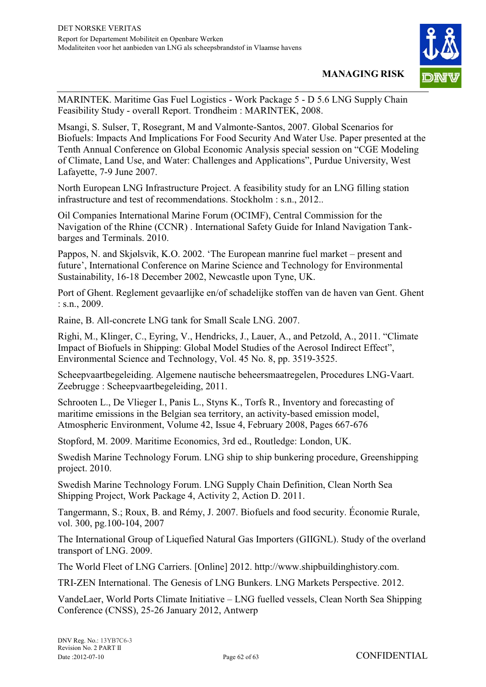

MARINTEK. Maritime Gas Fuel Logistics - Work Package 5 - D 5.6 LNG Supply Chain Feasibility Study - overall Report. Trondheim : MARINTEK, 2008.

Msangi, S. Sulser, T, Rosegrant, M and Valmonte-Santos, 2007. Global Scenarios for Biofuels: Impacts And Implications For Food Security And Water Use. Paper presented at the Tenth Annual Conference on Global Economic Analysis special session on "CGE Modeling of Climate, Land Use, and Water: Challenges and Applications", Purdue University, West Lafayette, 7-9 June 2007.

North European LNG Infrastructure Project. A feasibility study for an LNG filling station infrastructure and test of recommendations. Stockholm : s.n., 2012..

Oil Companies International Marine Forum (OCIMF), Central Commission for the Navigation of the Rhine (CCNR) . International Safety Guide for Inland Navigation Tankbarges and Terminals. 2010.

Pappos, N. and Skjølsvik, K.O. 2002. 'The European manrine fuel market – present and future', International Conference on Marine Science and Technology for Environmental Sustainability, 16-18 December 2002, Newcastle upon Tyne, UK.

Port of Ghent. Reglement gevaarlijke en/of schadelijke stoffen van de haven van Gent. Ghent : s.n., 2009.

Raine, B. All-concrete LNG tank for Small Scale LNG. 2007.

Righi, M., Klinger, C., Eyring, V., Hendricks, J., Lauer, A., and Petzold, A., 2011. "Climate Impact of Biofuels in Shipping: Global Model Studies of the Aerosol Indirect Effect", Environmental Science and Technology, Vol. 45 No. 8, pp. 3519-3525.

Scheepvaartbegeleiding. Algemene nautische beheersmaatregelen, Procedures LNG-Vaart. Zeebrugge : Scheepvaartbegeleiding, 2011.

Schrooten L., De Vlieger I., Panis L., Styns K., Torfs R., Inventory and forecasting of maritime emissions in the Belgian sea territory, an activity-based emission model, Atmospheric Environment, Volume 42, Issue 4, February 2008, Pages 667-676

Stopford, M. 2009. Maritime Economics, 3rd ed., Routledge: London, UK.

Swedish Marine Technology Forum. LNG ship to ship bunkering procedure, Greenshipping project. 2010.

Swedish Marine Technology Forum. LNG Supply Chain Definition, Clean North Sea Shipping Project, Work Package 4, Activity 2, Action D. 2011.

Tangermann, S.; Roux, B. and Rémy, J. 2007. Biofuels and food security. Économie Rurale, vol. 300, pg.100-104, 2007

The International Group of Liquefied Natural Gas Importers (GIIGNL). Study of the overland transport of LNG. 2009.

The World Fleet of LNG Carriers. [Online] 2012. http://www.shipbuildinghistory.com.

TRI-ZEN International. The Genesis of LNG Bunkers. LNG Markets Perspective. 2012.

VandeLaer, World Ports Climate Initiative – LNG fuelled vessels, Clean North Sea Shipping Conference (CNSS), 25-26 January 2012, Antwerp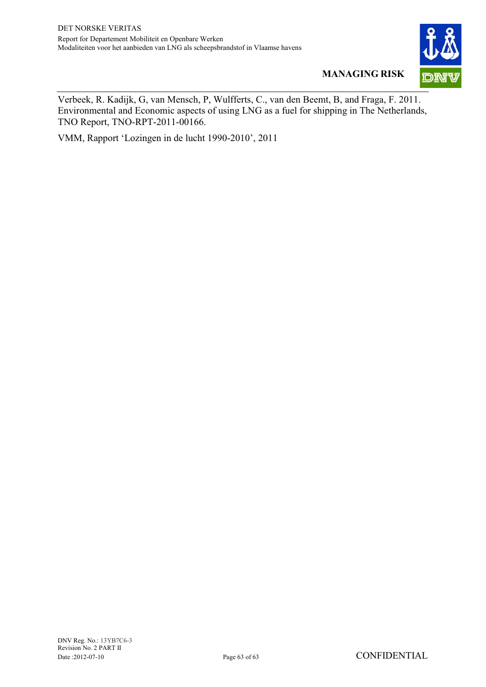

Verbeek, R. Kadijk, G, van Mensch, P, Wulfferts, C., van den Beemt, B, and Fraga, F. 2011. Environmental and Economic aspects of using LNG as a fuel for shipping in The Netherlands, TNO Report, TNO-RPT-2011-00166.

VMM, Rapport 'Lozingen in de lucht 1990-2010', 2011